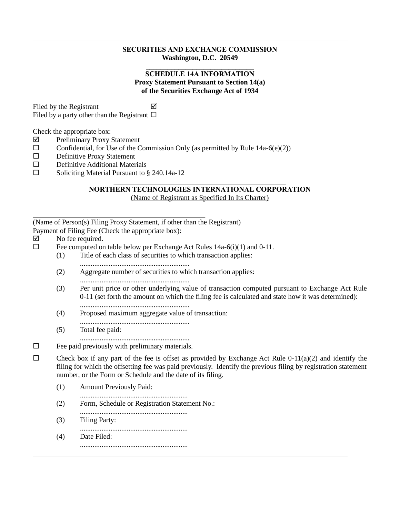## **SECURITIES AND EXCHANGE COMMISSION Washington, D.C. 20549**

## **\_\_\_\_\_\_\_\_\_\_\_\_\_\_\_\_\_\_\_\_\_\_\_\_\_\_\_\_\_\_ SCHEDULE 14A INFORMATION Proxy Statement Pursuant to Section 14(a) of the Securities Exchange Act of 1934**

Filed by the Registrant Filed by a party other than the Registrant  $\Box$ 

Check the appropriate box:

- $\nabla$  Preliminary Proxy Statement<br>  $\square$  Confidential, for Use of the C
- Confidential, for Use of the Commission Only (as permitted by Rule 14a-6(e)(2))
- $\square$  Definitive Proxy Statement
- $\square$  Definitive Additional Materials
- $\Box$  Soliciting Material Pursuant to § 240.14a-12

\_\_\_\_\_\_\_\_\_\_\_\_\_\_\_\_\_\_\_\_\_\_\_\_\_\_\_\_\_\_\_\_\_\_\_\_\_\_\_\_\_\_\_\_\_\_\_\_

#### \_\_\_\_\_\_\_\_\_\_\_\_\_\_\_\_\_\_\_\_\_\_\_\_\_\_\_\_\_\_\_\_\_\_\_\_\_\_\_\_\_\_\_\_\_\_\_\_ **NORTHERN TECHNOLOGIES INTERNATIONAL CORPORATION** (Name of Registrant as Specified In Its Charter)

(Name of Person(s) Filing Proxy Statement, if other than the Registrant) Payment of Filing Fee (Check the appropriate box):

- $\boxtimes$  No fee required.
- $\Box$  Fee computed on table below per Exchange Act Rules 14a-6(i)(1) and 0-11.
	- (1) Title of each class of securities to which transaction applies:
		- .............................................................
		- (2) Aggregate number of securities to which transaction applies:
		- .............................................................
		- (3) Per unit price or other underlying value of transaction computed pursuant to Exchange Act Rule 0-11 (set forth the amount on which the filing fee is calculated and state how it was determined): .............................................................
		- (4) Proposed maximum aggregate value of transaction:
		- .............................................................
		- (5) Total fee paid:
	- .............................................................
- $\Box$  Fee paid previously with preliminary materials.
- $\square$  Check box if any part of the fee is offset as provided by Exchange Act Rule 0-11(a)(2) and identify the filing for which the offsetting fee was paid previously. Identify the previous filing by registration statement number, or the Form or Schedule and the date of its filing.
	- (1) Amount Previously Paid:
	- ............................................................
	- (2) Form, Schedule or Registration Statement No.:
		- ............................................................
	- (3) Filing Party: ............................................................
	- (4) Date Filed: ............................................................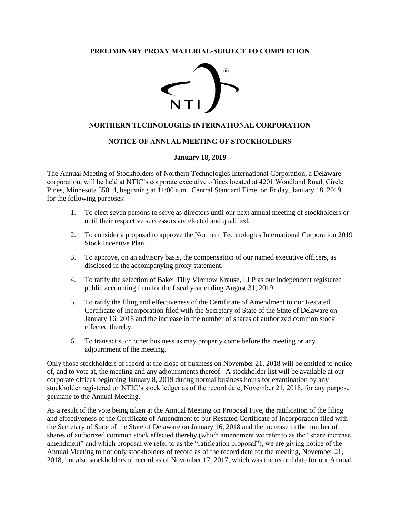## **PRELIMINARY PROXY MATERIAL-SUBJECT TO COMPLETION**



# **NORTHERN TECHNOLOGIES INTERNATIONAL CORPORATION**

# **NOTICE OF ANNUAL MEETING OF STOCKHOLDERS**

#### **January 18, 2019**

The Annual Meeting of Stockholders of Northern Technologies International Corporation, a Delaware corporation, will be held at NTIC's corporate executive offices located at 4201 Woodland Road, Circle Pines, Minnesota 55014, beginning at 11:00 a.m., Central Standard Time, on Friday, January 18, 2019, for the following purposes:

- 1. To elect seven persons to serve as directors until our next annual meeting of stockholders or until their respective successors are elected and qualified.
- 2. To consider a proposal to approve the Northern Technologies International Corporation 2019 Stock Incentive Plan.
- 3. To approve, on an advisory basis, the compensation of our named executive officers, as disclosed in the accompanying proxy statement.
- 4. To ratify the selection of Baker Tilly Virchow Krause, LLP as our independent registered public accounting firm for the fiscal year ending August 31, 2019.
- 5. To ratify the filing and effectiveness of the Certificate of Amendment to our Restated Certificate of Incorporation filed with the Secretary of State of the State of Delaware on January 16, 2018 and the increase in the number of shares of authorized common stock effected thereby.
- 6. To transact such other business as may properly come before the meeting or any adjournment of the meeting.

Only those stockholders of record at the close of business on November 21, 2018 will be entitled to notice of, and to vote at, the meeting and any adjournments thereof. A stockholder list will be available at our corporate offices beginning January 8, 2019 during normal business hours for examination by any stockholder registered on NTIC's stock ledger as of the record date, November 21, 2018, for any purpose germane to the Annual Meeting.

As a result of the vote being taken at the Annual Meeting on Proposal Five, the ratification of the filing and effectiveness of the Certificate of Amendment to our Restated Certificate of Incorporation filed with the Secretary of State of the State of Delaware on January 16, 2018 and the increase in the number of shares of authorized common stock effected thereby (which amendment we refer to as the "share increase amendment" and which proposal we refer to as the "ratification proposal"), we are giving notice of the Annual Meeting to not only stockholders of record as of the record date for the meeting, November 21, 2018, but also stockholders of record as of November 17, 2017, which was the record date for our Annual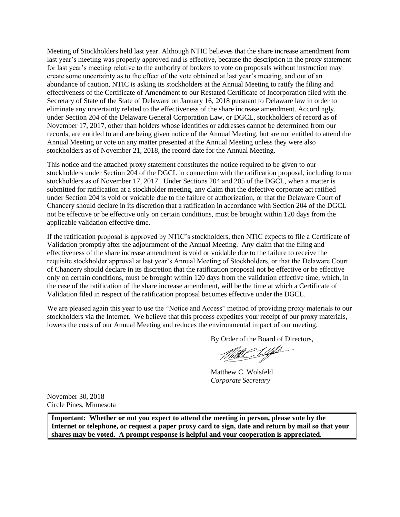Meeting of Stockholders held last year. Although NTIC believes that the share increase amendment from last year's meeting was properly approved and is effective, because the description in the proxy statement for last year's meeting relative to the authority of brokers to vote on proposals without instruction may create some uncertainty as to the effect of the vote obtained at last year's meeting, and out of an abundance of caution, NTIC is asking its stockholders at the Annual Meeting to ratify the filing and effectiveness of the Certificate of Amendment to our Restated Certificate of Incorporation filed with the Secretary of State of the State of Delaware on January 16, 2018 pursuant to Delaware law in order to eliminate any uncertainty related to the effectiveness of the share increase amendment. Accordingly, under Section 204 of the Delaware General Corporation Law, or DGCL, stockholders of record as of November 17, 2017, other than holders whose identities or addresses cannot be determined from our records, are entitled to and are being given notice of the Annual Meeting, but are not entitled to attend the Annual Meeting or vote on any matter presented at the Annual Meeting unless they were also stockholders as of November 21, 2018, the record date for the Annual Meeting.

This notice and the attached proxy statement constitutes the notice required to be given to our stockholders under Section 204 of the DGCL in connection with the ratification proposal, including to our stockholders as of November 17, 2017. Under Sections 204 and 205 of the DGCL, when a matter is submitted for ratification at a stockholder meeting, any claim that the defective corporate act ratified under Section 204 is void or voidable due to the failure of authorization, or that the Delaware Court of Chancery should declare in its discretion that a ratification in accordance with Section 204 of the DGCL not be effective or be effective only on certain conditions, must be brought within 120 days from the applicable validation effective time.

If the ratification proposal is approved by NTIC's stockholders, then NTIC expects to file a Certificate of Validation promptly after the adjournment of the Annual Meeting. Any claim that the filing and effectiveness of the share increase amendment is void or voidable due to the failure to receive the requisite stockholder approval at last year's Annual Meeting of Stockholders, or that the Delaware Court of Chancery should declare in its discretion that the ratification proposal not be effective or be effective only on certain conditions, must be brought within 120 days from the validation effective time, which, in the case of the ratification of the share increase amendment, will be the time at which a Certificate of Validation filed in respect of the ratification proposal becomes effective under the DGCL.

We are pleased again this year to use the "Notice and Access" method of providing proxy materials to our stockholders via the Internet. We believe that this process expedites your receipt of our proxy materials, lowers the costs of our Annual Meeting and reduces the environmental impact of our meeting.

By Order of the Board of Directors,

With Wife

Matthew C. Wolsfeld *Corporate Secretary*

November 30, 2018 Circle Pines, Minnesota

**Important: Whether or not you expect to attend the meeting in person, please vote by the Internet or telephone, or request a paper proxy card to sign, date and return by mail so that your shares may be voted. A prompt response is helpful and your cooperation is appreciated.**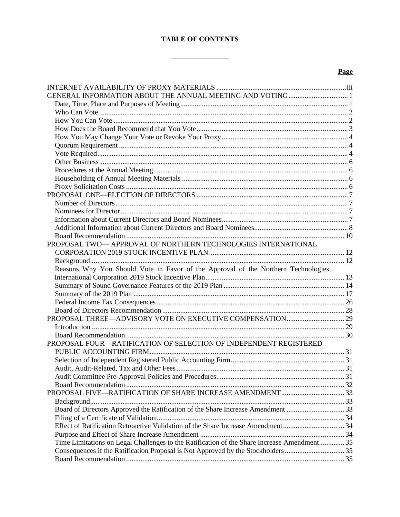# **TABLE OF CONTENTS**

 $\overline{\phantom{0}}$ 

 $\overline{\phantom{0}}$ 

## Page

| PROPOSAL TWO— APPROVAL OF NORTHERN TECHNOLOGIES INTERNATIONAL                               |  |
|---------------------------------------------------------------------------------------------|--|
|                                                                                             |  |
|                                                                                             |  |
| Reasons Why You Should Vote in Favor of the Approval of the Northern Technologies           |  |
|                                                                                             |  |
|                                                                                             |  |
|                                                                                             |  |
|                                                                                             |  |
|                                                                                             |  |
|                                                                                             |  |
|                                                                                             |  |
|                                                                                             |  |
| PROPOSAL FOUR—RATIFICATION OF SELECTION OF INDEPENDENT REGISTERED                           |  |
|                                                                                             |  |
|                                                                                             |  |
|                                                                                             |  |
|                                                                                             |  |
|                                                                                             |  |
|                                                                                             |  |
|                                                                                             |  |
| Board of Directors Approved the Ratification of the Share Increase Amendment 33             |  |
|                                                                                             |  |
|                                                                                             |  |
|                                                                                             |  |
| Time Limitations on Legal Challenges to the Ratification of the Share Increase Amendment 35 |  |
|                                                                                             |  |
|                                                                                             |  |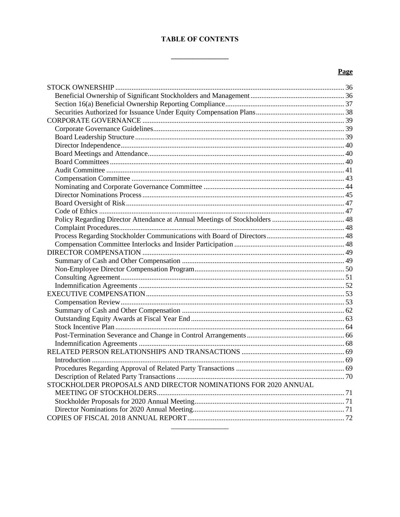# **TABLE OF CONTENTS**

 $\overline{\phantom{0}}$ 

 $\overline{\phantom{0}}$ 

## Page

| STOCKHOLDER PROPOSALS AND DIRECTOR NOMINATIONS FOR 2020 ANNUAL |  |
|----------------------------------------------------------------|--|
| MEETING OF STOCKHOLDERS                                        |  |
|                                                                |  |
|                                                                |  |
|                                                                |  |
|                                                                |  |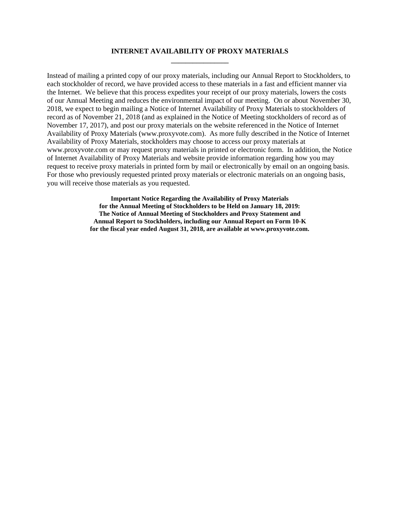#### **INTERNET AVAILABILITY OF PROXY MATERIALS**

<span id="page-5-0"></span>Instead of mailing a printed copy of our proxy materials, including our Annual Report to Stockholders, to each stockholder of record, we have provided access to these materials in a fast and efficient manner via the Internet. We believe that this process expedites your receipt of our proxy materials, lowers the costs of our Annual Meeting and reduces the environmental impact of our meeting. On or about November 30, 2018, we expect to begin mailing a Notice of Internet Availability of Proxy Materials to stockholders of record as of November 21, 2018 (and as explained in the Notice of Meeting stockholders of record as of November 17, 2017), and post our proxy materials on the website referenced in the Notice of Internet Availability of Proxy Materials (www.proxyvote.com). As more fully described in the Notice of Internet Availability of Proxy Materials, stockholders may choose to access our proxy materials at www.proxyvote.com or may request proxy materials in printed or electronic form. In addition, the Notice of Internet Availability of Proxy Materials and website provide information regarding how you may request to receive proxy materials in printed form by mail or electronically by email on an ongoing basis. For those who previously requested printed proxy materials or electronic materials on an ongoing basis, you will receive those materials as you requested.

> **Important Notice Regarding the Availability of Proxy Materials for the Annual Meeting of Stockholders to be Held on January 18, 2019: The Notice of Annual Meeting of Stockholders and Proxy Statement and Annual Report to Stockholders, including our Annual Report on Form 10-K for the fiscal year ended August 31, 2018, are available at www.proxyvote.com.**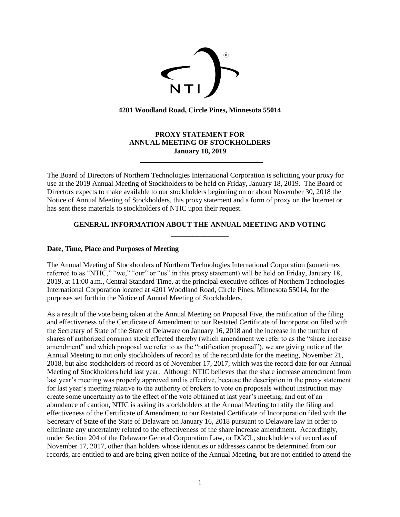

**4201 Woodland Road, Circle Pines, Minnesota 55014**

## **PROXY STATEMENT FOR ANNUAL MEETING OF STOCKHOLDERS January 18, 2019**

The Board of Directors of Northern Technologies International Corporation is soliciting your proxy for use at the 2019 Annual Meeting of Stockholders to be held on Friday, January 18, 2019. The Board of Directors expects to make available to our stockholders beginning on or about November 30, 2018 the Notice of Annual Meeting of Stockholders, this proxy statement and a form of proxy on the Internet or has sent these materials to stockholders of NTIC upon their request.

# **GENERAL INFORMATION ABOUT THE ANNUAL MEETING AND VOTING \_\_\_\_\_\_\_\_\_\_\_\_\_\_\_\_**

## <span id="page-6-1"></span><span id="page-6-0"></span>**Date, Time, Place and Purposes of Meeting**

The Annual Meeting of Stockholders of Northern Technologies International Corporation (sometimes referred to as "NTIC," "we," "our" or "us" in this proxy statement) will be held on Friday, January 18, 2019, at 11:00 a.m., Central Standard Time, at the principal executive offices of Northern Technologies International Corporation located at 4201 Woodland Road, Circle Pines, Minnesota 55014, for the purposes set forth in the Notice of Annual Meeting of Stockholders.

As a result of the vote being taken at the Annual Meeting on Proposal Five, the ratification of the filing and effectiveness of the Certificate of Amendment to our Restated Certificate of Incorporation filed with the Secretary of State of the State of Delaware on January 16, 2018 and the increase in the number of shares of authorized common stock effected thereby (which amendment we refer to as the "share increase amendment" and which proposal we refer to as the "ratification proposal"), we are giving notice of the Annual Meeting to not only stockholders of record as of the record date for the meeting, November 21, 2018, but also stockholders of record as of November 17, 2017, which was the record date for our Annual Meeting of Stockholders held last year. Although NTIC believes that the share increase amendment from last year's meeting was properly approved and is effective, because the description in the proxy statement for last year's meeting relative to the authority of brokers to vote on proposals without instruction may create some uncertainty as to the effect of the vote obtained at last year's meeting, and out of an abundance of caution, NTIC is asking its stockholders at the Annual Meeting to ratify the filing and effectiveness of the Certificate of Amendment to our Restated Certificate of Incorporation filed with the Secretary of State of the State of Delaware on January 16, 2018 pursuant to Delaware law in order to eliminate any uncertainty related to the effectiveness of the share increase amendment. Accordingly, under Section 204 of the Delaware General Corporation Law, or DGCL, stockholders of record as of November 17, 2017, other than holders whose identities or addresses cannot be determined from our records, are entitled to and are being given notice of the Annual Meeting, but are not entitled to attend the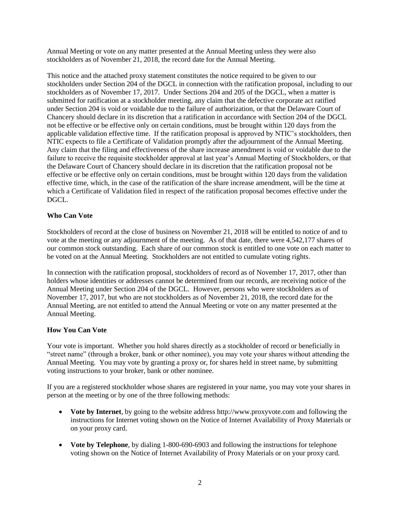Annual Meeting or vote on any matter presented at the Annual Meeting unless they were also stockholders as of November 21, 2018, the record date for the Annual Meeting.

This notice and the attached proxy statement constitutes the notice required to be given to our stockholders under Section 204 of the DGCL in connection with the ratification proposal, including to our stockholders as of November 17, 2017. Under Sections 204 and 205 of the DGCL, when a matter is submitted for ratification at a stockholder meeting, any claim that the defective corporate act ratified under Section 204 is void or voidable due to the failure of authorization, or that the Delaware Court of Chancery should declare in its discretion that a ratification in accordance with Section 204 of the DGCL not be effective or be effective only on certain conditions, must be brought within 120 days from the applicable validation effective time. If the ratification proposal is approved by NTIC's stockholders, then NTIC expects to file a Certificate of Validation promptly after the adjournment of the Annual Meeting. Any claim that the filing and effectiveness of the share increase amendment is void or voidable due to the failure to receive the requisite stockholder approval at last year's Annual Meeting of Stockholders, or that the Delaware Court of Chancery should declare in its discretion that the ratification proposal not be effective or be effective only on certain conditions, must be brought within 120 days from the validation effective time, which, in the case of the ratification of the share increase amendment, will be the time at which a Certificate of Validation filed in respect of the ratification proposal becomes effective under the DGCL.

# <span id="page-7-0"></span>**Who Can Vote**

Stockholders of record at the close of business on November 21, 2018 will be entitled to notice of and to vote at the meeting or any adjournment of the meeting. As of that date, there were 4,542,177 shares of our common stock outstanding. Each share of our common stock is entitled to one vote on each matter to be voted on at the Annual Meeting. Stockholders are not entitled to cumulate voting rights.

In connection with the ratification proposal, stockholders of record as of November 17, 2017, other than holders whose identities or addresses cannot be determined from our records, are receiving notice of the Annual Meeting under Section 204 of the DGCL. However, persons who were stockholders as of November 17, 2017, but who are not stockholders as of November 21, 2018, the record date for the Annual Meeting, are not entitled to attend the Annual Meeting or vote on any matter presented at the Annual Meeting.

## <span id="page-7-1"></span>**How You Can Vote**

Your vote is important. Whether you hold shares directly as a stockholder of record or beneficially in "street name" (through a broker, bank or other nominee), you may vote your shares without attending the Annual Meeting. You may vote by granting a proxy or, for shares held in street name, by submitting voting instructions to your broker, bank or other nominee.

If you are a registered stockholder whose shares are registered in your name, you may vote your shares in person at the meeting or by one of the three following methods:

- **Vote by Internet**, by going to the website address http://www.proxyvote.com and following the instructions for Internet voting shown on the Notice of Internet Availability of Proxy Materials or on your proxy card.
- **Vote by Telephone**, by dialing 1-800-690-6903 and following the instructions for telephone voting shown on the Notice of Internet Availability of Proxy Materials or on your proxy card.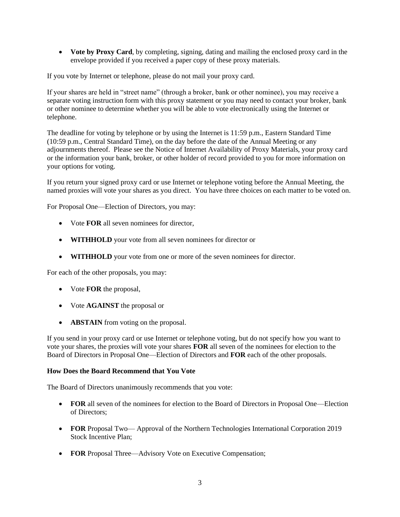• **Vote by Proxy Card**, by completing, signing, dating and mailing the enclosed proxy card in the envelope provided if you received a paper copy of these proxy materials.

If you vote by Internet or telephone, please do not mail your proxy card.

If your shares are held in "street name" (through a broker, bank or other nominee), you may receive a separate voting instruction form with this proxy statement or you may need to contact your broker, bank or other nominee to determine whether you will be able to vote electronically using the Internet or telephone.

The deadline for voting by telephone or by using the Internet is 11:59 p.m., Eastern Standard Time (10:59 p.m., Central Standard Time), on the day before the date of the Annual Meeting or any adjournments thereof. Please see the Notice of Internet Availability of Proxy Materials, your proxy card or the information your bank, broker, or other holder of record provided to you for more information on your options for voting.

If you return your signed proxy card or use Internet or telephone voting before the Annual Meeting, the named proxies will vote your shares as you direct. You have three choices on each matter to be voted on.

For Proposal One—Election of Directors, you may:

- Vote **FOR** all seven nominees for director,
- **WITHHOLD** your vote from all seven nominees for director or
- **WITHHOLD** your vote from one or more of the seven nominees for director.

For each of the other proposals, you may:

- Vote **FOR** the proposal,
- Vote **AGAINST** the proposal or
- **ABSTAIN** from voting on the proposal.

If you send in your proxy card or use Internet or telephone voting, but do not specify how you want to vote your shares, the proxies will vote your shares **FOR** all seven of the nominees for election to the Board of Directors in Proposal One—Election of Directors and **FOR** each of the other proposals.

## <span id="page-8-0"></span>**How Does the Board Recommend that You Vote**

The Board of Directors unanimously recommends that you vote:

- **FOR** all seven of the nominees for election to the Board of Directors in Proposal One—Election of Directors;
- **FOR** Proposal Two— Approval of the Northern Technologies International Corporation 2019 Stock Incentive Plan;
- **FOR** Proposal Three—Advisory Vote on Executive Compensation;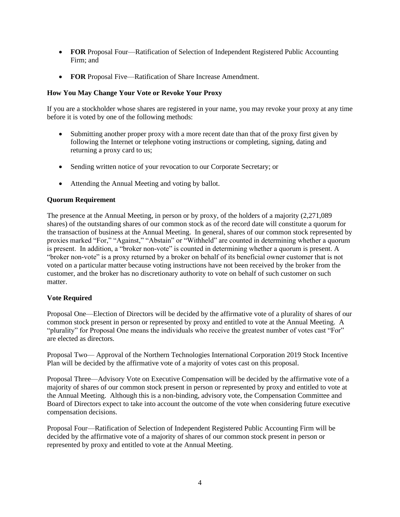- **FOR** Proposal Four—Ratification of Selection of Independent Registered Public Accounting Firm; and
- **FOR** Proposal Five—Ratification of Share Increase Amendment.

# <span id="page-9-0"></span>**How You May Change Your Vote or Revoke Your Proxy**

If you are a stockholder whose shares are registered in your name, you may revoke your proxy at any time before it is voted by one of the following methods:

- Submitting another proper proxy with a more recent date than that of the proxy first given by following the Internet or telephone voting instructions or completing, signing, dating and returning a proxy card to us;
- Sending written notice of your revocation to our Corporate Secretary; or
- Attending the Annual Meeting and voting by ballot.

# <span id="page-9-1"></span>**Quorum Requirement**

The presence at the Annual Meeting, in person or by proxy, of the holders of a majority (2,271,089 shares) of the outstanding shares of our common stock as of the record date will constitute a quorum for the transaction of business at the Annual Meeting. In general, shares of our common stock represented by proxies marked "For," "Against," "Abstain" or "Withheld" are counted in determining whether a quorum is present. In addition, a "broker non-vote" is counted in determining whether a quorum is present. A "broker non-vote" is a proxy returned by a broker on behalf of its beneficial owner customer that is not voted on a particular matter because voting instructions have not been received by the broker from the customer, and the broker has no discretionary authority to vote on behalf of such customer on such matter.

# <span id="page-9-2"></span>**Vote Required**

Proposal One—Election of Directors will be decided by the affirmative vote of a plurality of shares of our common stock present in person or represented by proxy and entitled to vote at the Annual Meeting. A "plurality" for Proposal One means the individuals who receive the greatest number of votes cast "For" are elected as directors.

Proposal Two— Approval of the Northern Technologies International Corporation 2019 Stock Incentive Plan will be decided by the affirmative vote of a majority of votes cast on this proposal.

Proposal Three—Advisory Vote on Executive Compensation will be decided by the affirmative vote of a majority of shares of our common stock present in person or represented by proxy and entitled to vote at the Annual Meeting. Although this is a non-binding, advisory vote, the Compensation Committee and Board of Directors expect to take into account the outcome of the vote when considering future executive compensation decisions.

Proposal Four—Ratification of Selection of Independent Registered Public Accounting Firm will be decided by the affirmative vote of a majority of shares of our common stock present in person or represented by proxy and entitled to vote at the Annual Meeting.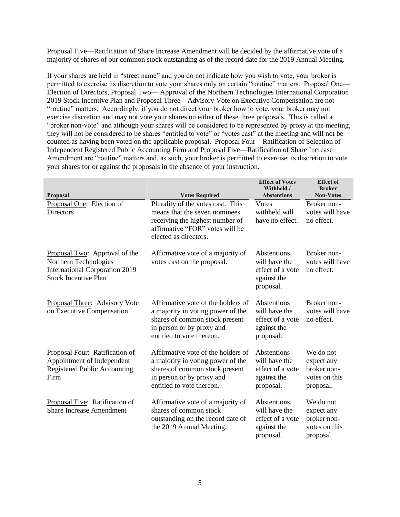Proposal Five—Ratification of Share Increase Amendment will be decided by the affirmative vote of a majority of shares of our common stock outstanding as of the record date for the 2019 Annual Meeting.

If your shares are held in "street name" and you do not indicate how you wish to vote, your broker is permitted to exercise its discretion to vote your shares only on certain "routine" matters. Proposal One— Election of Directors, Proposal Two— Approval of the Northern Technologies International Corporation 2019 Stock Incentive Plan and Proposal Three—Advisory Vote on Executive Compensation are not "routine" matters. Accordingly, if you do not direct your broker how to vote, your broker may not exercise discretion and may not vote your shares on either of these three proposals. This is called a "broker non-vote" and although your shares will be considered to be represented by proxy at the meeting, they will not be considered to be shares "entitled to vote" or "votes cast" at the meeting and will not be counted as having been voted on the applicable proposal. Proposal Four—Ratification of Selection of Independent Registered Public Accounting Firm and Proposal Five—Ratification of Share Increase Amendment are "routine" matters and, as such, your broker is permitted to exercise its discretion to vote your shares for or against the proposals in the absence of your instruction.

| <b>Proposal</b>                                                                                                                | <b>Votes Required</b>                                                                                                                                               | <b>Effect of Votes</b><br>Withheld /<br><b>Abstentions</b>                   | <b>Effect</b> of<br><b>Broker</b><br><b>Non-Votes</b>                |
|--------------------------------------------------------------------------------------------------------------------------------|---------------------------------------------------------------------------------------------------------------------------------------------------------------------|------------------------------------------------------------------------------|----------------------------------------------------------------------|
| Proposal One: Election of<br><b>Directors</b>                                                                                  | Plurality of the votes cast. This<br>means that the seven nominees<br>receiving the highest number of<br>affirmative "FOR" votes will be<br>elected as directors.   | <b>V</b> otes<br>withheld will<br>have no effect.                            | Broker non-<br>votes will have<br>no effect.                         |
| Proposal Two: Approval of the<br>Northern Technologies<br><b>International Corporation 2019</b><br><b>Stock Incentive Plan</b> | Affirmative vote of a majority of<br>votes cast on the proposal.                                                                                                    | Abstentions<br>will have the<br>effect of a vote<br>against the<br>proposal. | Broker non-<br>votes will have<br>no effect.                         |
| Proposal Three: Advisory Vote<br>on Executive Compensation                                                                     | Affirmative vote of the holders of<br>a majority in voting power of the<br>shares of common stock present<br>in person or by proxy and<br>entitled to vote thereon. | Abstentions<br>will have the<br>effect of a vote<br>against the<br>proposal. | Broker non-<br>votes will have<br>no effect.                         |
| Proposal Four: Ratification of<br>Appointment of Independent<br><b>Registered Public Accounting</b><br>Firm                    | Affirmative vote of the holders of<br>a majority in voting power of the<br>shares of common stock present<br>in person or by proxy and<br>entitled to vote thereon. | Abstentions<br>will have the<br>effect of a vote<br>against the<br>proposal. | We do not<br>expect any<br>broker non-<br>votes on this<br>proposal. |
| Proposal Five: Ratification of<br><b>Share Increase Amendment</b>                                                              | Affirmative vote of a majority of<br>shares of common stock<br>outstanding on the record date of<br>the 2019 Annual Meeting.                                        | Abstentions<br>will have the<br>effect of a vote<br>against the<br>proposal. | We do not<br>expect any<br>broker non-<br>votes on this<br>proposal. |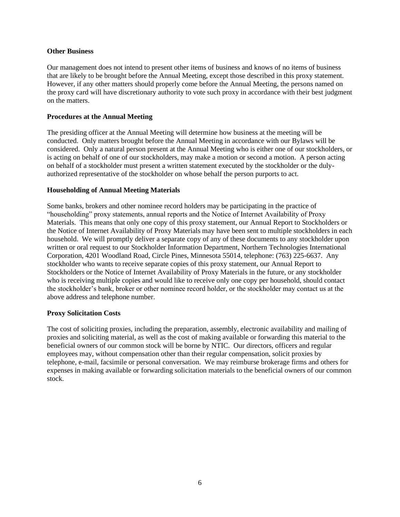#### <span id="page-11-0"></span>**Other Business**

Our management does not intend to present other items of business and knows of no items of business that are likely to be brought before the Annual Meeting, except those described in this proxy statement. However, if any other matters should properly come before the Annual Meeting, the persons named on the proxy card will have discretionary authority to vote such proxy in accordance with their best judgment on the matters.

## <span id="page-11-1"></span>**Procedures at the Annual Meeting**

The presiding officer at the Annual Meeting will determine how business at the meeting will be conducted. Only matters brought before the Annual Meeting in accordance with our Bylaws will be considered. Only a natural person present at the Annual Meeting who is either one of our stockholders, or is acting on behalf of one of our stockholders, may make a motion or second a motion. A person acting on behalf of a stockholder must present a written statement executed by the stockholder or the dulyauthorized representative of the stockholder on whose behalf the person purports to act.

# <span id="page-11-2"></span>**Householding of Annual Meeting Materials**

Some banks, brokers and other nominee record holders may be participating in the practice of "householding" proxy statements, annual reports and the Notice of Internet Availability of Proxy Materials. This means that only one copy of this proxy statement, our Annual Report to Stockholders or the Notice of Internet Availability of Proxy Materials may have been sent to multiple stockholders in each household. We will promptly deliver a separate copy of any of these documents to any stockholder upon written or oral request to our Stockholder Information Department, Northern Technologies International Corporation, 4201 Woodland Road, Circle Pines, Minnesota 55014, telephone: (763) 225-6637. Any stockholder who wants to receive separate copies of this proxy statement, our Annual Report to Stockholders or the Notice of Internet Availability of Proxy Materials in the future, or any stockholder who is receiving multiple copies and would like to receive only one copy per household, should contact the stockholder's bank, broker or other nominee record holder, or the stockholder may contact us at the above address and telephone number.

## <span id="page-11-3"></span>**Proxy Solicitation Costs**

The cost of soliciting proxies, including the preparation, assembly, electronic availability and mailing of proxies and soliciting material, as well as the cost of making available or forwarding this material to the beneficial owners of our common stock will be borne by NTIC. Our directors, officers and regular employees may, without compensation other than their regular compensation, solicit proxies by telephone, e-mail, facsimile or personal conversation. We may reimburse brokerage firms and others for expenses in making available or forwarding solicitation materials to the beneficial owners of our common stock.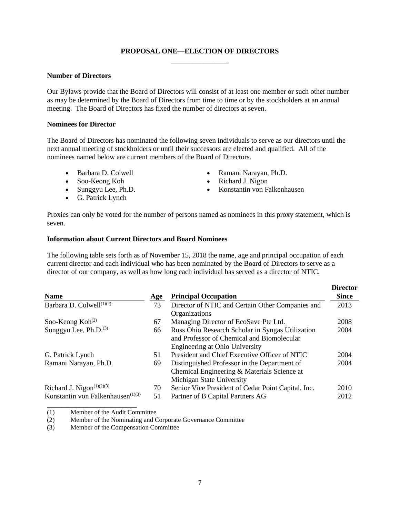#### **PROPOSAL ONE—ELECTION OF DIRECTORS**

#### <span id="page-12-1"></span><span id="page-12-0"></span>**Number of Directors**

Our Bylaws provide that the Board of Directors will consist of at least one member or such other number as may be determined by the Board of Directors from time to time or by the stockholders at an annual meeting. The Board of Directors has fixed the number of directors at seven.

#### <span id="page-12-2"></span>**Nominees for Director**

The Board of Directors has nominated the following seven individuals to serve as our directors until the next annual meeting of stockholders or until their successors are elected and qualified. All of the nominees named below are current members of the Board of Directors.

- 
- 
- 
- G. Patrick Lynch
- Barbara D. Colwell Ramani Narayan, Ph.D.
- Soo-Keong Koh Richard J. Nigon
- Sunggyu Lee, Ph.D. Konstantin von Falkenhausen

Proxies can only be voted for the number of persons named as nominees in this proxy statement, which is seven.

#### <span id="page-12-3"></span>**Information about Current Directors and Board Nominees**

The following table sets forth as of November 15, 2018 the name, age and principal occupation of each current director and each individual who has been nominated by the Board of Directors to serve as a director of our company, as well as how long each individual has served as a director of NTIC.

| Age | <b>Principal Occupation</b>                        | <b>Director</b><br><b>Since</b> |
|-----|----------------------------------------------------|---------------------------------|
| 73  | Director of NTIC and Certain Other Companies and   | 2013                            |
|     | Organizations                                      |                                 |
| 67  | Managing Director of EcoSave Pte Ltd.              | 2008                            |
| 66  | Russ Ohio Research Scholar in Syngas Utilization   | 2004                            |
|     | and Professor of Chemical and Biomolecular         |                                 |
|     | Engineering at Ohio University                     |                                 |
| 51  | President and Chief Executive Officer of NTIC      | 2004                            |
| 69  | Distinguished Professor in the Department of       | 2004                            |
|     | Chemical Engineering & Materials Science at        |                                 |
|     | Michigan State University                          |                                 |
| 70  | Senior Vice President of Cedar Point Capital, Inc. | 2010                            |
| 51  | Partner of B Capital Partners AG                   | 2012                            |
|     |                                                    |                                 |

(1) Member of the Audit Committee

(2) Member of the Nominating and Corporate Governance Committee

(3) Member of the Compensation Committee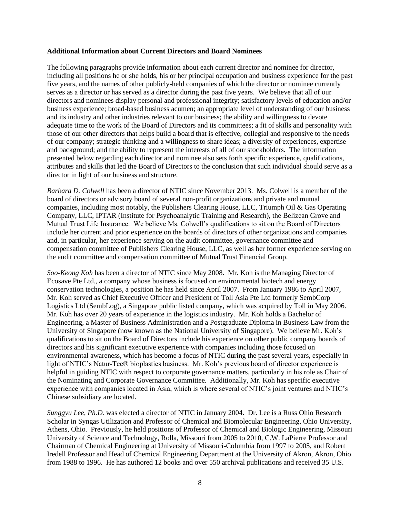#### <span id="page-13-0"></span>**Additional Information about Current Directors and Board Nominees**

The following paragraphs provide information about each current director and nominee for director, including all positions he or she holds, his or her principal occupation and business experience for the past five years, and the names of other publicly-held companies of which the director or nominee currently serves as a director or has served as a director during the past five years. We believe that all of our directors and nominees display personal and professional integrity; satisfactory levels of education and/or business experience; broad-based business acumen; an appropriate level of understanding of our business and its industry and other industries relevant to our business; the ability and willingness to devote adequate time to the work of the Board of Directors and its committees; a fit of skills and personality with those of our other directors that helps build a board that is effective, collegial and responsive to the needs of our company; strategic thinking and a willingness to share ideas; a diversity of experiences, expertise and background; and the ability to represent the interests of all of our stockholders. The information presented below regarding each director and nominee also sets forth specific experience, qualifications, attributes and skills that led the Board of Directors to the conclusion that such individual should serve as a director in light of our business and structure.

*Barbara D. Colwell* has been a director of NTIC since November 2013. Ms. Colwell is a member of the board of directors or advisory board of several non-profit organizations and private and mutual companies, including most notably, the Publishers Clearing House, LLC, Triumph Oil & Gas Operating Company, LLC, IPTAR (Institute for Psychoanalytic Training and Research), the Belizean Grove and Mutual Trust Life Insurance. We believe Ms. Colwell's qualifications to sit on the Board of Directors include her current and prior experience on the boards of directors of other organizations and companies and, in particular, her experience serving on the audit committee, governance committee and compensation committee of Publishers Clearing House, LLC, as well as her former experience serving on the audit committee and compensation committee of Mutual Trust Financial Group.

*Soo-Keong Koh* has been a director of NTIC since May 2008. Mr. Koh is the Managing Director of Ecosave Pte Ltd., a company whose business is focused on environmental biotech and energy conservation technologies, a position he has held since April 2007. From January 1986 to April 2007, Mr. Koh served as Chief Executive Officer and President of Toll Asia Pte Ltd formerly SembCorp Logistics Ltd (SembLog), a Singapore public listed company, which was acquired by Toll in May 2006. Mr. Koh has over 20 years of experience in the logistics industry. Mr. Koh holds a Bachelor of Engineering, a Master of Business Administration and a Postgraduate Diploma in Business Law from the University of Singapore (now known as the National University of Singapore). We believe Mr. Koh's qualifications to sit on the Board of Directors include his experience on other public company boards of directors and his significant executive experience with companies including those focused on environmental awareness, which has become a focus of NTIC during the past several years, especially in light of NTIC's Natur-Tec® bioplastics business. Mr. Koh's previous board of director experience is helpful in guiding NTIC with respect to corporate governance matters, particularly in his role as Chair of the Nominating and Corporate Governance Committee. Additionally, Mr. Koh has specific executive experience with companies located in Asia, which is where several of NTIC's joint ventures and NTIC's Chinese subsidiary are located.

*Sunggyu Lee, Ph.D.* was elected a director of NTIC in January 2004. Dr. Lee is a Russ Ohio Research Scholar in Syngas Utilization and Professor of Chemical and Biomolecular Engineering, Ohio University, Athens, Ohio. Previously, he held positions of Professor of Chemical and Biologic Engineering, Missouri University of Science and Technology, Rolla, Missouri from 2005 to 2010, C.W. LaPierre Professor and Chairman of Chemical Engineering at University of Missouri-Columbia from 1997 to 2005, and Robert Iredell Professor and Head of Chemical Engineering Department at the University of Akron, Akron, Ohio from 1988 to 1996. He has authored 12 books and over 550 archival publications and received 35 U.S.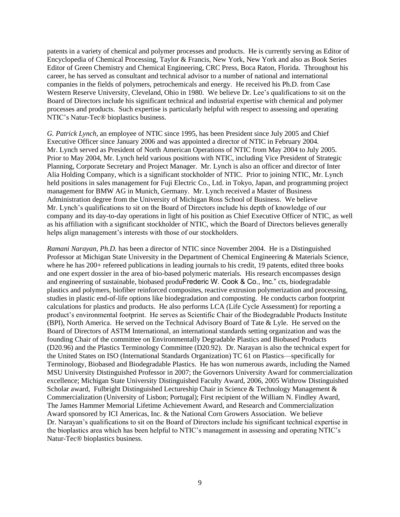patents in a variety of chemical and polymer processes and products. He is currently serving as Editor of Encyclopedia of Chemical Processing, Taylor & Francis, New York, New York and also as Book Series Editor of Green Chemistry and Chemical Engineering, CRC Press, Boca Raton, Florida. Throughout his career, he has served as consultant and technical advisor to a number of national and international companies in the fields of polymers, petrochemicals and energy. He received his Ph.D. from Case Western Reserve University, Cleveland, Ohio in 1980. We believe Dr. Lee's qualifications to sit on the Board of Directors include his significant technical and industrial expertise with chemical and polymer processes and products. Such expertise is particularly helpful with respect to assessing and operating NTIC's Natur-Tec® bioplastics business.

*G. Patrick Lynch*, an employee of NTIC since 1995, has been President since July 2005 and Chief Executive Officer since January 2006 and was appointed a director of NTIC in February 2004. Mr. Lynch served as President of North American Operations of NTIC from May 2004 to July 2005. Prior to May 2004, Mr. Lynch held various positions with NTIC, including Vice President of Strategic Planning, Corporate Secretary and Project Manager. Mr. Lynch is also an officer and director of Inter Alia Holding Company, which is a significant stockholder of NTIC. Prior to joining NTIC, Mr. Lynch held positions in sales management for Fuji Electric Co., Ltd. in Tokyo, Japan, and programming project management for BMW AG in Munich, Germany. Mr. Lynch received a Master of Business Administration degree from the University of Michigan Ross School of Business. We believe Mr. Lynch's qualifications to sit on the Board of Directors include his depth of knowledge of our company and its day-to-day operations in light of his position as Chief Executive Officer of NTIC, as well as his affiliation with a significant stockholder of NTIC, which the Board of Directors believes generally helps align management's interests with those of our stockholders.

*Ramani Narayan, Ph.D.* has been a director of NTIC since November 2004. He is a Distinguished Professor at Michigan State University in the Department of Chemical Engineering & Materials Science, where he has 200+ refereed publications in leading journals to his credit, 19 patents, edited three books and one expert dossier in the area of bio-based polymeric materials. His research encompasses design and engineering of sustainable, biobased produFrederic W. Cook & Co., Inc." cts, biodegradable plastics and polymers, biofiber reinforced composites, reactive extrusion polymerization and processing, studies in plastic end-of-life options like biodegradation and composting. He conducts carbon footprint calculations for plastics and products. He also performs LCA (Life Cycle Assessment) for reporting a product's environmental footprint. He serves as Scientific Chair of the Biodegradable Products Institute (BPI), North America. He served on the Technical Advisory Board of Tate & Lyle. He served on the Board of Directors of ASTM International, an international standards setting organization and was the founding Chair of the committee on Environmentally Degradable Plastics and Biobased Products (D20.96) and the Plastics Terminology Committee (D20.92). Dr. Narayan is also the technical expert for the United States on ISO (International Standards Organization) TC 61 on Plastics—specifically for Terminology, Biobased and Biodegradable Plastics. He has won numerous awards, including the Named MSU University Distinguished Professor in 2007; the Governors University Award for commercialization excellence; Michigan State University Distinguished Faculty Award, 2006, 2005 Withrow Distinguished Scholar award, Fulbright Distinguished Lectureship Chair in Science & Technology Management & Commercialization (University of Lisbon; Portugal); First recipient of the William N. Findley Award, The James Hammer Memorial Lifetime Achievement Award, and Research and Commercialization Award sponsored by ICI Americas, Inc. & the National Corn Growers Association. We believe Dr. Narayan's qualifications to sit on the Board of Directors include his significant technical expertise in the bioplastics area which has been helpful to NTIC's management in assessing and operating NTIC's Natur-Tec® bioplastics business.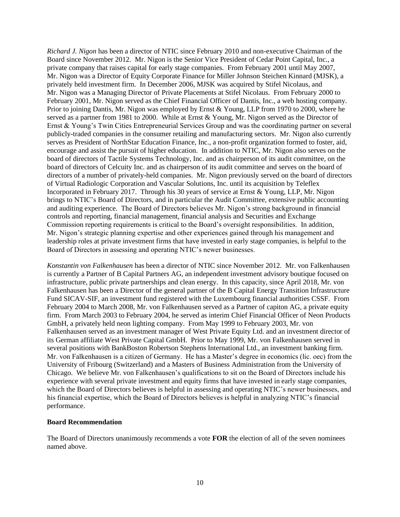*Richard J. Nigon* has been a director of NTIC since February 2010 and non-executive Chairman of the Board since November 2012. Mr. Nigon is the Senior Vice President of Cedar Point Capital, Inc., a private company that raises capital for early stage companies. From February 2001 until May 2007, Mr. Nigon was a Director of Equity Corporate Finance for Miller Johnson Steichen Kinnard (MJSK), a privately held investment firm. In December 2006, MJSK was acquired by Stifel Nicolaus, and Mr. Nigon was a Managing Director of Private Placements at Stifel Nicolaus. From February 2000 to February 2001, Mr. Nigon served as the Chief Financial Officer of Dantis, Inc., a web hosting company. Prior to joining Dantis, Mr. Nigon was employed by Ernst & Young, LLP from 1970 to 2000, where he served as a partner from 1981 to 2000. While at Ernst & Young, Mr. Nigon served as the Director of Ernst & Young's Twin Cities Entrepreneurial Services Group and was the coordinating partner on several publicly-traded companies in the consumer retailing and manufacturing sectors. Mr. Nigon also currently serves as President of NorthStar Education Finance, Inc., a non-profit organization formed to foster, aid, encourage and assist the pursuit of higher education. In addition to NTIC, Mr. Nigon also serves on the board of directors of Tactile Systems Technology, Inc. and as chairperson of its audit committee, on the board of directors of Celcuity Inc. and as chairperson of its audit committee and serves on the board of directors of a number of privately-held companies. Mr. Nigon previously served on the board of directors of Virtual Radiologic Corporation and Vascular Solutions, Inc. until its acquisition by Teleflex Incorporated in February 2017. Through his 30 years of service at Ernst & Young, LLP, Mr. Nigon brings to NTIC's Board of Directors, and in particular the Audit Committee, extensive public accounting and auditing experience. The Board of Directors believes Mr. Nigon's strong background in financial controls and reporting, financial management, financial analysis and Securities and Exchange Commission reporting requirements is critical to the Board's oversight responsibilities. In addition, Mr. Nigon's strategic planning expertise and other experiences gained through his management and leadership roles at private investment firms that have invested in early stage companies, is helpful to the Board of Directors in assessing and operating NTIC's newer businesses.

*Konstantin von Falkenhausen* has been a director of NTIC since November 2012. Mr. von Falkenhausen is currently a Partner of B Capital Partners AG, an independent investment advisory boutique focused on infrastructure, public private partnerships and clean energy. In this capacity, since April 2018, Mr. von Falkenhausen has been a Director of the general partner of the B Capital Energy Transition Infrastructure Fund SICAV-SIF, an investment fund registered with the Luxembourg financial authorities CSSF. From February 2004 to March 2008, Mr. von Falkenhausen served as a Partner of capiton AG, a private equity firm. From March 2003 to February 2004, he served as interim Chief Financial Officer of Neon Products GmbH, a privately held neon lighting company. From May 1999 to February 2003, Mr. von Falkenhausen served as an investment manager of West Private Equity Ltd. and an investment director of its German affiliate West Private Capital GmbH. Prior to May 1999, Mr. von Falkenhausen served in several positions with BankBoston Robertson Stephens International Ltd., an investment banking firm. Mr. von Falkenhausen is a citizen of Germany. He has a Master's degree in economics (lic. oec) from the University of Fribourg (Switzerland) and a Masters of Business Administration from the University of Chicago. We believe Mr. von Falkenhausen's qualifications to sit on the Board of Directors include his experience with several private investment and equity firms that have invested in early stage companies, which the Board of Directors believes is helpful in assessing and operating NTIC's newer businesses, and his financial expertise, which the Board of Directors believes is helpful in analyzing NTIC's financial performance.

## <span id="page-15-0"></span>**Board Recommendation**

The Board of Directors unanimously recommends a vote **FOR** the election of all of the seven nominees named above.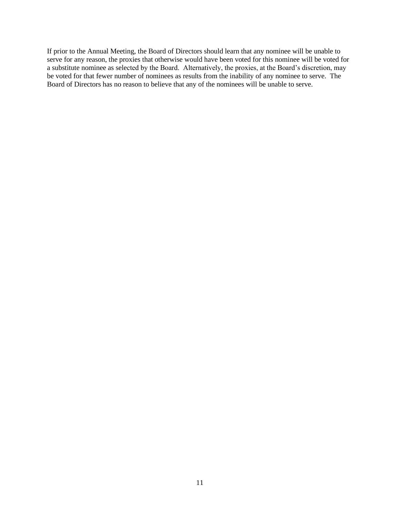If prior to the Annual Meeting, the Board of Directors should learn that any nominee will be unable to serve for any reason, the proxies that otherwise would have been voted for this nominee will be voted for a substitute nominee as selected by the Board. Alternatively, the proxies, at the Board's discretion, may be voted for that fewer number of nominees as results from the inability of any nominee to serve. The Board of Directors has no reason to believe that any of the nominees will be unable to serve.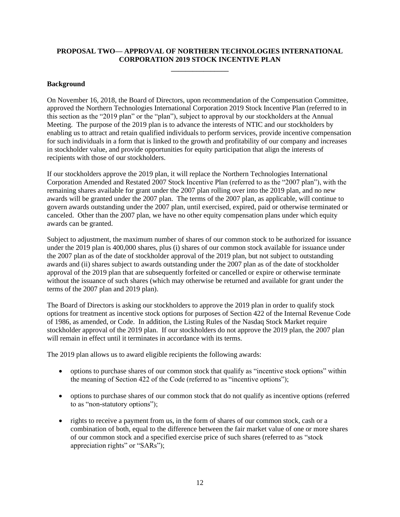## <span id="page-17-0"></span>**PROPOSAL TWO— APPROVAL OF NORTHERN TECHNOLOGIES INTERNATIONAL CORPORATION 2019 STOCK INCENTIVE PLAN**

#### <span id="page-17-1"></span>**Background**

On November 16, 2018, the Board of Directors, upon recommendation of the Compensation Committee, approved the Northern Technologies International Corporation 2019 Stock Incentive Plan (referred to in this section as the "2019 plan" or the "plan"), subject to approval by our stockholders at the Annual Meeting. The purpose of the 2019 plan is to advance the interests of NTIC and our stockholders by enabling us to attract and retain qualified individuals to perform services, provide incentive compensation for such individuals in a form that is linked to the growth and profitability of our company and increases in stockholder value, and provide opportunities for equity participation that align the interests of recipients with those of our stockholders.

If our stockholders approve the 2019 plan, it will replace the Northern Technologies International Corporation Amended and Restated 2007 Stock Incentive Plan (referred to as the "2007 plan"), with the remaining shares available for grant under the 2007 plan rolling over into the 2019 plan, and no new awards will be granted under the 2007 plan. The terms of the 2007 plan, as applicable, will continue to govern awards outstanding under the 2007 plan, until exercised, expired, paid or otherwise terminated or canceled. Other than the 2007 plan, we have no other equity compensation plans under which equity awards can be granted.

Subject to adjustment, the maximum number of shares of our common stock to be authorized for issuance under the 2019 plan is 400,000 shares, plus (i) shares of our common stock available for issuance under the 2007 plan as of the date of stockholder approval of the 2019 plan, but not subject to outstanding awards and (ii) shares subject to awards outstanding under the 2007 plan as of the date of stockholder approval of the 2019 plan that are subsequently forfeited or cancelled or expire or otherwise terminate without the issuance of such shares (which may otherwise be returned and available for grant under the terms of the 2007 plan and 2019 plan).

The Board of Directors is asking our stockholders to approve the 2019 plan in order to qualify stock options for treatment as incentive stock options for purposes of Section 422 of the Internal Revenue Code of 1986, as amended, or Code. In addition, the Listing Rules of the Nasdaq Stock Market require stockholder approval of the 2019 plan. If our stockholders do not approve the 2019 plan, the 2007 plan will remain in effect until it terminates in accordance with its terms.

The 2019 plan allows us to award eligible recipients the following awards:

- options to purchase shares of our common stock that qualify as "incentive stock options" within the meaning of Section 422 of the Code (referred to as "incentive options");
- options to purchase shares of our common stock that do not qualify as incentive options (referred to as "non-statutory options");
- rights to receive a payment from us, in the form of shares of our common stock, cash or a combination of both, equal to the difference between the fair market value of one or more shares of our common stock and a specified exercise price of such shares (referred to as "stock appreciation rights" or "SARs");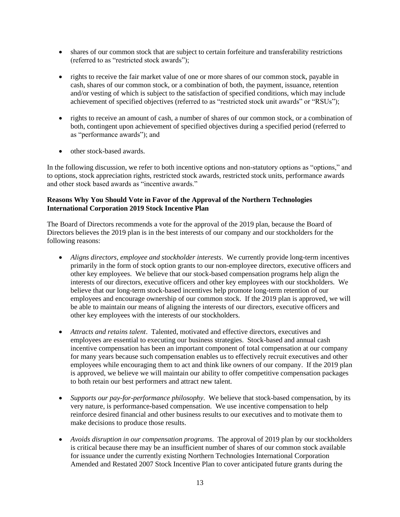- shares of our common stock that are subject to certain for feiture and transferability restrictions (referred to as "restricted stock awards");
- rights to receive the fair market value of one or more shares of our common stock, payable in cash, shares of our common stock, or a combination of both, the payment, issuance, retention and/or vesting of which is subject to the satisfaction of specified conditions, which may include achievement of specified objectives (referred to as "restricted stock unit awards" or "RSUs");
- rights to receive an amount of cash, a number of shares of our common stock, or a combination of both, contingent upon achievement of specified objectives during a specified period (referred to as "performance awards"); and
- other stock-based awards.

In the following discussion, we refer to both incentive options and non-statutory options as "options," and to options, stock appreciation rights, restricted stock awards, restricted stock units, performance awards and other stock based awards as "incentive awards."

# <span id="page-18-0"></span>**Reasons Why You Should Vote in Favor of the Approval of the Northern Technologies International Corporation 2019 Stock Incentive Plan**

The Board of Directors recommends a vote for the approval of the 2019 plan, because the Board of Directors believes the 2019 plan is in the best interests of our company and our stockholders for the following reasons:

- *Aligns directors, employee and stockholder interests*. We currently provide long-term incentives primarily in the form of stock option grants to our non-employee directors, executive officers and other key employees. We believe that our stock-based compensation programs help align the interests of our directors, executive officers and other key employees with our stockholders. We believe that our long-term stock-based incentives help promote long-term retention of our employees and encourage ownership of our common stock. If the 2019 plan is approved, we will be able to maintain our means of aligning the interests of our directors, executive officers and other key employees with the interests of our stockholders.
- *Attracts and retains talent*. Talented, motivated and effective directors, executives and employees are essential to executing our business strategies. Stock-based and annual cash incentive compensation has been an important component of total compensation at our company for many years because such compensation enables us to effectively recruit executives and other employees while encouraging them to act and think like owners of our company. If the 2019 plan is approved, we believe we will maintain our ability to offer competitive compensation packages to both retain our best performers and attract new talent.
- *Supports our pay-for-performance philosophy*. We believe that stock-based compensation, by its very nature, is performance-based compensation. We use incentive compensation to help reinforce desired financial and other business results to our executives and to motivate them to make decisions to produce those results.
- *Avoids disruption in our compensation programs*. The approval of 2019 plan by our stockholders is critical because there may be an insufficient number of shares of our common stock available for issuance under the currently existing Northern Technologies International Corporation Amended and Restated 2007 Stock Incentive Plan to cover anticipated future grants during the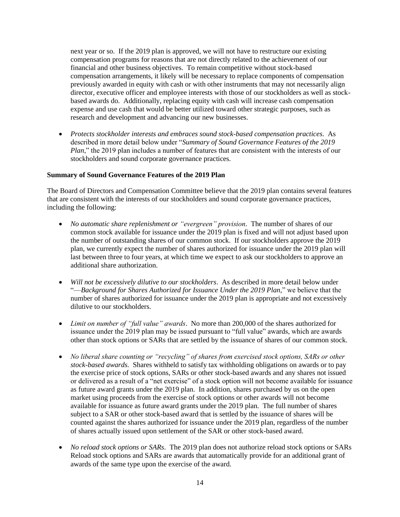next year or so. If the 2019 plan is approved, we will not have to restructure our existing compensation programs for reasons that are not directly related to the achievement of our financial and other business objectives. To remain competitive without stock-based compensation arrangements, it likely will be necessary to replace components of compensation previously awarded in equity with cash or with other instruments that may not necessarily align director, executive officer and employee interests with those of our stockholders as well as stockbased awards do. Additionally, replacing equity with cash will increase cash compensation expense and use cash that would be better utilized toward other strategic purposes, such as research and development and advancing our new businesses.

• *Protects stockholder interests and embraces sound stock-based compensation practices*. As described in more detail below under "*Summary of Sound Governance Features of the 2019 Plan*," the 2019 plan includes a number of features that are consistent with the interests of our stockholders and sound corporate governance practices.

#### <span id="page-19-0"></span>**Summary of Sound Governance Features of the 2019 Plan**

The Board of Directors and Compensation Committee believe that the 2019 plan contains several features that are consistent with the interests of our stockholders and sound corporate governance practices, including the following:

- *No automatic share replenishment or "evergreen" provision*. The number of shares of our common stock available for issuance under the 2019 plan is fixed and will not adjust based upon the number of outstanding shares of our common stock. If our stockholders approve the 2019 plan, we currently expect the number of shares authorized for issuance under the 2019 plan will last between three to four years, at which time we expect to ask our stockholders to approve an additional share authorization.
- *Will not be excessively dilutive to our stockholders*. As described in more detail below under "—*Background for Shares Authorized for Issuance Under the 2019 Plan,*" we believe that the number of shares authorized for issuance under the 2019 plan is appropriate and not excessively dilutive to our stockholders.
- *Limit on number of "full value" awards*. No more than 200,000 of the shares authorized for issuance under the 2019 plan may be issued pursuant to "full value" awards, which are awards other than stock options or SARs that are settled by the issuance of shares of our common stock.
- *No liberal share counting or "recycling" of shares from exercised stock options, SARs or other stock-based awards.* Shares withheld to satisfy tax withholding obligations on awards or to pay the exercise price of stock options, SARs or other stock-based awards and any shares not issued or delivered as a result of a "net exercise" of a stock option will not become available for issuance as future award grants under the 2019 plan. In addition, shares purchased by us on the open market using proceeds from the exercise of stock options or other awards will not become available for issuance as future award grants under the 2019 plan. The full number of shares subject to a SAR or other stock-based award that is settled by the issuance of shares will be counted against the shares authorized for issuance under the 2019 plan, regardless of the number of shares actually issued upon settlement of the SAR or other stock-based award.
- *No reload stock options or SARs*. The 2019 plan does not authorize reload stock options or SARs Reload stock options and SARs are awards that automatically provide for an additional grant of awards of the same type upon the exercise of the award.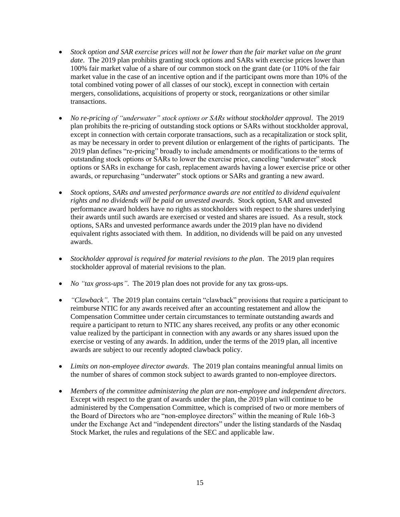- *Stock option and SAR exercise prices will not be lower than the fair market value on the grant date*. The 2019 plan prohibits granting stock options and SARs with exercise prices lower than 100% fair market value of a share of our common stock on the grant date (or 110% of the fair market value in the case of an incentive option and if the participant owns more than 10% of the total combined voting power of all classes of our stock), except in connection with certain mergers, consolidations, acquisitions of property or stock, reorganizations or other similar transactions.
- *No re-pricing of "underwater" stock options or SARs without stockholder approval*. The 2019 plan prohibits the re-pricing of outstanding stock options or SARs without stockholder approval, except in connection with certain corporate transactions, such as a recapitalization or stock split, as may be necessary in order to prevent dilution or enlargement of the rights of participants. The 2019 plan defines "re-pricing" broadly to include amendments or modifications to the terms of outstanding stock options or SARs to lower the exercise price, canceling "underwater" stock options or SARs in exchange for cash, replacement awards having a lower exercise price or other awards, or repurchasing "underwater" stock options or SARs and granting a new award.
- *Stock options, SARs and unvested performance awards are not entitled to dividend equivalent rights and no dividends will be paid on unvested awards*. Stock option, SAR and unvested performance award holders have no rights as stockholders with respect to the shares underlying their awards until such awards are exercised or vested and shares are issued. As a result, stock options, SARs and unvested performance awards under the 2019 plan have no dividend equivalent rights associated with them. In addition, no dividends will be paid on any unvested awards.
- *Stockholder approval is required for material revisions to the plan*. The 2019 plan requires stockholder approval of material revisions to the plan.
- *No "tax gross-ups"*. The 2019 plan does not provide for any tax gross-ups.
- *"Clawback"*. The 2019 plan contains certain "clawback" provisions that require a participant to reimburse NTIC for any awards received after an accounting restatement and allow the Compensation Committee under certain circumstances to terminate outstanding awards and require a participant to return to NTIC any shares received, any profits or any other economic value realized by the participant in connection with any awards or any shares issued upon the exercise or vesting of any awards. In addition, under the terms of the 2019 plan, all incentive awards are subject to our recently adopted clawback policy.
- *Limits on non-employee director awards*. The 2019 plan contains meaningful annual limits on the number of shares of common stock subject to awards granted to non-employee directors.
- *Members of the committee administering the plan are non-employee and independent directors*. Except with respect to the grant of awards under the plan, the 2019 plan will continue to be administered by the Compensation Committee, which is comprised of two or more members of the Board of Directors who are "non-employee directors" within the meaning of Rule 16b-3 under the Exchange Act and "independent directors" under the listing standards of the Nasdaq Stock Market, the rules and regulations of the SEC and applicable law.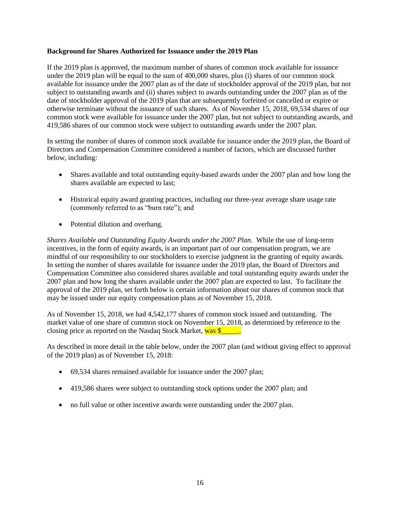#### **Background for Shares Authorized for Issuance under the 2019 Plan**

If the 2019 plan is approved, the maximum number of shares of common stock available for issuance under the 2019 plan will be equal to the sum of 400,000 shares, plus (i) shares of our common stock available for issuance under the 2007 plan as of the date of stockholder approval of the 2019 plan, but not subject to outstanding awards and (ii) shares subject to awards outstanding under the 2007 plan as of the date of stockholder approval of the 2019 plan that are subsequently forfeited or cancelled or expire or otherwise terminate without the issuance of such shares. As of November 15, 2018, 69,534 shares of our common stock were available for issuance under the 2007 plan, but not subject to outstanding awards, and 419,586 shares of our common stock were subject to outstanding awards under the 2007 plan.

In setting the number of shares of common stock available for issuance under the 2019 plan, the Board of Directors and Compensation Committee considered a number of factors, which are discussed further below, including:

- Shares available and total outstanding equity-based awards under the 2007 plan and how long the shares available are expected to last;
- Historical equity award granting practices, including our three-year average share usage rate (commonly referred to as "burn rate"); and
- Potential dilution and overhang.

*Shares Available and Outstanding Equity Awards under the 2007 Plan*. While the use of long-term incentives, in the form of equity awards, is an important part of our compensation program, we are mindful of our responsibility to our stockholders to exercise judgment in the granting of equity awards. In setting the number of shares available for issuance under the 2019 plan, the Board of Directors and Compensation Committee also considered shares available and total outstanding equity awards under the 2007 plan and how long the shares available under the 2007 plan are expected to last. To facilitate the approval of the 2019 plan, set forth below is certain information about our shares of common stock that may be issued under our equity compensation plans as of November 15, 2018.

As of November 15, 2018, we had 4,542,177 shares of common stock issued and outstanding. The market value of one share of common stock on November 15, 2018, as determined by reference to the closing price as reported on the Nasdaq Stock Market, was  $\frac{1}{2}$ .

As described in more detail in the table below, under the 2007 plan (and without giving effect to approval of the 2019 plan) as of November 15, 2018:

- 69,534 shares remained available for issuance under the 2007 plan;
- 419,586 shares were subject to outstanding stock options under the 2007 plan; and
- no full value or other incentive awards were outstanding under the 2007 plan.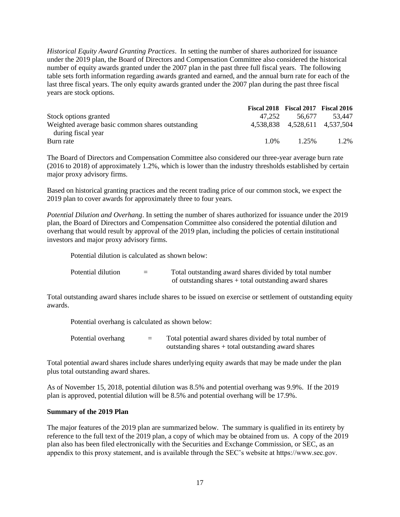*Historical Equity Award Granting Practices*. In setting the number of shares authorized for issuance under the 2019 plan, the Board of Directors and Compensation Committee also considered the historical number of equity awards granted under the 2007 plan in the past three full fiscal years. The following table sets forth information regarding awards granted and earned, and the annual burn rate for each of the last three fiscal years. The only equity awards granted under the 2007 plan during the past three fiscal years are stock options.

|                                                                        |         | <b>Fiscal 2018</b> Fiscal 2017 Fiscal 2016 |        |
|------------------------------------------------------------------------|---------|--------------------------------------------|--------|
| Stock options granted                                                  | 47.252  | 56.677                                     | 53.447 |
| Weighted average basic common shares outstanding<br>during fiscal year |         | 4,538,838 4,528,611 4,537,504              |        |
| Burn rate                                                              | $1.0\%$ | 1 25%                                      | 1.2%   |

The Board of Directors and Compensation Committee also considered our three-year average burn rate (2016 to 2018) of approximately 1.2%, which is lower than the industry thresholds established by certain major proxy advisory firms.

Based on historical granting practices and the recent trading price of our common stock, we expect the 2019 plan to cover awards for approximately three to four years.

*Potential Dilution and Overhang*. In setting the number of shares authorized for issuance under the 2019 plan, the Board of Directors and Compensation Committee also considered the potential dilution and overhang that would result by approval of the 2019 plan, including the policies of certain institutional investors and major proxy advisory firms.

Potential dilution is calculated as shown below:

| Potential dilution | $\overline{\phantom{0}}$<br>$\overline{\phantom{0}}$ | Total outstanding award shares divided by total number |  |
|--------------------|------------------------------------------------------|--------------------------------------------------------|--|
|                    |                                                      | of outstanding shares + total outstanding award shares |  |

Total outstanding award shares include shares to be issued on exercise or settlement of outstanding equity awards.

Potential overhang is calculated as shown below:

| Potential overhang | $=$ | Total potential award shares divided by total number of |
|--------------------|-----|---------------------------------------------------------|
|                    |     | outstanding shares + total outstanding award shares     |

Total potential award shares include shares underlying equity awards that may be made under the plan plus total outstanding award shares.

As of November 15, 2018, potential dilution was 8.5% and potential overhang was 9.9%. If the 2019 plan is approved, potential dilution will be 8.5% and potential overhang will be 17.9%.

#### <span id="page-22-0"></span>**Summary of the 2019 Plan**

The major features of the 2019 plan are summarized below. The summary is qualified in its entirety by reference to the full text of the 2019 plan, a copy of which may be obtained from us. A copy of the 2019 plan also has been filed electronically with the Securities and Exchange Commission, or SEC, as an appendix to this proxy statement, and is available through the SEC's website at https://www.sec.gov.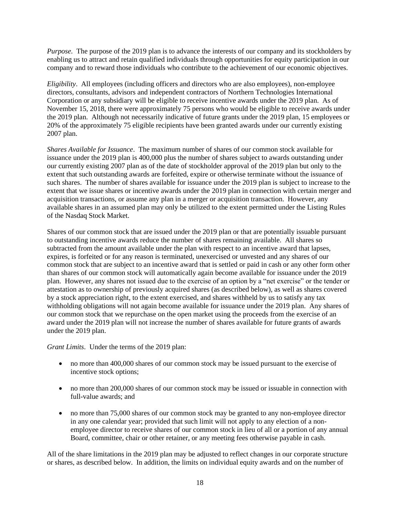*Purpose.* The purpose of the 2019 plan is to advance the interests of our company and its stockholders by enabling us to attract and retain qualified individuals through opportunities for equity participation in our company and to reward those individuals who contribute to the achievement of our economic objectives.

*Eligibility*. All employees (including officers and directors who are also employees), non-employee directors, consultants, advisors and independent contractors of Northern Technologies International Corporation or any subsidiary will be eligible to receive incentive awards under the 2019 plan. As of November 15, 2018, there were approximately 75 persons who would be eligible to receive awards under the 2019 plan. Although not necessarily indicative of future grants under the 2019 plan, 15 employees or 20% of the approximately 75 eligible recipients have been granted awards under our currently existing 2007 plan.

*Shares Available for Issuance*. The maximum number of shares of our common stock available for issuance under the 2019 plan is 400,000 plus the number of shares subject to awards outstanding under our currently existing 2007 plan as of the date of stockholder approval of the 2019 plan but only to the extent that such outstanding awards are forfeited, expire or otherwise terminate without the issuance of such shares. The number of shares available for issuance under the 2019 plan is subject to increase to the extent that we issue shares or incentive awards under the 2019 plan in connection with certain merger and acquisition transactions, or assume any plan in a merger or acquisition transaction. However, any available shares in an assumed plan may only be utilized to the extent permitted under the Listing Rules of the Nasdaq Stock Market.

Shares of our common stock that are issued under the 2019 plan or that are potentially issuable pursuant to outstanding incentive awards reduce the number of shares remaining available. All shares so subtracted from the amount available under the plan with respect to an incentive award that lapses, expires, is forfeited or for any reason is terminated, unexercised or unvested and any shares of our common stock that are subject to an incentive award that is settled or paid in cash or any other form other than shares of our common stock will automatically again become available for issuance under the 2019 plan. However, any shares not issued due to the exercise of an option by a "net exercise" or the tender or attestation as to ownership of previously acquired shares (as described below), as well as shares covered by a stock appreciation right, to the extent exercised, and shares withheld by us to satisfy any tax withholding obligations will not again become available for issuance under the 2019 plan. Any shares of our common stock that we repurchase on the open market using the proceeds from the exercise of an award under the 2019 plan will not increase the number of shares available for future grants of awards under the 2019 plan.

*Grant Limits*. Under the terms of the 2019 plan:

- no more than 400,000 shares of our common stock may be issued pursuant to the exercise of incentive stock options;
- no more than 200,000 shares of our common stock may be issued or issuable in connection with full-value awards; and
- no more than 75,000 shares of our common stock may be granted to any non-employee director in any one calendar year; provided that such limit will not apply to any election of a nonemployee director to receive shares of our common stock in lieu of all or a portion of any annual Board, committee, chair or other retainer, or any meeting fees otherwise payable in cash.

All of the share limitations in the 2019 plan may be adjusted to reflect changes in our corporate structure or shares, as described below. In addition, the limits on individual equity awards and on the number of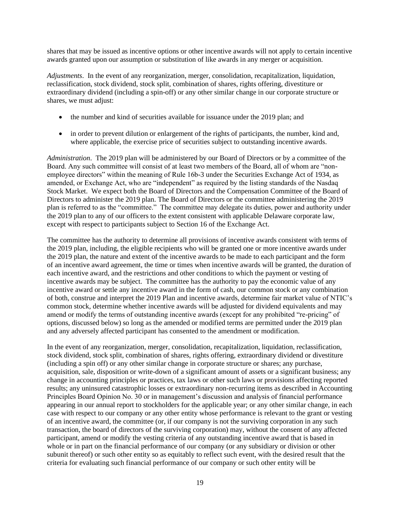shares that may be issued as incentive options or other incentive awards will not apply to certain incentive awards granted upon our assumption or substitution of like awards in any merger or acquisition.

*Adjustments*. In the event of any reorganization, merger, consolidation, recapitalization, liquidation, reclassification, stock dividend, stock split, combination of shares, rights offering, divestiture or extraordinary dividend (including a spin-off) or any other similar change in our corporate structure or shares, we must adjust:

- the number and kind of securities available for issuance under the 2019 plan; and
- in order to prevent dilution or enlargement of the rights of participants, the number, kind and, where applicable, the exercise price of securities subject to outstanding incentive awards.

*Administration*. The 2019 plan will be administered by our Board of Directors or by a committee of the Board. Any such committee will consist of at least two members of the Board, all of whom are "nonemployee directors" within the meaning of Rule 16b-3 under the Securities Exchange Act of 1934, as amended, or Exchange Act, who are "independent" as required by the listing standards of the Nasdaq Stock Market. We expect both the Board of Directors and the Compensation Committee of the Board of Directors to administer the 2019 plan. The Board of Directors or the committee administering the 2019 plan is referred to as the "committee." The committee may delegate its duties, power and authority under the 2019 plan to any of our officers to the extent consistent with applicable Delaware corporate law, except with respect to participants subject to Section 16 of the Exchange Act.

The committee has the authority to determine all provisions of incentive awards consistent with terms of the 2019 plan, including, the eligible recipients who will be granted one or more incentive awards under the 2019 plan, the nature and extent of the incentive awards to be made to each participant and the form of an incentive award agreement, the time or times when incentive awards will be granted, the duration of each incentive award, and the restrictions and other conditions to which the payment or vesting of incentive awards may be subject. The committee has the authority to pay the economic value of any incentive award or settle any incentive award in the form of cash, our common stock or any combination of both, construe and interpret the 2019 Plan and incentive awards, determine fair market value of NTIC's common stock, determine whether incentive awards will be adjusted for dividend equivalents and may amend or modify the terms of outstanding incentive awards (except for any prohibited "re-pricing" of options, discussed below) so long as the amended or modified terms are permitted under the 2019 plan and any adversely affected participant has consented to the amendment or modification.

In the event of any reorganization, merger, consolidation, recapitalization, liquidation, reclassification, stock dividend, stock split, combination of shares, rights offering, extraordinary dividend or divestiture (including a spin off) or any other similar change in corporate structure or shares; any purchase, acquisition, sale, disposition or write-down of a significant amount of assets or a significant business; any change in accounting principles or practices, tax laws or other such laws or provisions affecting reported results; any uninsured catastrophic losses or extraordinary non-recurring items as described in Accounting Principles Board Opinion No. 30 or in management's discussion and analysis of financial performance appearing in our annual report to stockholders for the applicable year; or any other similar change, in each case with respect to our company or any other entity whose performance is relevant to the grant or vesting of an incentive award, the committee (or, if our company is not the surviving corporation in any such transaction, the board of directors of the surviving corporation) may, without the consent of any affected participant, amend or modify the vesting criteria of any outstanding incentive award that is based in whole or in part on the financial performance of our company (or any subsidiary or division or other subunit thereof) or such other entity so as equitably to reflect such event, with the desired result that the criteria for evaluating such financial performance of our company or such other entity will be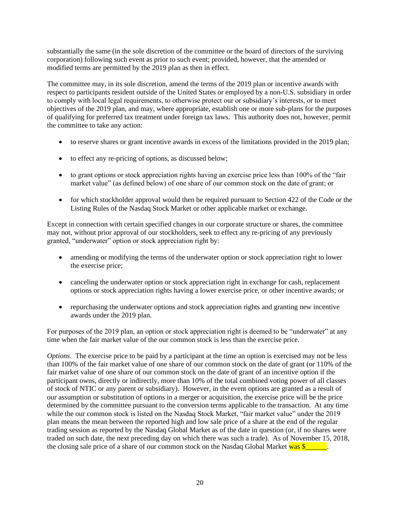substantially the same (in the sole discretion of the committee or the board of directors of the surviving corporation) following such event as prior to such event; provided, however, that the amended or modified terms are permitted by the 2019 plan as then in effect.

The committee may, in its sole discretion, amend the terms of the 2019 plan or incentive awards with respect to participants resident outside of the United States or employed by a non-U.S. subsidiary in order to comply with local legal requirements, to otherwise protect our or subsidiary's interests, or to meet objectives of the 2019 plan, and may, where appropriate, establish one or more sub-plans for the purposes of qualifying for preferred tax treatment under foreign tax laws. This authority does not, however, permit the committee to take any action:

- to reserve shares or grant incentive awards in excess of the limitations provided in the 2019 plan;
- to effect any re-pricing of options, as discussed below;
- to grant options or stock appreciation rights having an exercise price less than 100% of the "fair" market value" (as defined below) of one share of our common stock on the date of grant; or
- for which stockholder approval would then be required pursuant to Section 422 of the Code or the Listing Rules of the Nasdaq Stock Market or other applicable market or exchange.

Except in connection with certain specified changes in our corporate structure or shares, the committee may not, without prior approval of our stockholders, seek to effect any re-pricing of any previously granted, "underwater" option or stock appreciation right by:

- amending or modifying the terms of the underwater option or stock appreciation right to lower the exercise price;
- canceling the underwater option or stock appreciation right in exchange for cash, replacement options or stock appreciation rights having a lower exercise price, or other incentive awards; or
- repurchasing the underwater options and stock appreciation rights and granting new incentive awards under the 2019 plan.

For purposes of the 2019 plan, an option or stock appreciation right is deemed to be "underwater" at any time when the fair market value of the our common stock is less than the exercise price.

*Options*. The exercise price to be paid by a participant at the time an option is exercised may not be less than 100% of the fair market value of one share of our common stock on the date of grant (or 110% of the fair market value of one share of our common stock on the date of grant of an incentive option if the participant owns, directly or indirectly, more than 10% of the total combined voting power of all classes of stock of NTIC or any parent or subsidiary). However, in the event options are granted as a result of our assumption or substitution of options in a merger or acquisition, the exercise price will be the price determined by the committee pursuant to the conversion terms applicable to the transaction. At any time while the our common stock is listed on the Nasdaq Stock Market, "fair market value" under the 2019 plan means the mean between the reported high and low sale price of a share at the end of the regular trading session as reported by the Nasdaq Global Market as of the date in question (or, if no shares were traded on such date, the next preceding day on which there was such a trade). As of November 15, 2018, the closing sale price of a share of our common stock on the Nasdaq Global Market was \$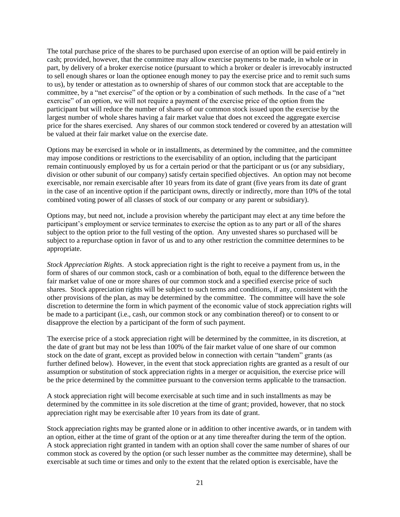The total purchase price of the shares to be purchased upon exercise of an option will be paid entirely in cash; provided, however, that the committee may allow exercise payments to be made, in whole or in part, by delivery of a broker exercise notice (pursuant to which a broker or dealer is irrevocably instructed to sell enough shares or loan the optionee enough money to pay the exercise price and to remit such sums to us), by tender or attestation as to ownership of shares of our common stock that are acceptable to the committee, by a "net exercise" of the option or by a combination of such methods. In the case of a "net exercise" of an option, we will not require a payment of the exercise price of the option from the participant but will reduce the number of shares of our common stock issued upon the exercise by the largest number of whole shares having a fair market value that does not exceed the aggregate exercise price for the shares exercised. Any shares of our common stock tendered or covered by an attestation will be valued at their fair market value on the exercise date.

Options may be exercised in whole or in installments, as determined by the committee, and the committee may impose conditions or restrictions to the exercisability of an option, including that the participant remain continuously employed by us for a certain period or that the participant or us (or any subsidiary, division or other subunit of our company) satisfy certain specified objectives. An option may not become exercisable, nor remain exercisable after 10 years from its date of grant (five years from its date of grant in the case of an incentive option if the participant owns, directly or indirectly, more than 10% of the total combined voting power of all classes of stock of our company or any parent or subsidiary).

Options may, but need not, include a provision whereby the participant may elect at any time before the participant's employment or service terminates to exercise the option as to any part or all of the shares subject to the option prior to the full vesting of the option. Any unvested shares so purchased will be subject to a repurchase option in favor of us and to any other restriction the committee determines to be appropriate.

*Stock Appreciation Rights*. A stock appreciation right is the right to receive a payment from us, in the form of shares of our common stock, cash or a combination of both, equal to the difference between the fair market value of one or more shares of our common stock and a specified exercise price of such shares. Stock appreciation rights will be subject to such terms and conditions, if any, consistent with the other provisions of the plan, as may be determined by the committee. The committee will have the sole discretion to determine the form in which payment of the economic value of stock appreciation rights will be made to a participant (i.e., cash, our common stock or any combination thereof) or to consent to or disapprove the election by a participant of the form of such payment.

The exercise price of a stock appreciation right will be determined by the committee, in its discretion, at the date of grant but may not be less than 100% of the fair market value of one share of our common stock on the date of grant, except as provided below in connection with certain "tandem" grants (as further defined below). However, in the event that stock appreciation rights are granted as a result of our assumption or substitution of stock appreciation rights in a merger or acquisition, the exercise price will be the price determined by the committee pursuant to the conversion terms applicable to the transaction.

A stock appreciation right will become exercisable at such time and in such installments as may be determined by the committee in its sole discretion at the time of grant; provided, however, that no stock appreciation right may be exercisable after 10 years from its date of grant.

Stock appreciation rights may be granted alone or in addition to other incentive awards, or in tandem with an option, either at the time of grant of the option or at any time thereafter during the term of the option. A stock appreciation right granted in tandem with an option shall cover the same number of shares of our common stock as covered by the option (or such lesser number as the committee may determine), shall be exercisable at such time or times and only to the extent that the related option is exercisable, have the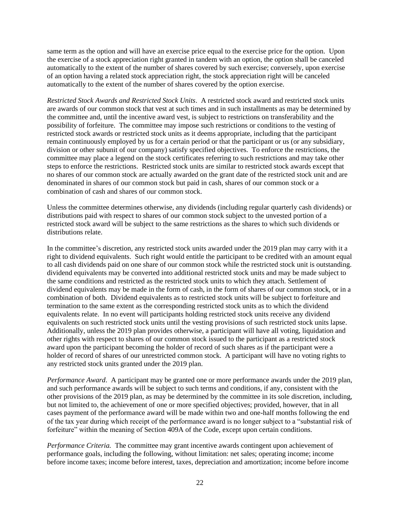same term as the option and will have an exercise price equal to the exercise price for the option. Upon the exercise of a stock appreciation right granted in tandem with an option, the option shall be canceled automatically to the extent of the number of shares covered by such exercise; conversely, upon exercise of an option having a related stock appreciation right, the stock appreciation right will be canceled automatically to the extent of the number of shares covered by the option exercise.

*Restricted Stock Awards and Restricted Stock Units*. A restricted stock award and restricted stock units are awards of our common stock that vest at such times and in such installments as may be determined by the committee and, until the incentive award vest, is subject to restrictions on transferability and the possibility of forfeiture. The committee may impose such restrictions or conditions to the vesting of restricted stock awards or restricted stock units as it deems appropriate, including that the participant remain continuously employed by us for a certain period or that the participant or us (or any subsidiary, division or other subunit of our company) satisfy specified objectives. To enforce the restrictions, the committee may place a legend on the stock certificates referring to such restrictions and may take other steps to enforce the restrictions. Restricted stock units are similar to restricted stock awards except that no shares of our common stock are actually awarded on the grant date of the restricted stock unit and are denominated in shares of our common stock but paid in cash, shares of our common stock or a combination of cash and shares of our common stock.

Unless the committee determines otherwise, any dividends (including regular quarterly cash dividends) or distributions paid with respect to shares of our common stock subject to the unvested portion of a restricted stock award will be subject to the same restrictions as the shares to which such dividends or distributions relate.

In the committee's discretion, any restricted stock units awarded under the 2019 plan may carry with it a right to dividend equivalents. Such right would entitle the participant to be credited with an amount equal to all cash dividends paid on one share of our common stock while the restricted stock unit is outstanding. dividend equivalents may be converted into additional restricted stock units and may be made subject to the same conditions and restricted as the restricted stock units to which they attach. Settlement of dividend equivalents may be made in the form of cash, in the form of shares of our common stock, or in a combination of both. Dividend equivalents as to restricted stock units will be subject to forfeiture and termination to the same extent as the corresponding restricted stock units as to which the dividend equivalents relate. In no event will participants holding restricted stock units receive any dividend equivalents on such restricted stock units until the vesting provisions of such restricted stock units lapse. Additionally, unless the 2019 plan provides otherwise, a participant will have all voting, liquidation and other rights with respect to shares of our common stock issued to the participant as a restricted stock award upon the participant becoming the holder of record of such shares as if the participant were a holder of record of shares of our unrestricted common stock. A participant will have no voting rights to any restricted stock units granted under the 2019 plan.

*Performance Award*. A participant may be granted one or more performance awards under the 2019 plan, and such performance awards will be subject to such terms and conditions, if any, consistent with the other provisions of the 2019 plan, as may be determined by the committee in its sole discretion, including, but not limited to, the achievement of one or more specified objectives; provided, however, that in all cases payment of the performance award will be made within two and one-half months following the end of the tax year during which receipt of the performance award is no longer subject to a "substantial risk of forfeiture" within the meaning of Section 409A of the Code, except upon certain conditions.

*Performance Criteria.* The committee may grant incentive awards contingent upon achievement of performance goals, including the following, without limitation: net sales; operating income; income before income taxes; income before interest, taxes, depreciation and amortization; income before income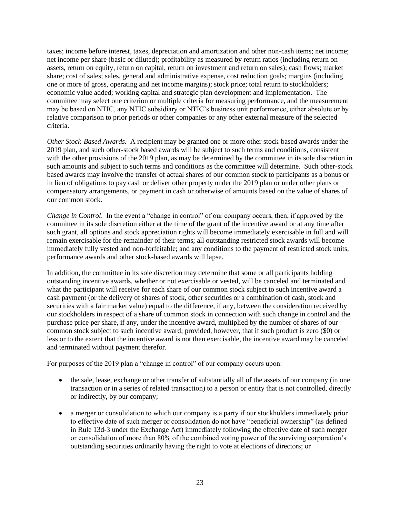taxes; income before interest, taxes, depreciation and amortization and other non-cash items; net income; net income per share (basic or diluted); profitability as measured by return ratios (including return on assets, return on equity, return on capital, return on investment and return on sales); cash flows; market share; cost of sales; sales, general and administrative expense, cost reduction goals; margins (including one or more of gross, operating and net income margins); stock price; total return to stockholders; economic value added; working capital and strategic plan development and implementation. The committee may select one criterion or multiple criteria for measuring performance, and the measurement may be based on NTIC, any NTIC subsidiary or NTIC's business unit performance, either absolute or by relative comparison to prior periods or other companies or any other external measure of the selected criteria.

*Other Stock-Based Awards.* A recipient may be granted one or more other stock-based awards under the 2019 plan, and such other-stock based awards will be subject to such terms and conditions, consistent with the other provisions of the 2019 plan, as may be determined by the committee in its sole discretion in such amounts and subject to such terms and conditions as the committee will determine. Such other-stock based awards may involve the transfer of actual shares of our common stock to participants as a bonus or in lieu of obligations to pay cash or deliver other property under the 2019 plan or under other plans or compensatory arrangements, or payment in cash or otherwise of amounts based on the value of shares of our common stock.

*Change in Control*. In the event a "change in control" of our company occurs, then, if approved by the committee in its sole discretion either at the time of the grant of the incentive award or at any time after such grant, all options and stock appreciation rights will become immediately exercisable in full and will remain exercisable for the remainder of their terms; all outstanding restricted stock awards will become immediately fully vested and non-forfeitable; and any conditions to the payment of restricted stock units, performance awards and other stock-based awards will lapse.

In addition, the committee in its sole discretion may determine that some or all participants holding outstanding incentive awards, whether or not exercisable or vested, will be canceled and terminated and what the participant will receive for each share of our common stock subject to such incentive award a cash payment (or the delivery of shares of stock, other securities or a combination of cash, stock and securities with a fair market value) equal to the difference, if any, between the consideration received by our stockholders in respect of a share of common stock in connection with such change in control and the purchase price per share, if any, under the incentive award, multiplied by the number of shares of our common stock subject to such incentive award; provided, however, that if such product is zero (\$0) or less or to the extent that the incentive award is not then exercisable, the incentive award may be canceled and terminated without payment therefor.

For purposes of the 2019 plan a "change in control" of our company occurs upon:

- the sale, lease, exchange or other transfer of substantially all of the assets of our company (in one transaction or in a series of related transaction) to a person or entity that is not controlled, directly or indirectly, by our company;
- a merger or consolidation to which our company is a party if our stockholders immediately prior to effective date of such merger or consolidation do not have "beneficial ownership" (as defined in Rule 13d-3 under the Exchange Act) immediately following the effective date of such merger or consolidation of more than 80% of the combined voting power of the surviving corporation's outstanding securities ordinarily having the right to vote at elections of directors; or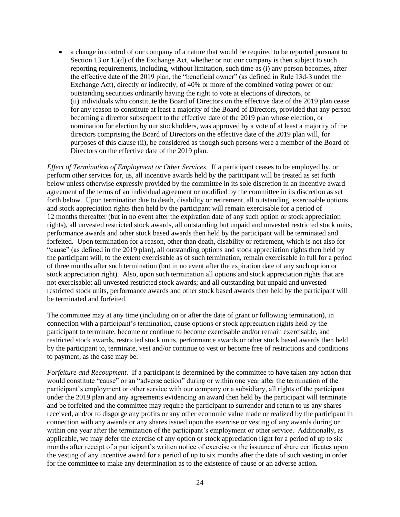• a change in control of our company of a nature that would be required to be reported pursuant to Section 13 or 15(d) of the Exchange Act, whether or not our company is then subject to such reporting requirements, including, without limitation, such time as (i) any person becomes, after the effective date of the 2019 plan, the "beneficial owner" (as defined in Rule 13d-3 under the Exchange Act), directly or indirectly, of 40% or more of the combined voting power of our outstanding securities ordinarily having the right to vote at elections of directors, or (ii) individuals who constitute the Board of Directors on the effective date of the 2019 plan cease for any reason to constitute at least a majority of the Board of Directors, provided that any person becoming a director subsequent to the effective date of the 2019 plan whose election, or nomination for election by our stockholders, was approved by a vote of at least a majority of the directors comprising the Board of Directors on the effective date of the 2019 plan will, for purposes of this clause (ii), be considered as though such persons were a member of the Board of Directors on the effective date of the 2019 plan.

*Effect of Termination of Employment or Other Services*. If a participant ceases to be employed by, or perform other services for, us, all incentive awards held by the participant will be treated as set forth below unless otherwise expressly provided by the committee in its sole discretion in an incentive award agreement of the terms of an individual agreement or modified by the committee in its discretion as set forth below. Upon termination due to death, disability or retirement, all outstanding, exercisable options and stock appreciation rights then held by the participant will remain exercisable for a period of 12 months thereafter (but in no event after the expiration date of any such option or stock appreciation rights), all unvested restricted stock awards, all outstanding but unpaid and unvested restricted stock units, performance awards and other stock based awards then held by the participant will be terminated and forfeited. Upon termination for a reason, other than death, disability or retirement, which is not also for "cause" (as defined in the 2019 plan), all outstanding options and stock appreciation rights then held by the participant will, to the extent exercisable as of such termination, remain exercisable in full for a period of three months after such termination (but in no event after the expiration date of any such option or stock appreciation right). Also, upon such termination all options and stock appreciation rights that are not exercisable; all unvested restricted stock awards; and all outstanding but unpaid and unvested restricted stock units, performance awards and other stock based awards then held by the participant will be terminated and forfeited.

The committee may at any time (including on or after the date of grant or following termination), in connection with a participant's termination, cause options or stock appreciation rights held by the participant to terminate, become or continue to become exercisable and/or remain exercisable, and restricted stock awards, restricted stock units, performance awards or other stock based awards then held by the participant to, terminate, vest and/or continue to vest or become free of restrictions and conditions to payment, as the case may be.

*Forfeiture and Recoupment*. If a participant is determined by the committee to have taken any action that would constitute "cause" or an "adverse action" during or within one year after the termination of the participant's employment or other service with our company or a subsidiary, all rights of the participant under the 2019 plan and any agreements evidencing an award then held by the participant will terminate and be forfeited and the committee may require the participant to surrender and return to us any shares received, and/or to disgorge any profits or any other economic value made or realized by the participant in connection with any awards or any shares issued upon the exercise or vesting of any awards during or within one year after the termination of the participant's employment or other service. Additionally, as applicable, we may defer the exercise of any option or stock appreciation right for a period of up to six months after receipt of a participant's written notice of exercise or the issuance of share certificates upon the vesting of any incentive award for a period of up to six months after the date of such vesting in order for the committee to make any determination as to the existence of cause or an adverse action.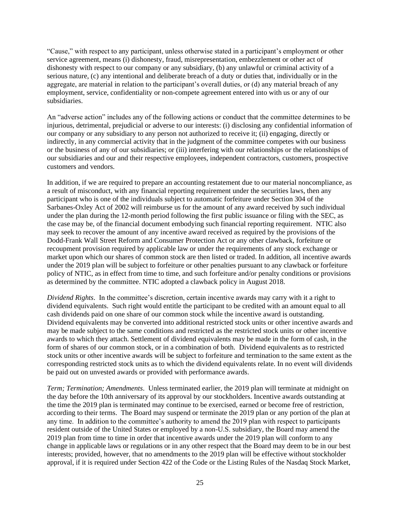"Cause," with respect to any participant, unless otherwise stated in a participant's employment or other service agreement, means (i) dishonesty, fraud, misrepresentation, embezzlement or other act of dishonesty with respect to our company or any subsidiary, (b) any unlawful or criminal activity of a serious nature, (c) any intentional and deliberate breach of a duty or duties that, individually or in the aggregate, are material in relation to the participant's overall duties, or (d) any material breach of any employment, service, confidentiality or non-compete agreement entered into with us or any of our subsidiaries.

An "adverse action" includes any of the following actions or conduct that the committee determines to be injurious, detrimental, prejudicial or adverse to our interests: (i) disclosing any confidential information of our company or any subsidiary to any person not authorized to receive it; (ii) engaging, directly or indirectly, in any commercial activity that in the judgment of the committee competes with our business or the business of any of our subsidiaries; or (iii) interfering with our relationships or the relationships of our subsidiaries and our and their respective employees, independent contractors, customers, prospective customers and vendors.

In addition, if we are required to prepare an accounting restatement due to our material noncompliance, as a result of misconduct, with any financial reporting requirement under the securities laws, then any participant who is one of the individuals subject to automatic forfeiture under Section 304 of the Sarbanes-Oxley Act of 2002 will reimburse us for the amount of any award received by such individual under the plan during the 12-month period following the first public issuance or filing with the SEC, as the case may be, of the financial document embodying such financial reporting requirement. NTIC also may seek to recover the amount of any incentive award received as required by the provisions of the Dodd-Frank Wall Street Reform and Consumer Protection Act or any other clawback, forfeiture or recoupment provision required by applicable law or under the requirements of any stock exchange or market upon which our shares of common stock are then listed or traded. In addition, all incentive awards under the 2019 plan will be subject to forfeiture or other penalties pursuant to any clawback or forfeiture policy of NTIC, as in effect from time to time, and such forfeiture and/or penalty conditions or provisions as determined by the committee. NTIC adopted a clawback policy in August 2018.

*Dividend Rights*. In the committee's discretion, certain incentive awards may carry with it a right to dividend equivalents. Such right would entitle the participant to be credited with an amount equal to all cash dividends paid on one share of our common stock while the incentive award is outstanding. Dividend equivalents may be converted into additional restricted stock units or other incentive awards and may be made subject to the same conditions and restricted as the restricted stock units or other incentive awards to which they attach. Settlement of dividend equivalents may be made in the form of cash, in the form of shares of our common stock, or in a combination of both. Dividend equivalents as to restricted stock units or other incentive awards will be subject to forfeiture and termination to the same extent as the corresponding restricted stock units as to which the dividend equivalents relate. In no event will dividends be paid out on unvested awards or provided with performance awards.

*Term; Termination; Amendments*. Unless terminated earlier, the 2019 plan will terminate at midnight on the day before the 10th anniversary of its approval by our stockholders. Incentive awards outstanding at the time the 2019 plan is terminated may continue to be exercised, earned or become free of restriction, according to their terms. The Board may suspend or terminate the 2019 plan or any portion of the plan at any time. In addition to the committee's authority to amend the 2019 plan with respect to participants resident outside of the United States or employed by a non-U.S. subsidiary, the Board may amend the 2019 plan from time to time in order that incentive awards under the 2019 plan will conform to any change in applicable laws or regulations or in any other respect that the Board may deem to be in our best interests; provided, however, that no amendments to the 2019 plan will be effective without stockholder approval, if it is required under Section 422 of the Code or the Listing Rules of the Nasdaq Stock Market,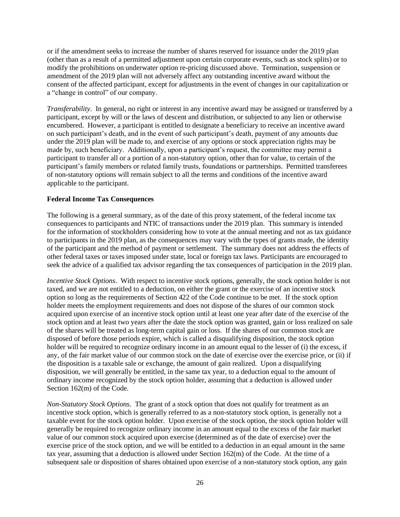or if the amendment seeks to increase the number of shares reserved for issuance under the 2019 plan (other than as a result of a permitted adjustment upon certain corporate events, such as stock splits) or to modify the prohibitions on underwater option re-pricing discussed above. Termination, suspension or amendment of the 2019 plan will not adversely affect any outstanding incentive award without the consent of the affected participant, except for adjustments in the event of changes in our capitalization or a "change in control" of our company.

*Transferability*. In general, no right or interest in any incentive award may be assigned or transferred by a participant, except by will or the laws of descent and distribution, or subjected to any lien or otherwise encumbered. However, a participant is entitled to designate a beneficiary to receive an incentive award on such participant's death, and in the event of such participant's death, payment of any amounts due under the 2019 plan will be made to, and exercise of any options or stock appreciation rights may be made by, such beneficiary. Additionally, upon a participant's request, the committee may permit a participant to transfer all or a portion of a non-statutory option, other than for value, to certain of the participant's family members or related family trusts, foundations or partnerships. Permitted transferees of non-statutory options will remain subject to all the terms and conditions of the incentive award applicable to the participant.

# <span id="page-31-0"></span>**Federal Income Tax Consequences**

The following is a general summary, as of the date of this proxy statement, of the federal income tax consequences to participants and NTIC of transactions under the 2019 plan. This summary is intended for the information of stockholders considering how to vote at the annual meeting and not as tax guidance to participants in the 2019 plan, as the consequences may vary with the types of grants made, the identity of the participant and the method of payment or settlement. The summary does not address the effects of other federal taxes or taxes imposed under state, local or foreign tax laws. Participants are encouraged to seek the advice of a qualified tax advisor regarding the tax consequences of participation in the 2019 plan.

*Incentive Stock Options*. With respect to incentive stock options, generally, the stock option holder is not taxed, and we are not entitled to a deduction, on either the grant or the exercise of an incentive stock option so long as the requirements of Section 422 of the Code continue to be met. If the stock option holder meets the employment requirements and does not dispose of the shares of our common stock acquired upon exercise of an incentive stock option until at least one year after date of the exercise of the stock option and at least two years after the date the stock option was granted, gain or loss realized on sale of the shares will be treated as long-term capital gain or loss. If the shares of our common stock are disposed of before those periods expire, which is called a disqualifying disposition, the stock option holder will be required to recognize ordinary income in an amount equal to the lesser of (i) the excess, if any, of the fair market value of our common stock on the date of exercise over the exercise price, or (ii) if the disposition is a taxable sale or exchange, the amount of gain realized. Upon a disqualifying disposition, we will generally be entitled, in the same tax year, to a deduction equal to the amount of ordinary income recognized by the stock option holder, assuming that a deduction is allowed under Section 162(m) of the Code.

*Non-Statutory Stock Options*. The grant of a stock option that does not qualify for treatment as an incentive stock option, which is generally referred to as a non-statutory stock option, is generally not a taxable event for the stock option holder. Upon exercise of the stock option, the stock option holder will generally be required to recognize ordinary income in an amount equal to the excess of the fair market value of our common stock acquired upon exercise (determined as of the date of exercise) over the exercise price of the stock option, and we will be entitled to a deduction in an equal amount in the same tax year, assuming that a deduction is allowed under Section 162(m) of the Code. At the time of a subsequent sale or disposition of shares obtained upon exercise of a non-statutory stock option, any gain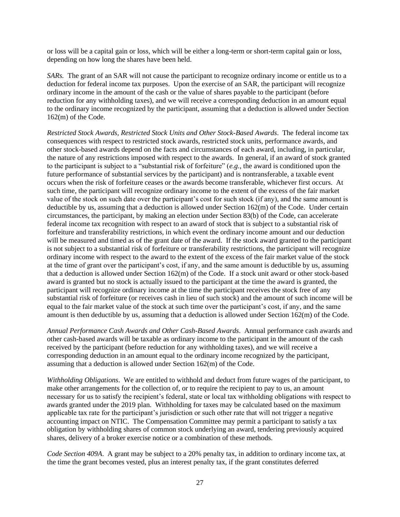or loss will be a capital gain or loss, which will be either a long-term or short-term capital gain or loss, depending on how long the shares have been held.

*SARs.* The grant of an SAR will not cause the participant to recognize ordinary income or entitle us to a deduction for federal income tax purposes. Upon the exercise of an SAR, the participant will recognize ordinary income in the amount of the cash or the value of shares payable to the participant (before reduction for any withholding taxes), and we will receive a corresponding deduction in an amount equal to the ordinary income recognized by the participant, assuming that a deduction is allowed under Section 162(m) of the Code.

*Restricted Stock Awards, Restricted Stock Units and Other Stock-Based Awards*. The federal income tax consequences with respect to restricted stock awards, restricted stock units, performance awards, and other stock-based awards depend on the facts and circumstances of each award, including, in particular, the nature of any restrictions imposed with respect to the awards. In general, if an award of stock granted to the participant is subject to a "substantial risk of forfeiture" (*e.g.*, the award is conditioned upon the future performance of substantial services by the participant) and is nontransferable, a taxable event occurs when the risk of forfeiture ceases or the awards become transferable, whichever first occurs. At such time, the participant will recognize ordinary income to the extent of the excess of the fair market value of the stock on such date over the participant's cost for such stock (if any), and the same amount is deductible by us, assuming that a deduction is allowed under Section 162(m) of the Code. Under certain circumstances, the participant, by making an election under Section 83(b) of the Code, can accelerate federal income tax recognition with respect to an award of stock that is subject to a substantial risk of forfeiture and transferability restrictions, in which event the ordinary income amount and our deduction will be measured and timed as of the grant date of the award. If the stock award granted to the participant is not subject to a substantial risk of forfeiture or transferability restrictions, the participant will recognize ordinary income with respect to the award to the extent of the excess of the fair market value of the stock at the time of grant over the participant's cost, if any, and the same amount is deductible by us, assuming that a deduction is allowed under Section 162(m) of the Code. If a stock unit award or other stock-based award is granted but no stock is actually issued to the participant at the time the award is granted, the participant will recognize ordinary income at the time the participant receives the stock free of any substantial risk of forfeiture (or receives cash in lieu of such stock) and the amount of such income will be equal to the fair market value of the stock at such time over the participant's cost, if any, and the same amount is then deductible by us, assuming that a deduction is allowed under Section 162(m) of the Code.

*Annual Performance Cash Awards and Other Cash-Based Awards*. Annual performance cash awards and other cash-based awards will be taxable as ordinary income to the participant in the amount of the cash received by the participant (before reduction for any withholding taxes), and we will receive a corresponding deduction in an amount equal to the ordinary income recognized by the participant, assuming that a deduction is allowed under Section 162(m) of the Code.

*Withholding Obligations*. We are entitled to withhold and deduct from future wages of the participant, to make other arrangements for the collection of, or to require the recipient to pay to us, an amount necessary for us to satisfy the recipient's federal, state or local tax withholding obligations with respect to awards granted under the 2019 plan. Withholding for taxes may be calculated based on the maximum applicable tax rate for the participant's jurisdiction or such other rate that will not trigger a negative accounting impact on NTIC. The Compensation Committee may permit a participant to satisfy a tax obligation by withholding shares of common stock underlying an award, tendering previously acquired shares, delivery of a broker exercise notice or a combination of these methods.

*Code Section 409A*. A grant may be subject to a 20% penalty tax, in addition to ordinary income tax, at the time the grant becomes vested, plus an interest penalty tax, if the grant constitutes deferred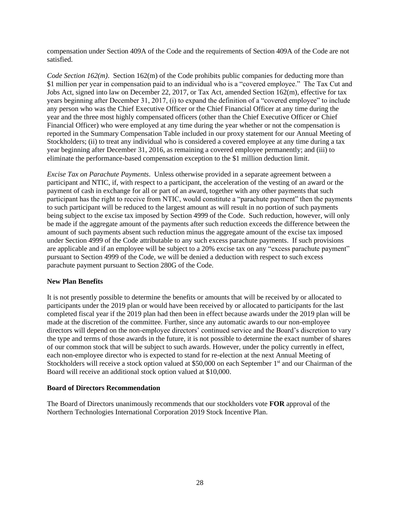compensation under Section 409A of the Code and the requirements of Section 409A of the Code are not satisfied.

*Code Section 162(m)*. Section 162(m) of the Code prohibits public companies for deducting more than \$1 million per year in compensation paid to an individual who is a "covered employee." The Tax Cut and Jobs Act, signed into law on December 22, 2017, or Tax Act, amended Section 162(m), effective for tax years beginning after December 31, 2017, (i) to expand the definition of a "covered employee" to include any person who was the Chief Executive Officer or the Chief Financial Officer at any time during the year and the three most highly compensated officers (other than the Chief Executive Officer or Chief Financial Officer) who were employed at any time during the year whether or not the compensation is reported in the Summary Compensation Table included in our proxy statement for our Annual Meeting of Stockholders; (ii) to treat any individual who is considered a covered employee at any time during a tax year beginning after December 31, 2016, as remaining a covered employee permanently; and (iii) to eliminate the performance-based compensation exception to the \$1 million deduction limit.

*Excise Tax on Parachute Payments*. Unless otherwise provided in a separate agreement between a participant and NTIC, if, with respect to a participant, the acceleration of the vesting of an award or the payment of cash in exchange for all or part of an award, together with any other payments that such participant has the right to receive from NTIC, would constitute a "parachute payment" then the payments to such participant will be reduced to the largest amount as will result in no portion of such payments being subject to the excise tax imposed by Section 4999 of the Code. Such reduction, however, will only be made if the aggregate amount of the payments after such reduction exceeds the difference between the amount of such payments absent such reduction minus the aggregate amount of the excise tax imposed under Section 4999 of the Code attributable to any such excess parachute payments. If such provisions are applicable and if an employee will be subject to a 20% excise tax on any "excess parachute payment" pursuant to Section 4999 of the Code, we will be denied a deduction with respect to such excess parachute payment pursuant to Section 280G of the Code.

## **New Plan Benefits**

It is not presently possible to determine the benefits or amounts that will be received by or allocated to participants under the 2019 plan or would have been received by or allocated to participants for the last completed fiscal year if the 2019 plan had then been in effect because awards under the 2019 plan will be made at the discretion of the committee. Further, since any automatic awards to our non-employee directors will depend on the non-employee directors' continued service and the Board's discretion to vary the type and terms of those awards in the future, it is not possible to determine the exact number of shares of our common stock that will be subject to such awards. However, under the policy currently in effect, each non-employee director who is expected to stand for re-election at the next Annual Meeting of Stockholders will receive a stock option valued at \$50,000 on each September 1<sup>st</sup> and our Chairman of the Board will receive an additional stock option valued at \$10,000.

## <span id="page-33-0"></span>**Board of Directors Recommendation**

The Board of Directors unanimously recommends that our stockholders vote **FOR** approval of the Northern Technologies International Corporation 2019 Stock Incentive Plan.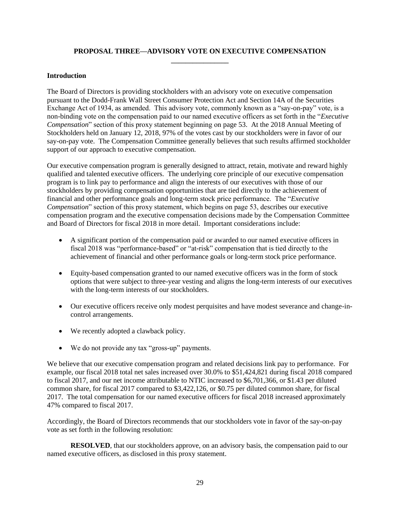# **PROPOSAL THREE—ADVISORY VOTE ON EXECUTIVE COMPENSATION**

## <span id="page-34-1"></span><span id="page-34-0"></span>**Introduction**

The Board of Directors is providing stockholders with an advisory vote on executive compensation pursuant to the Dodd-Frank Wall Street Consumer Protection Act and Section 14A of the Securities Exchange Act of 1934, as amended. This advisory vote, commonly known as a "say-on-pay" vote, is a non-binding vote on the compensation paid to our named executive officers as set forth in the "*Executive Compensation*" section of this proxy statement beginning on page 53. At the 2018 Annual Meeting of Stockholders held on January 12, 2018, 97% of the votes cast by our stockholders were in favor of our say-on-pay vote. The Compensation Committee generally believes that such results affirmed stockholder support of our approach to executive compensation.

Our executive compensation program is generally designed to attract, retain, motivate and reward highly qualified and talented executive officers. The underlying core principle of our executive compensation program is to link pay to performance and align the interests of our executives with those of our stockholders by providing compensation opportunities that are tied directly to the achievement of financial and other performance goals and long-term stock price performance. The "*Executive Compensation*" section of this proxy statement, which begins on page 53, describes our executive compensation program and the executive compensation decisions made by the Compensation Committee and Board of Directors for fiscal 2018 in more detail. Important considerations include:

- A significant portion of the compensation paid or awarded to our named executive officers in fiscal 2018 was "performance-based" or "at-risk" compensation that is tied directly to the achievement of financial and other performance goals or long-term stock price performance.
- Equity-based compensation granted to our named executive officers was in the form of stock options that were subject to three-year vesting and aligns the long-term interests of our executives with the long-term interests of our stockholders.
- Our executive officers receive only modest perquisites and have modest severance and change-incontrol arrangements.
- We recently adopted a clawback policy.
- We do not provide any tax "gross-up" payments.

We believe that our executive compensation program and related decisions link pay to performance. For example, our fiscal 2018 total net sales increased over 30.0% to \$51,424,821 during fiscal 2018 compared to fiscal 2017, and our net income attributable to NTIC increased to \$6,701,366, or \$1.43 per diluted common share, for fiscal 2017 compared to \$3,422,126, or \$0.75 per diluted common share, for fiscal 2017. The total compensation for our named executive officers for fiscal 2018 increased approximately 47% compared to fiscal 2017.

Accordingly, the Board of Directors recommends that our stockholders vote in favor of the say-on-pay vote as set forth in the following resolution:

**RESOLVED**, that our stockholders approve, on an advisory basis, the compensation paid to our named executive officers, as disclosed in this proxy statement.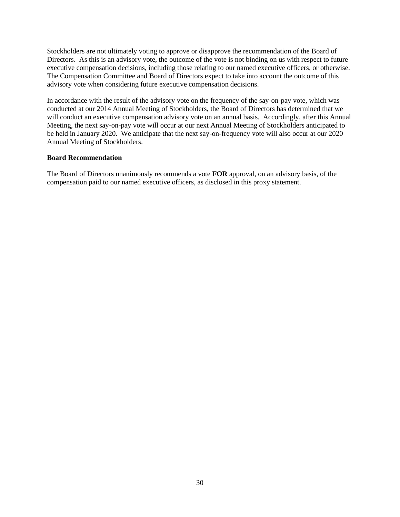Stockholders are not ultimately voting to approve or disapprove the recommendation of the Board of Directors. As this is an advisory vote, the outcome of the vote is not binding on us with respect to future executive compensation decisions, including those relating to our named executive officers, or otherwise. The Compensation Committee and Board of Directors expect to take into account the outcome of this advisory vote when considering future executive compensation decisions.

In accordance with the result of the advisory vote on the frequency of the say-on-pay vote, which was conducted at our 2014 Annual Meeting of Stockholders, the Board of Directors has determined that we will conduct an executive compensation advisory vote on an annual basis. Accordingly, after this Annual Meeting, the next say-on-pay vote will occur at our next Annual Meeting of Stockholders anticipated to be held in January 2020. We anticipate that the next say-on-frequency vote will also occur at our 2020 Annual Meeting of Stockholders.

#### <span id="page-35-0"></span>**Board Recommendation**

The Board of Directors unanimously recommends a vote **FOR** approval, on an advisory basis, of the compensation paid to our named executive officers, as disclosed in this proxy statement.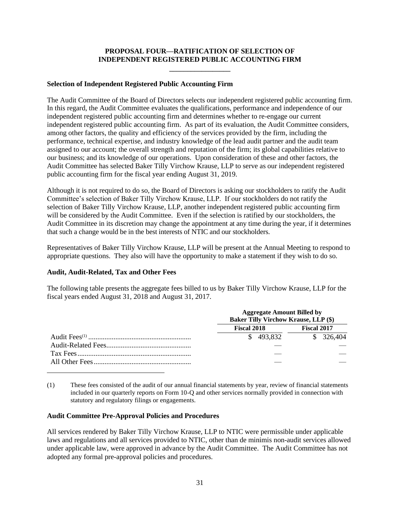# **PROPOSAL FOUR—RATIFICATION OF SELECTION OF INDEPENDENT REGISTERED PUBLIC ACCOUNTING FIRM**

### **Selection of Independent Registered Public Accounting Firm**

The Audit Committee of the Board of Directors selects our independent registered public accounting firm. In this regard, the Audit Committee evaluates the qualifications, performance and independence of our independent registered public accounting firm and determines whether to re-engage our current independent registered public accounting firm. As part of its evaluation, the Audit Committee considers, among other factors, the quality and efficiency of the services provided by the firm, including the performance, technical expertise, and industry knowledge of the lead audit partner and the audit team assigned to our account; the overall strength and reputation of the firm; its global capabilities relative to our business; and its knowledge of our operations. Upon consideration of these and other factors, the Audit Committee has selected Baker Tilly Virchow Krause, LLP to serve as our independent registered public accounting firm for the fiscal year ending August 31, 2019.

Although it is not required to do so, the Board of Directors is asking our stockholders to ratify the Audit Committee's selection of Baker Tilly Virchow Krause, LLP. If our stockholders do not ratify the selection of Baker Tilly Virchow Krause, LLP, another independent registered public accounting firm will be considered by the Audit Committee. Even if the selection is ratified by our stockholders, the Audit Committee in its discretion may change the appointment at any time during the year, if it determines that such a change would be in the best interests of NTIC and our stockholders.

Representatives of Baker Tilly Virchow Krause, LLP will be present at the Annual Meeting to respond to appropriate questions. They also will have the opportunity to make a statement if they wish to do so.

#### **Audit, Audit-Related, Tax and Other Fees**

The following table presents the aggregate fees billed to us by Baker Tilly Virchow Krause, LLP for the fiscal years ended August 31, 2018 and August 31, 2017.

| <b>Aggregate Amount Billed by</b><br><b>Baker Tilly Virchow Krause, LLP (\$)</b> |             |  |
|----------------------------------------------------------------------------------|-------------|--|
| <b>Fiscal 2018</b>                                                               | Fiscal 2017 |  |
| \$493,832                                                                        | \$326,404   |  |
|                                                                                  |             |  |
|                                                                                  |             |  |
|                                                                                  |             |  |

(1) These fees consisted of the audit of our annual financial statements by year, review of financial statements included in our quarterly reports on Form 10-Q and other services normally provided in connection with statutory and regulatory filings or engagements.

#### **Audit Committee Pre-Approval Policies and Procedures**

All services rendered by Baker Tilly Virchow Krause, LLP to NTIC were permissible under applicable laws and regulations and all services provided to NTIC, other than de minimis non-audit services allowed under applicable law, were approved in advance by the Audit Committee. The Audit Committee has not adopted any formal pre-approval policies and procedures.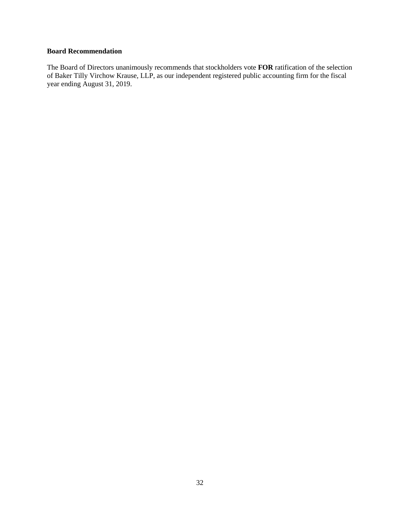### **Board Recommendation**

The Board of Directors unanimously recommends that stockholders vote **FOR** ratification of the selection of Baker Tilly Virchow Krause, LLP, as our independent registered public accounting firm for the fiscal year ending August 31, 2019.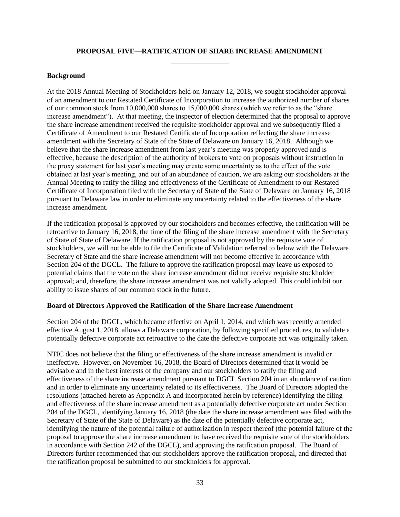# **PROPOSAL FIVE—RATIFICATION OF SHARE INCREASE AMENDMENT**

### **Background**

At the 2018 Annual Meeting of Stockholders held on January 12, 2018, we sought stockholder approval of an amendment to our Restated Certificate of Incorporation to increase the authorized number of shares of our common stock from 10,000,000 shares to 15,000,000 shares (which we refer to as the "share increase amendment"). At that meeting, the inspector of election determined that the proposal to approve the share increase amendment received the requisite stockholder approval and we subsequently filed a Certificate of Amendment to our Restated Certificate of Incorporation reflecting the share increase amendment with the Secretary of State of the State of Delaware on January 16, 2018. Although we believe that the share increase amendment from last year's meeting was properly approved and is effective, because the description of the authority of brokers to vote on proposals without instruction in the proxy statement for last year's meeting may create some uncertainty as to the effect of the vote obtained at last year's meeting, and out of an abundance of caution, we are asking our stockholders at the Annual Meeting to ratify the filing and effectiveness of the Certificate of Amendment to our Restated Certificate of Incorporation filed with the Secretary of State of the State of Delaware on January 16, 2018 pursuant to Delaware law in order to eliminate any uncertainty related to the effectiveness of the share increase amendment.

If the ratification proposal is approved by our stockholders and becomes effective, the ratification will be retroactive to January 16, 2018, the time of the filing of the share increase amendment with the Secretary of State of State of Delaware. If the ratification proposal is not approved by the requisite vote of stockholders, we will not be able to file the Certificate of Validation referred to below with the Delaware Secretary of State and the share increase amendment will not become effective in accordance with Section 204 of the DGCL. The failure to approve the ratification proposal may leave us exposed to potential claims that the vote on the share increase amendment did not receive requisite stockholder approval; and, therefore, the share increase amendment was not validly adopted. This could inhibit our ability to issue shares of our common stock in the future.

#### **Board of Directors Approved the Ratification of the Share Increase Amendment**

Section 204 of the DGCL, which became effective on April 1, 2014, and which was recently amended effective August 1, 2018, allows a Delaware corporation, by following specified procedures, to validate a potentially defective corporate act retroactive to the date the defective corporate act was originally taken.

NTIC does not believe that the filing or effectiveness of the share increase amendment is invalid or ineffective. However, on November 16, 2018, the Board of Directors determined that it would be advisable and in the best interests of the company and our stockholders to ratify the filing and effectiveness of the share increase amendment pursuant to DGCL Section 204 in an abundance of caution and in order to eliminate any uncertainty related to its effectiveness. The Board of Directors adopted the resolutions (attached hereto as Appendix A and incorporated herein by reference) identifying the filing and effectiveness of the share increase amendment as a potentially defective corporate act under Section 204 of the DGCL, identifying January 16, 2018 (the date the share increase amendment was filed with the Secretary of State of the State of Delaware) as the date of the potentially defective corporate act, identifying the nature of the potential failure of authorization in respect thereof (the potential failure of the proposal to approve the share increase amendment to have received the requisite vote of the stockholders in accordance with Section 242 of the DGCL), and approving the ratification proposal. The Board of Directors further recommended that our stockholders approve the ratification proposal, and directed that the ratification proposal be submitted to our stockholders for approval.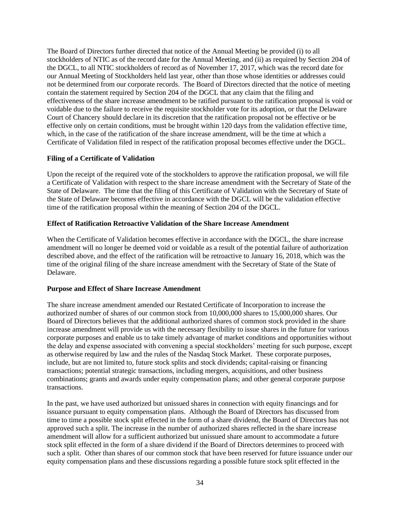The Board of Directors further directed that notice of the Annual Meeting be provided (i) to all stockholders of NTIC as of the record date for the Annual Meeting, and (ii) as required by Section 204 of the DGCL, to all NTIC stockholders of record as of November 17, 2017, which was the record date for our Annual Meeting of Stockholders held last year, other than those whose identities or addresses could not be determined from our corporate records. The Board of Directors directed that the notice of meeting contain the statement required by Section 204 of the DGCL that any claim that the filing and effectiveness of the share increase amendment to be ratified pursuant to the ratification proposal is void or voidable due to the failure to receive the requisite stockholder vote for its adoption, or that the Delaware Court of Chancery should declare in its discretion that the ratification proposal not be effective or be effective only on certain conditions, must be brought within 120 days from the validation effective time, which, in the case of the ratification of the share increase amendment, will be the time at which a Certificate of Validation filed in respect of the ratification proposal becomes effective under the DGCL.

# **Filing of a Certificate of Validation**

Upon the receipt of the required vote of the stockholders to approve the ratification proposal, we will file a Certificate of Validation with respect to the share increase amendment with the Secretary of State of the State of Delaware. The time that the filing of this Certificate of Validation with the Secretary of State of the State of Delaware becomes effective in accordance with the DGCL will be the validation effective time of the ratification proposal within the meaning of Section 204 of the DGCL.

### **Effect of Ratification Retroactive Validation of the Share Increase Amendment**

When the Certificate of Validation becomes effective in accordance with the DGCL, the share increase amendment will no longer be deemed void or voidable as a result of the potential failure of authorization described above, and the effect of the ratification will be retroactive to January 16, 2018, which was the time of the original filing of the share increase amendment with the Secretary of State of the State of Delaware.

### **Purpose and Effect of Share Increase Amendment**

The share increase amendment amended our Restated Certificate of Incorporation to increase the authorized number of shares of our common stock from 10,000,000 shares to 15,000,000 shares. Our Board of Directors believes that the additional authorized shares of common stock provided in the share increase amendment will provide us with the necessary flexibility to issue shares in the future for various corporate purposes and enable us to take timely advantage of market conditions and opportunities without the delay and expense associated with convening a special stockholders' meeting for such purpose, except as otherwise required by law and the rules of the Nasdaq Stock Market. These corporate purposes, include, but are not limited to, future stock splits and stock dividends; capital-raising or financing transactions; potential strategic transactions, including mergers, acquisitions, and other business combinations; grants and awards under equity compensation plans; and other general corporate purpose transactions.

In the past, we have used authorized but unissued shares in connection with equity financings and for issuance pursuant to equity compensation plans. Although the Board of Directors has discussed from time to time a possible stock split effected in the form of a share dividend, the Board of Directors has not approved such a split. The increase in the number of authorized shares reflected in the share increase amendment will allow for a sufficient authorized but unissued share amount to accommodate a future stock split effected in the form of a share dividend if the Board of Directors determines to proceed with such a split. Other than shares of our common stock that have been reserved for future issuance under our equity compensation plans and these discussions regarding a possible future stock split effected in the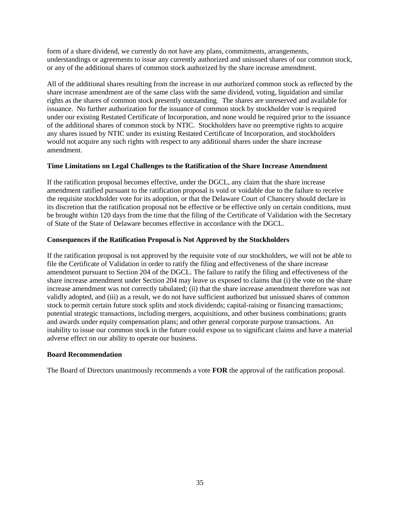form of a share dividend, we currently do not have any plans, commitments, arrangements, understandings or agreements to issue any currently authorized and unissued shares of our common stock, or any of the additional shares of common stock authorized by the share increase amendment.

All of the additional shares resulting from the increase in our authorized common stock as reflected by the share increase amendment are of the same class with the same dividend, voting, liquidation and similar rights as the shares of common stock presently outstanding. The shares are unreserved and available for issuance. No further authorization for the issuance of common stock by stockholder vote is required under our existing Restated Certificate of Incorporation, and none would be required prior to the issuance of the additional shares of common stock by NTIC. Stockholders have no preemptive rights to acquire any shares issued by NTIC under its existing Restated Certificate of Incorporation, and stockholders would not acquire any such rights with respect to any additional shares under the share increase amendment.

### **Time Limitations on Legal Challenges to the Ratification of the Share Increase Amendment**

If the ratification proposal becomes effective, under the DGCL, any claim that the share increase amendment ratified pursuant to the ratification proposal is void or voidable due to the failure to receive the requisite stockholder vote for its adoption, or that the Delaware Court of Chancery should declare in its discretion that the ratification proposal not be effective or be effective only on certain conditions, must be brought within 120 days from the time that the filing of the Certificate of Validation with the Secretary of State of the State of Delaware becomes effective in accordance with the DGCL.

### **Consequences if the Ratification Proposal is Not Approved by the Stockholders**

If the ratification proposal is not approved by the requisite vote of our stockholders, we will not be able to file the Certificate of Validation in order to ratify the filing and effectiveness of the share increase amendment pursuant to Section 204 of the DGCL. The failure to ratify the filing and effectiveness of the share increase amendment under Section 204 may leave us exposed to claims that (i) the vote on the share increase amendment was not correctly tabulated; (ii) that the share increase amendment therefore was not validly adopted, and (iii) as a result, we do not have sufficient authorized but unissued shares of common stock to permit certain future stock splits and stock dividends; capital-raising or financing transactions; potential strategic transactions, including mergers, acquisitions, and other business combinations; grants and awards under equity compensation plans; and other general corporate purpose transactions. An inability to issue our common stock in the future could expose us to significant claims and have a material adverse effect on our ability to operate our business.

#### **Board Recommendation**

The Board of Directors unanimously recommends a vote **FOR** the approval of the ratification proposal.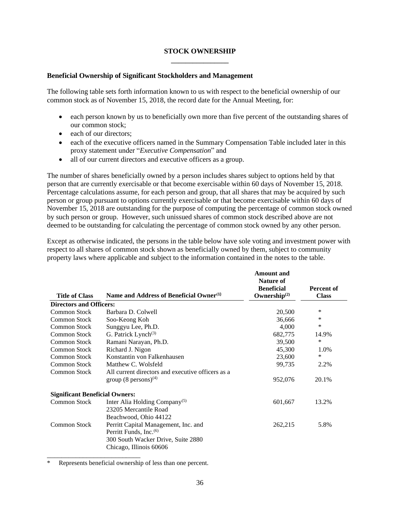### **STOCK OWNERSHIP**

### **Beneficial Ownership of Significant Stockholders and Management**

The following table sets forth information known to us with respect to the beneficial ownership of our common stock as of November 15, 2018, the record date for the Annual Meeting, for:

- each person known by us to beneficially own more than five percent of the outstanding shares of our common stock;
- each of our directors:
- each of the executive officers named in the Summary Compensation Table included later in this proxy statement under "*Executive Compensation*" and
- all of our current directors and executive officers as a group.

The number of shares beneficially owned by a person includes shares subject to options held by that person that are currently exercisable or that become exercisable within 60 days of November 15, 2018. Percentage calculations assume, for each person and group, that all shares that may be acquired by such person or group pursuant to options currently exercisable or that become exercisable within 60 days of November 15, 2018 are outstanding for the purpose of computing the percentage of common stock owned by such person or group. However, such unissued shares of common stock described above are not deemed to be outstanding for calculating the percentage of common stock owned by any other person.

Except as otherwise indicated, the persons in the table below have sole voting and investment power with respect to all shares of common stock shown as beneficially owned by them, subject to community property laws where applicable and subject to the information contained in the notes to the table.

|                                       |                                                     | <b>Amount</b> and<br><b>Nature of</b> |                   |
|---------------------------------------|-----------------------------------------------------|---------------------------------------|-------------------|
|                                       |                                                     | <b>Beneficial</b>                     | <b>Percent of</b> |
| <b>Title of Class</b>                 | Name and Address of Beneficial Owner <sup>(1)</sup> | Ownership <sup>(2)</sup>              | <b>Class</b>      |
| <b>Directors and Officers:</b>        |                                                     |                                       |                   |
| Common Stock                          | Barbara D. Colwell                                  | 20,500                                | *                 |
| <b>Common Stock</b>                   | Soo-Keong Koh                                       | 36,666                                | *                 |
| <b>Common Stock</b>                   | Sunggyu Lee, Ph.D.                                  | 4,000                                 | $\ast$            |
| Common Stock                          | G. Patrick Lynch <sup>(3)</sup>                     | 682,775                               | 14.9%             |
| <b>Common Stock</b>                   | Ramani Narayan, Ph.D.                               | 39,500                                | $\ast$            |
| <b>Common Stock</b>                   | Richard J. Nigon                                    | 45,300                                | 1.0%              |
| <b>Common Stock</b>                   | Konstantin von Falkenhausen                         | 23,600                                | $\ast$            |
| <b>Common Stock</b>                   | Matthew C. Wolsfeld                                 | 99,735                                | 2.2%              |
| <b>Common Stock</b>                   | All current directors and executive officers as a   |                                       |                   |
|                                       | group $(8 \text{ persons})^{(4)}$                   | 952,076                               | 20.1%             |
| <b>Significant Beneficial Owners:</b> |                                                     |                                       |                   |
| Common Stock                          | Inter Alia Holding Company <sup>(5)</sup>           | 601,667                               | 13.2%             |
|                                       | 23205 Mercantile Road                               |                                       |                   |
|                                       | Beachwood, Ohio 44122                               |                                       |                   |
| <b>Common Stock</b>                   | Perritt Capital Management, Inc. and                | 262,215                               | 5.8%              |
|                                       | Perritt Funds, Inc. <sup>(6)</sup>                  |                                       |                   |
|                                       | 300 South Wacker Drive, Suite 2880                  |                                       |                   |
|                                       | Chicago, Illinois 60606                             |                                       |                   |
|                                       |                                                     |                                       |                   |

Represents beneficial ownership of less than one percent.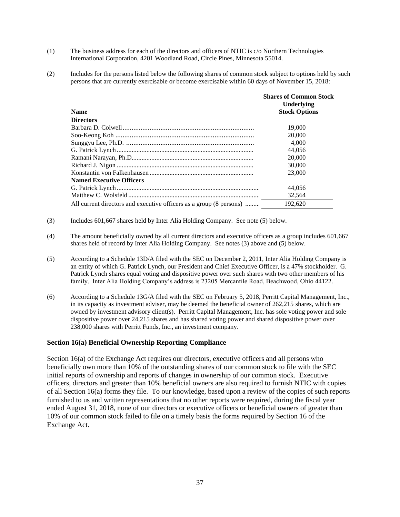- (1) The business address for each of the directors and officers of NTIC is c/o Northern Technologies International Corporation, 4201 Woodland Road, Circle Pines, Minnesota 55014.
- (2) Includes for the persons listed below the following shares of common stock subject to options held by such persons that are currently exercisable or become exercisable within 60 days of November 15, 2018:

|                                                                     | <b>Shares of Common Stock</b><br>Underlying |
|---------------------------------------------------------------------|---------------------------------------------|
| <b>Name</b>                                                         | <b>Stock Options</b>                        |
| <b>Directors</b>                                                    |                                             |
|                                                                     | 19,000                                      |
|                                                                     | 20,000                                      |
|                                                                     | 4.000                                       |
|                                                                     | 44,056                                      |
|                                                                     | 20,000                                      |
|                                                                     | 30,000                                      |
|                                                                     | 23,000                                      |
| <b>Named Executive Officers</b>                                     |                                             |
|                                                                     | 44.056                                      |
|                                                                     | 32.564                                      |
| All current directors and executive officers as a group (8 persons) | 192.620                                     |

- (3) Includes 601,667 shares held by Inter Alia Holding Company. See note (5) below.
- (4) The amount beneficially owned by all current directors and executive officers as a group includes 601,667 shares held of record by Inter Alia Holding Company. See notes (3) above and (5) below.
- (5) According to a Schedule 13D/A filed with the SEC on December 2, 2011, Inter Alia Holding Company is an entity of which G. Patrick Lynch, our President and Chief Executive Officer, is a 47% stockholder. G. Patrick Lynch shares equal voting and dispositive power over such shares with two other members of his family. Inter Alia Holding Company's address is 23205 Mercantile Road, Beachwood, Ohio 44122.
- (6) According to a Schedule 13G/A filed with the SEC on February 5, 2018, Perritt Capital Management, Inc., in its capacity as investment adviser, may be deemed the beneficial owner of 262,215 shares, which are owned by investment advisory client(s). Perritt Capital Management, Inc. has sole voting power and sole dispositive power over 24,215 shares and has shared voting power and shared dispositive power over 238,000 shares with Perritt Funds, Inc., an investment company.

### **Section 16(a) Beneficial Ownership Reporting Compliance**

Section 16(a) of the Exchange Act requires our directors, executive officers and all persons who beneficially own more than 10% of the outstanding shares of our common stock to file with the SEC initial reports of ownership and reports of changes in ownership of our common stock. Executive officers, directors and greater than 10% beneficial owners are also required to furnish NTIC with copies of all Section 16(a) forms they file. To our knowledge, based upon a review of the copies of such reports furnished to us and written representations that no other reports were required, during the fiscal year ended August 31, 2018, none of our directors or executive officers or beneficial owners of greater than 10% of our common stock failed to file on a timely basis the forms required by Section 16 of the Exchange Act.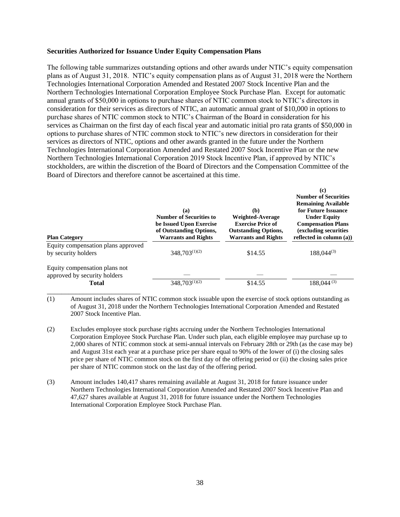### **Securities Authorized for Issuance Under Equity Compensation Plans**

The following table summarizes outstanding options and other awards under NTIC's equity compensation plans as of August 31, 2018. NTIC's equity compensation plans as of August 31, 2018 were the Northern Technologies International Corporation Amended and Restated 2007 Stock Incentive Plan and the Northern Technologies International Corporation Employee Stock Purchase Plan. Except for automatic annual grants of \$50,000 in options to purchase shares of NTIC common stock to NTIC's directors in consideration for their services as directors of NTIC, an automatic annual grant of \$10,000 in options to purchase shares of NTIC common stock to NTIC's Chairman of the Board in consideration for his services as Chairman on the first day of each fiscal year and automatic initial pro rata grants of \$50,000 in options to purchase shares of NTIC common stock to NTIC's new directors in consideration for their services as directors of NTIC, options and other awards granted in the future under the Northern Technologies International Corporation Amended and Restated 2007 Stock Incentive Plan or the new Northern Technologies International Corporation 2019 Stock Incentive Plan, if approved by NTIC's stockholders, are within the discretion of the Board of Directors and the Compensation Committee of the Board of Directors and therefore cannot be ascertained at this time.

| <b>Plan Category</b>                                                          | (a)<br><b>Number of Securities to</b><br>be Issued Upon Exercise<br>of Outstanding Options,<br><b>Warrants and Rights</b> | (b)<br>Weighted-Average<br><b>Exercise Price of</b><br><b>Outstanding Options,</b><br><b>Warrants and Rights</b> | (c)<br><b>Number of Securities</b><br><b>Remaining Available</b><br>for Future Issuance<br><b>Under Equity</b><br><b>Compensation Plans</b><br>(excluding securities)<br>reflected in column $(a)$ ) |
|-------------------------------------------------------------------------------|---------------------------------------------------------------------------------------------------------------------------|------------------------------------------------------------------------------------------------------------------|------------------------------------------------------------------------------------------------------------------------------------------------------------------------------------------------------|
| Equity compensation plans approved<br>by security holders                     | $348,703^{(1)(2)}$                                                                                                        | \$14.55                                                                                                          | $188,044^{(3)}$                                                                                                                                                                                      |
| Equity compensation plans not<br>approved by security holders<br><b>Total</b> | $348,703^{(1)(2)}$                                                                                                        | \$14.55                                                                                                          | $188,044^{(3)}$                                                                                                                                                                                      |

<sup>(1)</sup> Amount includes shares of NTIC common stock issuable upon the exercise of stock options outstanding as of August 31, 2018 under the Northern Technologies International Corporation Amended and Restated 2007 Stock Incentive Plan.

<sup>(2)</sup> Excludes employee stock purchase rights accruing under the Northern Technologies International Corporation Employee Stock Purchase Plan. Under such plan, each eligible employee may purchase up to 2,000 shares of NTIC common stock at semi-annual intervals on February 28th or 29th (as the case may be) and August 31st each year at a purchase price per share equal to 90% of the lower of (i) the closing sales price per share of NTIC common stock on the first day of the offering period or (ii) the closing sales price per share of NTIC common stock on the last day of the offering period.

<sup>(3)</sup> Amount includes 140,417 shares remaining available at August 31, 2018 for future issuance under Northern Technologies International Corporation Amended and Restated 2007 Stock Incentive Plan and 47,627 shares available at August 31, 2018 for future issuance under the Northern Technologies International Corporation Employee Stock Purchase Plan.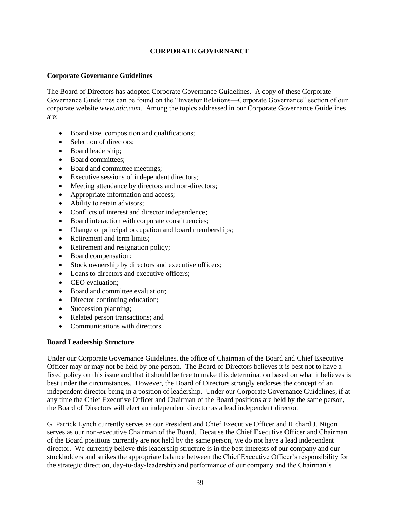# **CORPORATE GOVERNANCE**

### **Corporate Governance Guidelines**

The Board of Directors has adopted Corporate Governance Guidelines. A copy of these Corporate Governance Guidelines can be found on the "Investor Relations—Corporate Governance" section of our corporate website *www.ntic.com*. Among the topics addressed in our Corporate Governance Guidelines are:

- Board size, composition and qualifications;
- Selection of directors;
- Board leadership;
- Board committees;
- Board and committee meetings;
- Executive sessions of independent directors;
- Meeting attendance by directors and non-directors;
- Appropriate information and access;
- Ability to retain advisors:
- Conflicts of interest and director independence;
- Board interaction with corporate constituencies;
- Change of principal occupation and board memberships;
- Retirement and term limits:
- Retirement and resignation policy;
- Board compensation;
- Stock ownership by directors and executive officers;
- Loans to directors and executive officers;
- CEO evaluation:
- Board and committee evaluation:
- Director continuing education;
- Succession planning;
- Related person transactions; and
- Communications with directors.

#### **Board Leadership Structure**

Under our Corporate Governance Guidelines, the office of Chairman of the Board and Chief Executive Officer may or may not be held by one person. The Board of Directors believes it is best not to have a fixed policy on this issue and that it should be free to make this determination based on what it believes is best under the circumstances. However, the Board of Directors strongly endorses the concept of an independent director being in a position of leadership. Under our Corporate Governance Guidelines, if at any time the Chief Executive Officer and Chairman of the Board positions are held by the same person, the Board of Directors will elect an independent director as a lead independent director.

G. Patrick Lynch currently serves as our President and Chief Executive Officer and Richard J. Nigon serves as our non-executive Chairman of the Board. Because the Chief Executive Officer and Chairman of the Board positions currently are not held by the same person, we do not have a lead independent director. We currently believe this leadership structure is in the best interests of our company and our stockholders and strikes the appropriate balance between the Chief Executive Officer's responsibility for the strategic direction, day-to-day-leadership and performance of our company and the Chairman's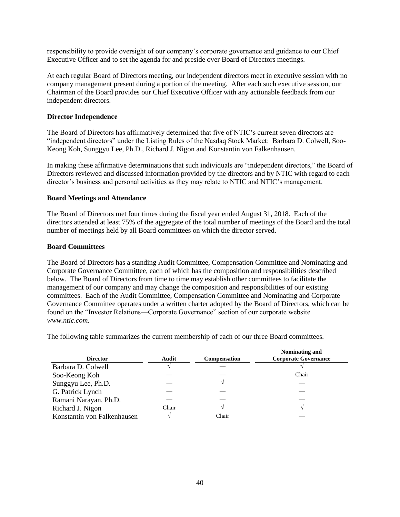responsibility to provide oversight of our company's corporate governance and guidance to our Chief Executive Officer and to set the agenda for and preside over Board of Directors meetings.

At each regular Board of Directors meeting, our independent directors meet in executive session with no company management present during a portion of the meeting. After each such executive session, our Chairman of the Board provides our Chief Executive Officer with any actionable feedback from our independent directors.

# **Director Independence**

The Board of Directors has affirmatively determined that five of NTIC's current seven directors are "independent directors" under the Listing Rules of the Nasdaq Stock Market: Barbara D. Colwell, Soo-Keong Koh, Sunggyu Lee, Ph.D., Richard J. Nigon and Konstantin von Falkenhausen.

In making these affirmative determinations that such individuals are "independent directors," the Board of Directors reviewed and discussed information provided by the directors and by NTIC with regard to each director's business and personal activities as they may relate to NTIC and NTIC's management.

# **Board Meetings and Attendance**

The Board of Directors met four times during the fiscal year ended August 31, 2018. Each of the directors attended at least 75% of the aggregate of the total number of meetings of the Board and the total number of meetings held by all Board committees on which the director served.

### **Board Committees**

The Board of Directors has a standing Audit Committee, Compensation Committee and Nominating and Corporate Governance Committee, each of which has the composition and responsibilities described below. The Board of Directors from time to time may establish other committees to facilitate the management of our company and may change the composition and responsibilities of our existing committees. Each of the Audit Committee, Compensation Committee and Nominating and Corporate Governance Committee operates under a written charter adopted by the Board of Directors, which can be found on the "Investor Relations—Corporate Governance" section of our corporate website *www.ntic.com*.

The following table summarizes the current membership of each of our three Board committees.

| <b>Director</b>             | Audit | <b>Compensation</b> | Nominating and<br><b>Corporate Governance</b> |
|-----------------------------|-------|---------------------|-----------------------------------------------|
| Barbara D. Colwell          |       |                     |                                               |
| Soo-Keong Koh               |       |                     | Chair                                         |
| Sunggyu Lee, Ph.D.          |       |                     |                                               |
| G. Patrick Lynch            |       |                     |                                               |
| Ramani Narayan, Ph.D.       |       |                     |                                               |
| Richard J. Nigon            | Chair |                     |                                               |
| Konstantin von Falkenhausen |       | Chair               |                                               |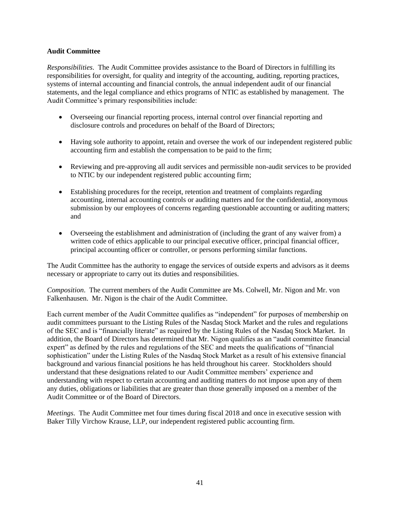### **Audit Committee**

*Responsibilities*. The Audit Committee provides assistance to the Board of Directors in fulfilling its responsibilities for oversight, for quality and integrity of the accounting, auditing, reporting practices, systems of internal accounting and financial controls, the annual independent audit of our financial statements, and the legal compliance and ethics programs of NTIC as established by management. The Audit Committee's primary responsibilities include:

- Overseeing our financial reporting process, internal control over financial reporting and disclosure controls and procedures on behalf of the Board of Directors;
- Having sole authority to appoint, retain and oversee the work of our independent registered public accounting firm and establish the compensation to be paid to the firm;
- Reviewing and pre-approving all audit services and permissible non-audit services to be provided to NTIC by our independent registered public accounting firm;
- Establishing procedures for the receipt, retention and treatment of complaints regarding accounting, internal accounting controls or auditing matters and for the confidential, anonymous submission by our employees of concerns regarding questionable accounting or auditing matters; and
- Overseeing the establishment and administration of (including the grant of any waiver from) a written code of ethics applicable to our principal executive officer, principal financial officer, principal accounting officer or controller, or persons performing similar functions.

The Audit Committee has the authority to engage the services of outside experts and advisors as it deems necessary or appropriate to carry out its duties and responsibilities.

*Composition*. The current members of the Audit Committee are Ms. Colwell, Mr. Nigon and Mr. von Falkenhausen. Mr. Nigon is the chair of the Audit Committee.

Each current member of the Audit Committee qualifies as "independent" for purposes of membership on audit committees pursuant to the Listing Rules of the Nasdaq Stock Market and the rules and regulations of the SEC and is "financially literate" as required by the Listing Rules of the Nasdaq Stock Market. In addition, the Board of Directors has determined that Mr. Nigon qualifies as an "audit committee financial expert" as defined by the rules and regulations of the SEC and meets the qualifications of "financial sophistication" under the Listing Rules of the Nasdaq Stock Market as a result of his extensive financial background and various financial positions he has held throughout his career. Stockholders should understand that these designations related to our Audit Committee members' experience and understanding with respect to certain accounting and auditing matters do not impose upon any of them any duties, obligations or liabilities that are greater than those generally imposed on a member of the Audit Committee or of the Board of Directors.

*Meetings*. The Audit Committee met four times during fiscal 2018 and once in executive session with Baker Tilly Virchow Krause, LLP, our independent registered public accounting firm.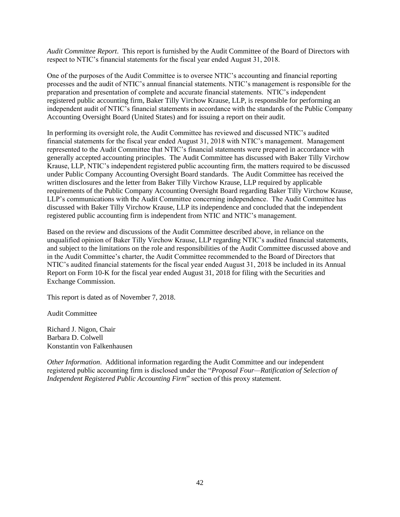*Audit Committee Report*. This report is furnished by the Audit Committee of the Board of Directors with respect to NTIC's financial statements for the fiscal year ended August 31, 2018.

One of the purposes of the Audit Committee is to oversee NTIC's accounting and financial reporting processes and the audit of NTIC's annual financial statements. NTIC's management is responsible for the preparation and presentation of complete and accurate financial statements. NTIC's independent registered public accounting firm, Baker Tilly Virchow Krause, LLP, is responsible for performing an independent audit of NTIC's financial statements in accordance with the standards of the Public Company Accounting Oversight Board (United States) and for issuing a report on their audit.

In performing its oversight role, the Audit Committee has reviewed and discussed NTIC's audited financial statements for the fiscal year ended August 31, 2018 with NTIC's management. Management represented to the Audit Committee that NTIC's financial statements were prepared in accordance with generally accepted accounting principles. The Audit Committee has discussed with Baker Tilly Virchow Krause, LLP, NTIC's independent registered public accounting firm, the matters required to be discussed under Public Company Accounting Oversight Board standards. The Audit Committee has received the written disclosures and the letter from Baker Tilly Virchow Krause, LLP required by applicable requirements of the Public Company Accounting Oversight Board regarding Baker Tilly Virchow Krause, LLP's communications with the Audit Committee concerning independence. The Audit Committee has discussed with Baker Tilly Virchow Krause, LLP its independence and concluded that the independent registered public accounting firm is independent from NTIC and NTIC's management.

Based on the review and discussions of the Audit Committee described above, in reliance on the unqualified opinion of Baker Tilly Virchow Krause, LLP regarding NTIC's audited financial statements, and subject to the limitations on the role and responsibilities of the Audit Committee discussed above and in the Audit Committee's charter, the Audit Committee recommended to the Board of Directors that NTIC's audited financial statements for the fiscal year ended August 31, 2018 be included in its Annual Report on Form 10-K for the fiscal year ended August 31, 2018 for filing with the Securities and Exchange Commission.

This report is dated as of November 7, 2018.

Audit Committee

Richard J. Nigon, Chair Barbara D. Colwell Konstantin von Falkenhausen

*Other Information*. Additional information regarding the Audit Committee and our independent registered public accounting firm is disclosed under the "*Proposal Four—Ratification of Selection of Independent Registered Public Accounting Firm*" section of this proxy statement.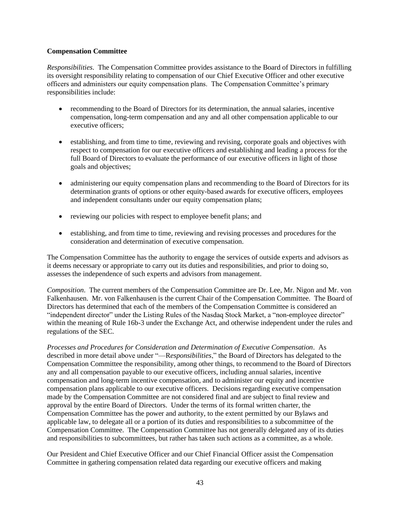### **Compensation Committee**

*Responsibilities*. The Compensation Committee provides assistance to the Board of Directors in fulfilling its oversight responsibility relating to compensation of our Chief Executive Officer and other executive officers and administers our equity compensation plans. The Compensation Committee's primary responsibilities include:

- recommending to the Board of Directors for its determination, the annual salaries, incentive compensation, long-term compensation and any and all other compensation applicable to our executive officers;
- establishing, and from time to time, reviewing and revising, corporate goals and objectives with respect to compensation for our executive officers and establishing and leading a process for the full Board of Directors to evaluate the performance of our executive officers in light of those goals and objectives;
- administering our equity compensation plans and recommending to the Board of Directors for its determination grants of options or other equity-based awards for executive officers, employees and independent consultants under our equity compensation plans;
- reviewing our policies with respect to employee benefit plans; and
- establishing, and from time to time, reviewing and revising processes and procedures for the consideration and determination of executive compensation.

The Compensation Committee has the authority to engage the services of outside experts and advisors as it deems necessary or appropriate to carry out its duties and responsibilities, and prior to doing so, assesses the independence of such experts and advisors from management.

*Composition*. The current members of the Compensation Committee are Dr. Lee, Mr. Nigon and Mr. von Falkenhausen. Mr. von Falkenhausen is the current Chair of the Compensation Committee. The Board of Directors has determined that each of the members of the Compensation Committee is considered an "independent director" under the Listing Rules of the Nasdaq Stock Market, a "non-employee director" within the meaning of Rule 16b-3 under the Exchange Act, and otherwise independent under the rules and regulations of the SEC.

*Processes and Procedures for Consideration and Determination of Executive Compensation*. As described in more detail above under "—R*esponsibilities*," the Board of Directors has delegated to the Compensation Committee the responsibility, among other things, to recommend to the Board of Directors any and all compensation payable to our executive officers, including annual salaries, incentive compensation and long-term incentive compensation, and to administer our equity and incentive compensation plans applicable to our executive officers. Decisions regarding executive compensation made by the Compensation Committee are not considered final and are subject to final review and approval by the entire Board of Directors. Under the terms of its formal written charter, the Compensation Committee has the power and authority, to the extent permitted by our Bylaws and applicable law, to delegate all or a portion of its duties and responsibilities to a subcommittee of the Compensation Committee. The Compensation Committee has not generally delegated any of its duties and responsibilities to subcommittees, but rather has taken such actions as a committee, as a whole.

Our President and Chief Executive Officer and our Chief Financial Officer assist the Compensation Committee in gathering compensation related data regarding our executive officers and making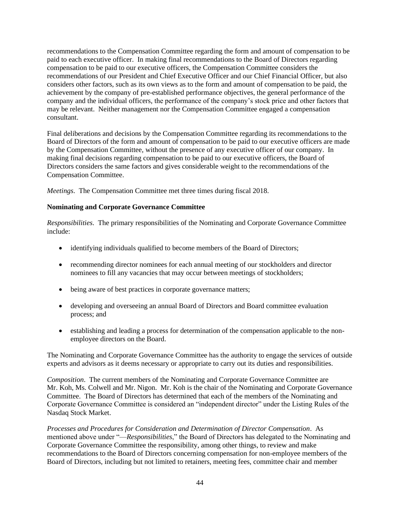recommendations to the Compensation Committee regarding the form and amount of compensation to be paid to each executive officer. In making final recommendations to the Board of Directors regarding compensation to be paid to our executive officers, the Compensation Committee considers the recommendations of our President and Chief Executive Officer and our Chief Financial Officer, but also considers other factors, such as its own views as to the form and amount of compensation to be paid, the achievement by the company of pre-established performance objectives, the general performance of the company and the individual officers, the performance of the company's stock price and other factors that may be relevant. Neither management nor the Compensation Committee engaged a compensation consultant.

Final deliberations and decisions by the Compensation Committee regarding its recommendations to the Board of Directors of the form and amount of compensation to be paid to our executive officers are made by the Compensation Committee, without the presence of any executive officer of our company. In making final decisions regarding compensation to be paid to our executive officers, the Board of Directors considers the same factors and gives considerable weight to the recommendations of the Compensation Committee.

*Meetings*. The Compensation Committee met three times during fiscal 2018.

### **Nominating and Corporate Governance Committee**

*Responsibilities*. The primary responsibilities of the Nominating and Corporate Governance Committee include:

- identifying individuals qualified to become members of the Board of Directors;
- recommending director nominees for each annual meeting of our stockholders and director nominees to fill any vacancies that may occur between meetings of stockholders;
- being aware of best practices in corporate governance matters;
- developing and overseeing an annual Board of Directors and Board committee evaluation process; and
- establishing and leading a process for determination of the compensation applicable to the nonemployee directors on the Board.

The Nominating and Corporate Governance Committee has the authority to engage the services of outside experts and advisors as it deems necessary or appropriate to carry out its duties and responsibilities.

*Composition*. The current members of the Nominating and Corporate Governance Committee are Mr. Koh, Ms. Colwell and Mr. Nigon. Mr. Koh is the chair of the Nominating and Corporate Governance Committee. The Board of Directors has determined that each of the members of the Nominating and Corporate Governance Committee is considered an "independent director" under the Listing Rules of the Nasdaq Stock Market.

*Processes and Procedures for Consideration and Determination of Director Compensation*. As mentioned above under "—*Responsibilities*," the Board of Directors has delegated to the Nominating and Corporate Governance Committee the responsibility, among other things, to review and make recommendations to the Board of Directors concerning compensation for non-employee members of the Board of Directors, including but not limited to retainers, meeting fees, committee chair and member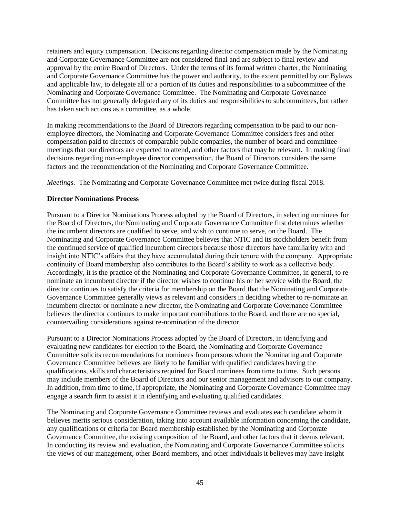retainers and equity compensation. Decisions regarding director compensation made by the Nominating and Corporate Governance Committee are not considered final and are subject to final review and approval by the entire Board of Directors. Under the terms of its formal written charter, the Nominating and Corporate Governance Committee has the power and authority, to the extent permitted by our Bylaws and applicable law, to delegate all or a portion of its duties and responsibilities to a subcommittee of the Nominating and Corporate Governance Committee. The Nominating and Corporate Governance Committee has not generally delegated any of its duties and responsibilities to subcommittees, but rather has taken such actions as a committee, as a whole.

In making recommendations to the Board of Directors regarding compensation to be paid to our nonemployee directors, the Nominating and Corporate Governance Committee considers fees and other compensation paid to directors of comparable public companies, the number of board and committee meetings that our directors are expected to attend, and other factors that may be relevant. In making final decisions regarding non-employee director compensation, the Board of Directors considers the same factors and the recommendation of the Nominating and Corporate Governance Committee.

*Meetings*. The Nominating and Corporate Governance Committee met twice during fiscal 2018.

### **Director Nominations Process**

Pursuant to a Director Nominations Process adopted by the Board of Directors, in selecting nominees for the Board of Directors, the Nominating and Corporate Governance Committee first determines whether the incumbent directors are qualified to serve, and wish to continue to serve, on the Board. The Nominating and Corporate Governance Committee believes that NTIC and its stockholders benefit from the continued service of qualified incumbent directors because those directors have familiarity with and insight into NTIC's affairs that they have accumulated during their tenure with the company. Appropriate continuity of Board membership also contributes to the Board's ability to work as a collective body. Accordingly, it is the practice of the Nominating and Corporate Governance Committee, in general, to renominate an incumbent director if the director wishes to continue his or her service with the Board, the director continues to satisfy the criteria for membership on the Board that the Nominating and Corporate Governance Committee generally views as relevant and considers in deciding whether to re-nominate an incumbent director or nominate a new director, the Nominating and Corporate Governance Committee believes the director continues to make important contributions to the Board, and there are no special, countervailing considerations against re-nomination of the director.

Pursuant to a Director Nominations Process adopted by the Board of Directors, in identifying and evaluating new candidates for election to the Board, the Nominating and Corporate Governance Committee solicits recommendations for nominees from persons whom the Nominating and Corporate Governance Committee believes are likely to be familiar with qualified candidates having the qualifications, skills and characteristics required for Board nominees from time to time. Such persons may include members of the Board of Directors and our senior management and advisors to our company. In addition, from time to time, if appropriate, the Nominating and Corporate Governance Committee may engage a search firm to assist it in identifying and evaluating qualified candidates.

The Nominating and Corporate Governance Committee reviews and evaluates each candidate whom it believes merits serious consideration, taking into account available information concerning the candidate, any qualifications or criteria for Board membership established by the Nominating and Corporate Governance Committee, the existing composition of the Board, and other factors that it deems relevant. In conducting its review and evaluation, the Nominating and Corporate Governance Committee solicits the views of our management, other Board members, and other individuals it believes may have insight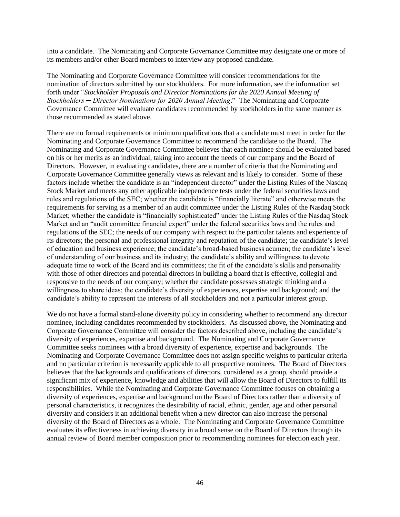into a candidate. The Nominating and Corporate Governance Committee may designate one or more of its members and/or other Board members to interview any proposed candidate.

The Nominating and Corporate Governance Committee will consider recommendations for the nomination of directors submitted by our stockholders. For more information, see the information set forth under "*Stockholder Proposals and Director Nominations for the 2020 Annual Meeting of Stockholders ─ Director Nominations for 2020 Annual Meeting*." The Nominating and Corporate Governance Committee will evaluate candidates recommended by stockholders in the same manner as those recommended as stated above.

There are no formal requirements or minimum qualifications that a candidate must meet in order for the Nominating and Corporate Governance Committee to recommend the candidate to the Board. The Nominating and Corporate Governance Committee believes that each nominee should be evaluated based on his or her merits as an individual, taking into account the needs of our company and the Board of Directors. However, in evaluating candidates, there are a number of criteria that the Nominating and Corporate Governance Committee generally views as relevant and is likely to consider. Some of these factors include whether the candidate is an "independent director" under the Listing Rules of the Nasdaq Stock Market and meets any other applicable independence tests under the federal securities laws and rules and regulations of the SEC; whether the candidate is "financially literate" and otherwise meets the requirements for serving as a member of an audit committee under the Listing Rules of the Nasdaq Stock Market; whether the candidate is "financially sophisticated" under the Listing Rules of the Nasdaq Stock Market and an "audit committee financial expert" under the federal securities laws and the rules and regulations of the SEC; the needs of our company with respect to the particular talents and experience of its directors; the personal and professional integrity and reputation of the candidate; the candidate's level of education and business experience; the candidate's broad-based business acumen; the candidate's level of understanding of our business and its industry; the candidate's ability and willingness to devote adequate time to work of the Board and its committees; the fit of the candidate's skills and personality with those of other directors and potential directors in building a board that is effective, collegial and responsive to the needs of our company; whether the candidate possesses strategic thinking and a willingness to share ideas; the candidate's diversity of experiences, expertise and background; and the candidate's ability to represent the interests of all stockholders and not a particular interest group.

We do not have a formal stand-alone diversity policy in considering whether to recommend any director nominee, including candidates recommended by stockholders. As discussed above, the Nominating and Corporate Governance Committee will consider the factors described above, including the candidate's diversity of experiences, expertise and background. The Nominating and Corporate Governance Committee seeks nominees with a broad diversity of experience, expertise and backgrounds. The Nominating and Corporate Governance Committee does not assign specific weights to particular criteria and no particular criterion is necessarily applicable to all prospective nominees. The Board of Directors believes that the backgrounds and qualifications of directors, considered as a group, should provide a significant mix of experience, knowledge and abilities that will allow the Board of Directors to fulfill its responsibilities. While the Nominating and Corporate Governance Committee focuses on obtaining a diversity of experiences, expertise and background on the Board of Directors rather than a diversity of personal characteristics, it recognizes the desirability of racial, ethnic, gender, age and other personal diversity and considers it an additional benefit when a new director can also increase the personal diversity of the Board of Directors as a whole. The Nominating and Corporate Governance Committee evaluates its effectiveness in achieving diversity in a broad sense on the Board of Directors through its annual review of Board member composition prior to recommending nominees for election each year.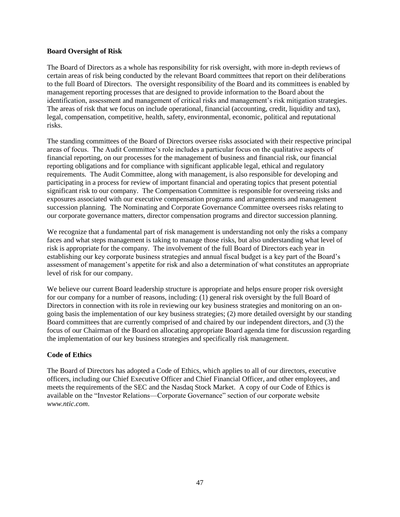### **Board Oversight of Risk**

The Board of Directors as a whole has responsibility for risk oversight, with more in-depth reviews of certain areas of risk being conducted by the relevant Board committees that report on their deliberations to the full Board of Directors. The oversight responsibility of the Board and its committees is enabled by management reporting processes that are designed to provide information to the Board about the identification, assessment and management of critical risks and management's risk mitigation strategies. The areas of risk that we focus on include operational, financial (accounting, credit, liquidity and tax), legal, compensation, competitive, health, safety, environmental, economic, political and reputational risks.

The standing committees of the Board of Directors oversee risks associated with their respective principal areas of focus. The Audit Committee's role includes a particular focus on the qualitative aspects of financial reporting, on our processes for the management of business and financial risk, our financial reporting obligations and for compliance with significant applicable legal, ethical and regulatory requirements. The Audit Committee, along with management, is also responsible for developing and participating in a process for review of important financial and operating topics that present potential significant risk to our company. The Compensation Committee is responsible for overseeing risks and exposures associated with our executive compensation programs and arrangements and management succession planning. The Nominating and Corporate Governance Committee oversees risks relating to our corporate governance matters, director compensation programs and director succession planning.

We recognize that a fundamental part of risk management is understanding not only the risks a company faces and what steps management is taking to manage those risks, but also understanding what level of risk is appropriate for the company. The involvement of the full Board of Directors each year in establishing our key corporate business strategies and annual fiscal budget is a key part of the Board's assessment of management's appetite for risk and also a determination of what constitutes an appropriate level of risk for our company.

We believe our current Board leadership structure is appropriate and helps ensure proper risk oversight for our company for a number of reasons, including: (1) general risk oversight by the full Board of Directors in connection with its role in reviewing our key business strategies and monitoring on an ongoing basis the implementation of our key business strategies; (2) more detailed oversight by our standing Board committees that are currently comprised of and chaired by our independent directors, and (3) the focus of our Chairman of the Board on allocating appropriate Board agenda time for discussion regarding the implementation of our key business strategies and specifically risk management.

### **Code of Ethics**

The Board of Directors has adopted a Code of Ethics, which applies to all of our directors, executive officers, including our Chief Executive Officer and Chief Financial Officer, and other employees, and meets the requirements of the SEC and the Nasdaq Stock Market. A copy of our Code of Ethics is available on the "Investor Relations—Corporate Governance" section of our corporate website *[www.ntic.com](http://www.ntic.com/)*.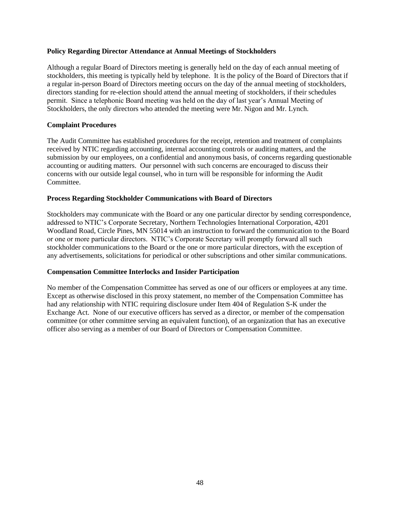### **Policy Regarding Director Attendance at Annual Meetings of Stockholders**

Although a regular Board of Directors meeting is generally held on the day of each annual meeting of stockholders, this meeting is typically held by telephone. It is the policy of the Board of Directors that if a regular in-person Board of Directors meeting occurs on the day of the annual meeting of stockholders, directors standing for re-election should attend the annual meeting of stockholders, if their schedules permit. Since a telephonic Board meeting was held on the day of last year's Annual Meeting of Stockholders, the only directors who attended the meeting were Mr. Nigon and Mr. Lynch.

### **Complaint Procedures**

The Audit Committee has established procedures for the receipt, retention and treatment of complaints received by NTIC regarding accounting, internal accounting controls or auditing matters, and the submission by our employees, on a confidential and anonymous basis, of concerns regarding questionable accounting or auditing matters. Our personnel with such concerns are encouraged to discuss their concerns with our outside legal counsel, who in turn will be responsible for informing the Audit Committee.

### **Process Regarding Stockholder Communications with Board of Directors**

Stockholders may communicate with the Board or any one particular director by sending correspondence, addressed to NTIC's Corporate Secretary, Northern Technologies International Corporation, 4201 Woodland Road, Circle Pines, MN 55014 with an instruction to forward the communication to the Board or one or more particular directors. NTIC's Corporate Secretary will promptly forward all such stockholder communications to the Board or the one or more particular directors, with the exception of any advertisements, solicitations for periodical or other subscriptions and other similar communications.

### **Compensation Committee Interlocks and Insider Participation**

No member of the Compensation Committee has served as one of our officers or employees at any time. Except as otherwise disclosed in this proxy statement, no member of the Compensation Committee has had any relationship with NTIC requiring disclosure under Item 404 of Regulation S-K under the Exchange Act. None of our executive officers has served as a director, or member of the compensation committee (or other committee serving an equivalent function), of an organization that has an executive officer also serving as a member of our Board of Directors or Compensation Committee.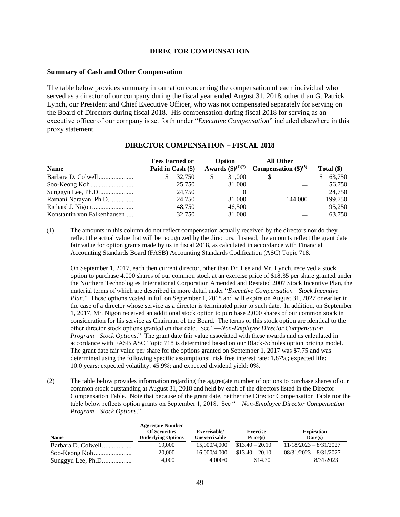#### **DIRECTOR COMPENSATION**

#### **Summary of Cash and Other Compensation**

The table below provides summary information concerning the compensation of each individual who served as a director of our company during the fiscal year ended August 31, 2018, other than G. Patrick Lynch, our President and Chief Executive Officer, who was not compensated separately for serving on the Board of Directors during fiscal 2018. His compensation during fiscal 2018 for serving as an executive officer of our company is set forth under "*Executive Compensation*" included elsewhere in this proxy statement.

| <b>Name</b>                 |   | <b>Fees Earned or</b><br>Paid in Cash (\$) |   | Option<br><b>Awards</b> $(\$)^{(1)(2)}$ | <b>All Other</b><br>Compensation $(\$)^{(3)}$ |         |   | Total $(\$)$ |
|-----------------------------|---|--------------------------------------------|---|-----------------------------------------|-----------------------------------------------|---------|---|--------------|
|                             | S | 32,750                                     | S | 31,000                                  | \$                                            |         | S | 63,750       |
|                             |   | 25,750                                     |   | 31,000                                  |                                               |         |   | 56,750       |
|                             |   | 24,750                                     |   |                                         |                                               |         |   | 24,750       |
| Ramani Narayan, Ph.D.       |   | 24,750                                     |   | 31,000                                  |                                               | 144,000 |   | 199,750      |
|                             |   | 48,750                                     |   | 46,500                                  |                                               |         |   | 95,250       |
| Konstantin von Falkenhausen |   | 32,750                                     |   | 31,000                                  |                                               |         |   | 63,750       |

#### **DIRECTOR COMPENSATION – FISCAL 2018**

(1) The amounts in this column do not reflect compensation actually received by the directors nor do they reflect the actual value that will be recognized by the directors. Instead, the amounts reflect the grant date fair value for option grants made by us in fiscal 2018, as calculated in accordance with Financial Accounting Standards Board (FASB) Accounting Standards Codification (ASC) Topic 718.

On September 1, 2017, each then current director, other than Dr. Lee and Mr. Lynch, received a stock option to purchase 4,000 shares of our common stock at an exercise price of \$18.35 per share granted under the Northern Technologies International Corporation Amended and Restated 2007 Stock Incentive Plan, the material terms of which are described in more detail under "*Executive Compensation—Stock Incentive Plan*." These options vested in full on September 1, 2018 and will expire on August 31, 2027 or earlier in the case of a director whose service as a director is terminated prior to such date. In addition, on September 1, 2017, Mr. Nigon received an additional stock option to purchase 2,000 shares of our common stock in consideration for his service as Chairman of the Board. The terms of this stock option are identical to the other director stock options granted on that date. See "—*Non-Employee Director Compensation Program—Stock Options*." The grant date fair value associated with these awards and as calculated in accordance with FASB ASC Topic 718 is determined based on our Black-Scholes option pricing model. The grant date fair value per share for the options granted on September 1, 2017 was \$7.75 and was determined using the following specific assumptions: risk free interest rate: 1.87%; expected life: 10.0 years; expected volatility: 45.9%; and expected dividend yield: 0%.

(2) The table below provides information regarding the aggregate number of options to purchase shares of our common stock outstanding at August 31, 2018 and held by each of the directors listed in the Director Compensation Table. Note that because of the grant date, neither the Director Compensation Table nor the table below reflects option grants on September 1, 2018. See "—*Non-Employee Director Compensation Program—Stock Options*."

| <b>Name</b>        | <b>Aggregate Number</b><br><b>Of Securities</b><br><b>Underlying Options</b> | Exercisable/<br>Unexercisable | <b>Exercise</b><br>Price(s) | <b>Expiration</b><br>Date(s) |
|--------------------|------------------------------------------------------------------------------|-------------------------------|-----------------------------|------------------------------|
| Barbara D. Colwell | 19.000                                                                       | 15,000/4,000                  | $$13.40 - 20.10$            | $11/18/2023 - 8/31/2027$     |
|                    | 20,000                                                                       | 16,000/4,000                  | $$13.40 - 20.10$            | $08/31/2023 - 8/31/2027$     |
|                    | 4.000                                                                        | 4,000/0                       | \$14.70                     | 8/31/2023                    |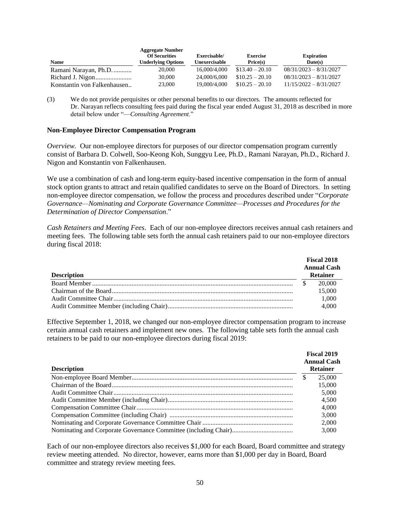| <b>Name</b>                 | <b>Aggregate Number</b><br><b>Of Securities</b><br><b>Underlying Options</b> | Exercisable/<br>Unexercisable | <b>Exercise</b><br>Price(s) | <b>Expiration</b><br>Date(s) |
|-----------------------------|------------------------------------------------------------------------------|-------------------------------|-----------------------------|------------------------------|
| Ramani Narayan, Ph.D.       | 20,000                                                                       | 16,000/4,000                  | $$13.40 - 20.10$            | $08/31/2023 - 8/31/2027$     |
|                             | 30,000                                                                       | 24,000/6,000                  | $$10.25 - 20.10$            | $08/31/2023 - 8/31/2027$     |
| Konstantin von Falkenhausen | 23,000                                                                       | 19,000/4,000                  | $$10.25 - 20.10$            | $11/15/2022 - 8/31/2027$     |

(3) We do not provide perquisites or other personal benefits to our directors. The amounts reflected for Dr. Narayan reflects consulting fees paid during the fiscal year ended August 31, 2018 as described in more detail below under "—*Consulting Agreement*."

#### **Non-Employee Director Compensation Program**

*Overview.* Our non-employee directors for purposes of our director compensation program currently consist of Barbara D. Colwell, Soo-Keong Koh, Sunggyu Lee, Ph.D., Ramani Narayan, Ph.D., Richard J. Nigon and Konstantin von Falkenhausen.

We use a combination of cash and long-term equity-based incentive compensation in the form of annual stock option grants to attract and retain qualified candidates to serve on the Board of Directors. In setting non-employee director compensation, we follow the process and procedures described under "*Corporate Governance—Nominating and Corporate Governance Committee—Processes and Procedures for the Determination of Director Compensation*."

*Cash Retainers and Meeting Fees*. Each of our non-employee directors receives annual cash retainers and meeting fees. The following table sets forth the annual cash retainers paid to our non-employee directors during fiscal 2018:

| <b>Description</b> | <b>Fiscal 2018</b><br><b>Annual Cash</b><br><b>Retainer</b> |
|--------------------|-------------------------------------------------------------|
|                    | 20,000                                                      |
|                    | 15,000                                                      |
|                    | 1,000                                                       |
|                    | 4.000                                                       |

Effective September 1, 2018, we changed our non-employee director compensation program to increase certain annual cash retainers and implement new ones. The following table sets forth the annual cash retainers to be paid to our non-employee directors during fiscal 2019:

| <b>Description</b> |    | Fiscal 2019<br><b>Annual Cash</b><br><b>Retainer</b> |
|--------------------|----|------------------------------------------------------|
|                    | -S | 25,000                                               |
|                    |    | 15,000                                               |
|                    |    | 5,000                                                |
|                    |    | 4.500                                                |
|                    |    | 4.000                                                |
|                    |    | 3,000                                                |
|                    |    | 2.000                                                |
|                    |    | 3.000                                                |

Each of our non-employee directors also receives \$1,000 for each Board, Board committee and strategy review meeting attended. No director, however, earns more than \$1,000 per day in Board, Board committee and strategy review meeting fees.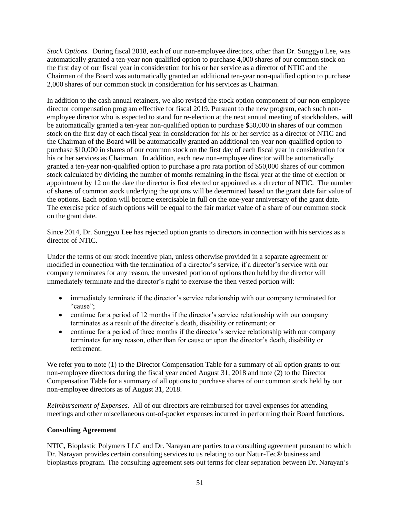*Stock Options*. During fiscal 2018, each of our non-employee directors, other than Dr. Sunggyu Lee, was automatically granted a ten-year non-qualified option to purchase 4,000 shares of our common stock on the first day of our fiscal year in consideration for his or her service as a director of NTIC and the Chairman of the Board was automatically granted an additional ten-year non-qualified option to purchase 2,000 shares of our common stock in consideration for his services as Chairman.

In addition to the cash annual retainers, we also revised the stock option component of our non-employee director compensation program effective for fiscal 2019. Pursuant to the new program, each such nonemployee director who is expected to stand for re-election at the next annual meeting of stockholders, will be automatically granted a ten-year non-qualified option to purchase \$50,000 in shares of our common stock on the first day of each fiscal year in consideration for his or her service as a director of NTIC and the Chairman of the Board will be automatically granted an additional ten-year non-qualified option to purchase \$10,000 in shares of our common stock on the first day of each fiscal year in consideration for his or her services as Chairman. In addition, each new non-employee director will be automatically granted a ten-year non-qualified option to purchase a pro rata portion of \$50,000 shares of our common stock calculated by dividing the number of months remaining in the fiscal year at the time of election or appointment by 12 on the date the director is first elected or appointed as a director of NTIC. The number of shares of common stock underlying the options will be determined based on the grant date fair value of the options. Each option will become exercisable in full on the one-year anniversary of the grant date. The exercise price of such options will be equal to the fair market value of a share of our common stock on the grant date.

Since 2014, Dr. Sunggyu Lee has rejected option grants to directors in connection with his services as a director of NTIC.

Under the terms of our stock incentive plan, unless otherwise provided in a separate agreement or modified in connection with the termination of a director's service, if a director's service with our company terminates for any reason, the unvested portion of options then held by the director will immediately terminate and the director's right to exercise the then vested portion will:

- immediately terminate if the director's service relationship with our company terminated for "cause";
- continue for a period of 12 months if the director's service relationship with our company terminates as a result of the director's death, disability or retirement; or
- continue for a period of three months if the director's service relationship with our company terminates for any reason, other than for cause or upon the director's death, disability or retirement.

We refer you to note (1) to the Director Compensation Table for a summary of all option grants to our non-employee directors during the fiscal year ended August 31, 2018 and note (2) to the Director Compensation Table for a summary of all options to purchase shares of our common stock held by our non-employee directors as of August 31, 2018.

*Reimbursement of Expenses*. All of our directors are reimbursed for travel expenses for attending meetings and other miscellaneous out-of-pocket expenses incurred in performing their Board functions.

### **Consulting Agreement**

NTIC, Bioplastic Polymers LLC and Dr. Narayan are parties to a consulting agreement pursuant to which Dr. Narayan provides certain consulting services to us relating to our Natur-Tec® business and bioplastics program. The consulting agreement sets out terms for clear separation between Dr. Narayan's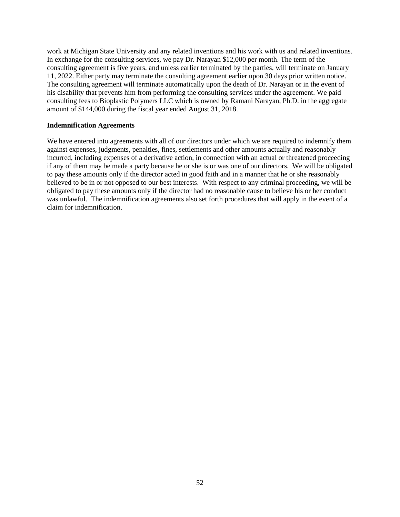work at Michigan State University and any related inventions and his work with us and related inventions. In exchange for the consulting services, we pay Dr. Narayan \$12,000 per month. The term of the consulting agreement is five years, and unless earlier terminated by the parties, will terminate on January 11, 2022. Either party may terminate the consulting agreement earlier upon 30 days prior written notice. The consulting agreement will terminate automatically upon the death of Dr. Narayan or in the event of his disability that prevents him from performing the consulting services under the agreement. We paid consulting fees to Bioplastic Polymers LLC which is owned by Ramani Narayan, Ph.D. in the aggregate amount of \$144,000 during the fiscal year ended August 31, 2018.

### **Indemnification Agreements**

We have entered into agreements with all of our directors under which we are required to indemnify them against expenses, judgments, penalties, fines, settlements and other amounts actually and reasonably incurred, including expenses of a derivative action, in connection with an actual or threatened proceeding if any of them may be made a party because he or she is or was one of our directors. We will be obligated to pay these amounts only if the director acted in good faith and in a manner that he or she reasonably believed to be in or not opposed to our best interests. With respect to any criminal proceeding, we will be obligated to pay these amounts only if the director had no reasonable cause to believe his or her conduct was unlawful. The indemnification agreements also set forth procedures that will apply in the event of a claim for indemnification.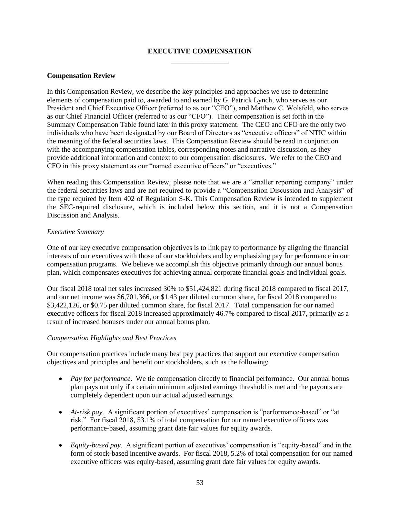# **EXECUTIVE COMPENSATION**

# **Compensation Review**

In this Compensation Review, we describe the key principles and approaches we use to determine elements of compensation paid to, awarded to and earned by G. Patrick Lynch, who serves as our President and Chief Executive Officer (referred to as our "CEO"), and Matthew C. Wolsfeld, who serves as our Chief Financial Officer (referred to as our "CFO"). Their compensation is set forth in the Summary Compensation Table found later in this proxy statement. The CEO and CFO are the only two individuals who have been designated by our Board of Directors as "executive officers" of NTIC within the meaning of the federal securities laws. This Compensation Review should be read in conjunction with the accompanying compensation tables, corresponding notes and narrative discussion, as they provide additional information and context to our compensation disclosures. We refer to the CEO and CFO in this proxy statement as our "named executive officers" or "executives."

When reading this Compensation Review, please note that we are a "smaller reporting company" under the federal securities laws and are not required to provide a "Compensation Discussion and Analysis" of the type required by Item 402 of Regulation S-K. This Compensation Review is intended to supplement the SEC-required disclosure, which is included below this section, and it is not a Compensation Discussion and Analysis.

### *Executive Summary*

One of our key executive compensation objectives is to link pay to performance by aligning the financial interests of our executives with those of our stockholders and by emphasizing pay for performance in our compensation programs. We believe we accomplish this objective primarily through our annual bonus plan, which compensates executives for achieving annual corporate financial goals and individual goals.

Our fiscal 2018 total net sales increased 30% to \$51,424,821 during fiscal 2018 compared to fiscal 2017, and our net income was \$6,701,366, or \$1.43 per diluted common share, for fiscal 2018 compared to \$3,422,126, or \$0.75 per diluted common share, for fiscal 2017. Total compensation for our named executive officers for fiscal 2018 increased approximately 46.7% compared to fiscal 2017, primarily as a result of increased bonuses under our annual bonus plan.

### *Compensation Highlights and Best Practices*

Our compensation practices include many best pay practices that support our executive compensation objectives and principles and benefit our stockholders, such as the following:

- *Pay for performance*. We tie compensation directly to financial performance. Our annual bonus plan pays out only if a certain minimum adjusted earnings threshold is met and the payouts are completely dependent upon our actual adjusted earnings.
- *At-risk pay*. A significant portion of executives' compensation is "performance-based" or "at risk." For fiscal 2018, 53.1% of total compensation for our named executive officers was performance-based, assuming grant date fair values for equity awards.
- *Equity-based pay*. A significant portion of executives' compensation is "equity-based" and in the form of stock-based incentive awards. For fiscal 2018, 5.2% of total compensation for our named executive officers was equity-based, assuming grant date fair values for equity awards.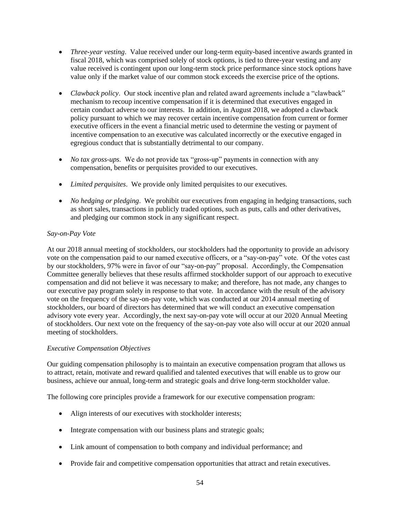- *Three-year vesting.* Value received under our long-term equity-based incentive awards granted in fiscal 2018, which was comprised solely of stock options, is tied to three-year vesting and any value received is contingent upon our long-term stock price performance since stock options have value only if the market value of our common stock exceeds the exercise price of the options.
- *Clawback policy*. Our stock incentive plan and related award agreements include a "clawback" mechanism to recoup incentive compensation if it is determined that executives engaged in certain conduct adverse to our interests. In addition, in August 2018, we adopted a clawback policy pursuant to which we may recover certain incentive compensation from current or former executive officers in the event a financial metric used to determine the vesting or payment of incentive compensation to an executive was calculated incorrectly or the executive engaged in egregious conduct that is substantially detrimental to our company.
- *No tax gross-ups*. We do not provide tax "gross-up" payments in connection with any compensation, benefits or perquisites provided to our executives.
- *Limited perquisites*. We provide only limited perquisites to our executives.
- *No hedging or pledging*. We prohibit our executives from engaging in hedging transactions, such as short sales, transactions in publicly traded options, such as puts, calls and other derivatives, and pledging our common stock in any significant respect.

# *Say-on-Pay Vote*

At our 2018 annual meeting of stockholders, our stockholders had the opportunity to provide an advisory vote on the compensation paid to our named executive officers, or a "say-on-pay" vote. Of the votes cast by our stockholders, 97% were in favor of our "say-on-pay" proposal. Accordingly, the Compensation Committee generally believes that these results affirmed stockholder support of our approach to executive compensation and did not believe it was necessary to make; and therefore, has not made, any changes to our executive pay program solely in response to that vote. In accordance with the result of the advisory vote on the frequency of the say-on-pay vote, which was conducted at our 2014 annual meeting of stockholders, our board of directors has determined that we will conduct an executive compensation advisory vote every year. Accordingly, the next say-on-pay vote will occur at our 2020 Annual Meeting of stockholders. Our next vote on the frequency of the say-on-pay vote also will occur at our 2020 annual meeting of stockholders.

### *Executive Compensation Objectives*

Our guiding compensation philosophy is to maintain an executive compensation program that allows us to attract, retain, motivate and reward qualified and talented executives that will enable us to grow our business, achieve our annual, long-term and strategic goals and drive long-term stockholder value.

The following core principles provide a framework for our executive compensation program:

- Align interests of our executives with stockholder interests;
- Integrate compensation with our business plans and strategic goals;
- Link amount of compensation to both company and individual performance; and
- Provide fair and competitive compensation opportunities that attract and retain executives.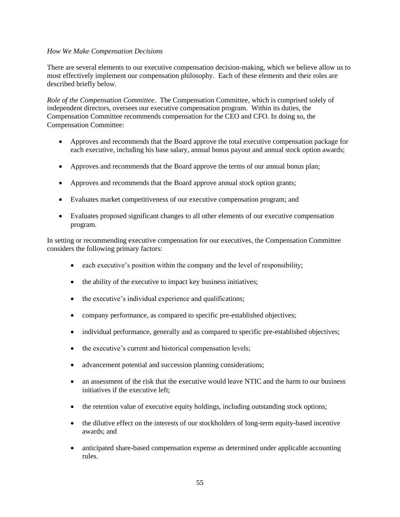### *How We Make Compensation Decisions*

There are several elements to our executive compensation decision-making, which we believe allow us to most effectively implement our compensation philosophy. Each of these elements and their roles are described briefly below.

*Role of the Compensation Committee*. The Compensation Committee, which is comprised solely of independent directors, oversees our executive compensation program. Within its duties, the Compensation Committee recommends compensation for the CEO and CFO. In doing so, the Compensation Committee:

- Approves and recommends that the Board approve the total executive compensation package for each executive, including his base salary, annual bonus payout and annual stock option awards;
- Approves and recommends that the Board approve the terms of our annual bonus plan;
- Approves and recommends that the Board approve annual stock option grants;
- Evaluates market competitiveness of our executive compensation program; and
- Evaluates proposed significant changes to all other elements of our executive compensation program.

In setting or recommending executive compensation for our executives, the Compensation Committee considers the following primary factors:

- each executive's position within the company and the level of responsibility;
- the ability of the executive to impact key business initiatives;
- the executive's individual experience and qualifications;
- company performance, as compared to specific pre-established objectives;
- individual performance, generally and as compared to specific pre-established objectives;
- the executive's current and historical compensation levels;
- advancement potential and succession planning considerations;
- an assessment of the risk that the executive would leave NTIC and the harm to our business initiatives if the executive left;
- the retention value of executive equity holdings, including outstanding stock options;
- the dilutive effect on the interests of our stockholders of long-term equity-based incentive awards; and
- anticipated share-based compensation expense as determined under applicable accounting rules.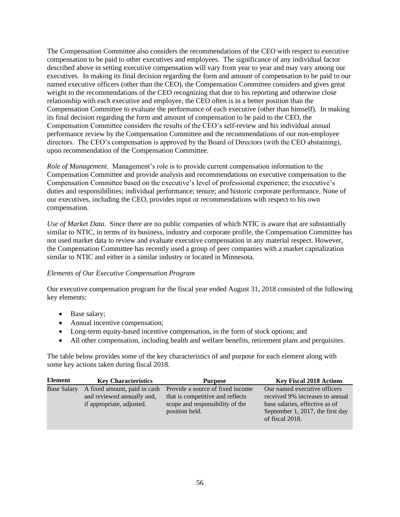The Compensation Committee also considers the recommendations of the CEO with respect to executive compensation to be paid to other executives and employees. The significance of any individual factor described above in setting executive compensation will vary from year to year and may vary among our executives. In making its final decision regarding the form and amount of compensation to be paid to our named executive officers (other than the CEO), the Compensation Committee considers and gives great weight to the recommendations of the CEO recognizing that due to his reporting and otherwise close relationship with each executive and employee, the CEO often is in a better position than the Compensation Committee to evaluate the performance of each executive (other than himself). In making its final decision regarding the form and amount of compensation to be paid to the CEO, the Compensation Committee considers the results of the CEO's self-review and his individual annual performance review by the Compensation Committee and the recommendations of our non-employee directors. The CEO's compensation is approved by the Board of Directors (with the CEO abstaining), upon recommendation of the Compensation Committee.

*Role of Management*. Management's role is to provide current compensation information to the Compensation Committee and provide analysis and recommendations on executive compensation to the Compensation Committee based on the executive's level of professional experience; the executive's duties and responsibilities; individual performance; tenure; and historic corporate performance. None of our executives, including the CEO, provides input or recommendations with respect to his own compensation.

*Use of Market Data*. Since there are no public companies of which NTIC is aware that are substantially similar to NTIC, in terms of its business, industry and corporate profile, the Compensation Committee has not used market data to review and evaluate executive compensation in any material respect. However, the Compensation Committee has recently used a group of peer companies with a market capitalization similar to NTIC and either in a similar industry or located in Minnesota.

### *Elements of Our Executive Compensation Program*

Our executive compensation program for the fiscal year ended August 31, 2018 consisted of the following key elements:

- Base salary;
- Annual incentive compensation;
- Long-term equity-based incentive compensation, in the form of stock options; and
- All other compensation, including health and welfare benefits, retirement plans and perquisites.

The table below provides some of the key characteristics of and purpose for each element along with some key actions taken during fiscal 2018.

| Element            | <b>Key Characteristics</b>                                 | <b>Purpose</b>                                                       | <b>Key Fiscal 2018 Actions</b>                                                        |
|--------------------|------------------------------------------------------------|----------------------------------------------------------------------|---------------------------------------------------------------------------------------|
| <b>Base Salary</b> | A fixed amount, paid in cash<br>and reviewed annually and, | Provide a source of fixed income<br>that is competitive and reflects | Our named executive officers<br>received 9% increases to annual                       |
|                    | if appropriate, adjusted.                                  | scope and responsibility of the<br>position held.                    | base salaries, effective as of<br>September 1, 2017, the first day<br>of fiscal 2018. |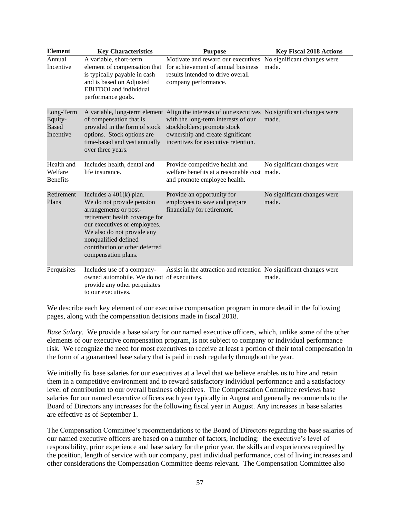| <b>Element</b>                                    | <b>Key Characteristics</b>                                                                                                                                                                                                                                       | <b>Purpose</b>                                                                                                                                                                                                                                   | <b>Key Fiscal 2018 Actions</b>       |
|---------------------------------------------------|------------------------------------------------------------------------------------------------------------------------------------------------------------------------------------------------------------------------------------------------------------------|--------------------------------------------------------------------------------------------------------------------------------------------------------------------------------------------------------------------------------------------------|--------------------------------------|
| Annual<br>Incentive                               | A variable, short-term<br>element of compensation that<br>is typically payable in cash<br>and is based on Adjusted<br><b>EBITDOI</b> and individual<br>performance goals.                                                                                        | Motivate and reward our executives No significant changes were<br>for achievement of annual business<br>results intended to drive overall<br>company performance.                                                                                | made.                                |
| Long-Term<br>Equity-<br><b>Based</b><br>Incentive | of compensation that is<br>provided in the form of stock<br>options. Stock options are<br>time-based and vest annually<br>over three years.                                                                                                                      | A variable, long-term element Align the interests of our executives No significant changes were<br>with the long-term interests of our<br>stockholders; promote stock<br>ownership and create significant<br>incentives for executive retention. | made.                                |
| Health and<br>Welfare<br><b>Benefits</b>          | Includes health, dental and<br>life insurance.                                                                                                                                                                                                                   | Provide competitive health and<br>welfare benefits at a reasonable cost made.<br>and promote employee health.                                                                                                                                    | No significant changes were          |
| Retirement<br>Plans                               | Includes a $401(k)$ plan.<br>We do not provide pension<br>arrangements or post-<br>retirement health coverage for<br>our executives or employees.<br>We also do not provide any<br>nonqualified defined<br>contribution or other deferred<br>compensation plans. | Provide an opportunity for<br>employees to save and prepare<br>financially for retirement.                                                                                                                                                       | No significant changes were<br>made. |
| Perquisites                                       | Includes use of a company-<br>owned automobile. We do not of executives.<br>provide any other perquisites<br>to our executives.                                                                                                                                  | Assist in the attraction and retention No significant changes were                                                                                                                                                                               | made.                                |

We describe each key element of our executive compensation program in more detail in the following pages, along with the compensation decisions made in fiscal 2018.

*Base Salary*. We provide a base salary for our named executive officers, which, unlike some of the other elements of our executive compensation program, is not subject to company or individual performance risk. We recognize the need for most executives to receive at least a portion of their total compensation in the form of a guaranteed base salary that is paid in cash regularly throughout the year.

We initially fix base salaries for our executives at a level that we believe enables us to hire and retain them in a competitive environment and to reward satisfactory individual performance and a satisfactory level of contribution to our overall business objectives. The Compensation Committee reviews base salaries for our named executive officers each year typically in August and generally recommends to the Board of Directors any increases for the following fiscal year in August. Any increases in base salaries are effective as of September 1.

The Compensation Committee's recommendations to the Board of Directors regarding the base salaries of our named executive officers are based on a number of factors, including: the executive's level of responsibility, prior experience and base salary for the prior year, the skills and experiences required by the position, length of service with our company, past individual performance, cost of living increases and other considerations the Compensation Committee deems relevant. The Compensation Committee also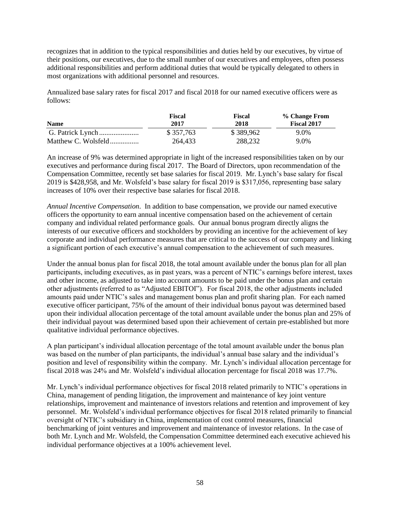recognizes that in addition to the typical responsibilities and duties held by our executives, by virtue of their positions, our executives, due to the small number of our executives and employees, often possess additional responsibilities and perform additional duties that would be typically delegated to others in most organizations with additional personnel and resources.

Annualized base salary rates for fiscal 2017 and fiscal 2018 for our named executive officers were as follows:

| <b>Name</b>         | Fiscal<br>2017 | Fiscal<br>2018 | % Change From<br>Fiscal 2017 |  |  |
|---------------------|----------------|----------------|------------------------------|--|--|
|                     | \$357,763      | \$389,962      | 9.0%                         |  |  |
| Matthew C. Wolsfeld | 264,433        | 288.232        | 9.0%                         |  |  |

An increase of 9% was determined appropriate in light of the increased responsibilities taken on by our executives and performance during fiscal 2017. The Board of Directors, upon recommendation of the Compensation Committee, recently set base salaries for fiscal 2019. Mr. Lynch's base salary for fiscal 2019 is \$428,958, and Mr. Wolsfeld's base salary for fiscal 2019 is \$317,056, representing base salary increases of 10% over their respective base salaries for fiscal 2018.

*Annual Incentive Compensation*. In addition to base compensation, we provide our named executive officers the opportunity to earn annual incentive compensation based on the achievement of certain company and individual related performance goals. Our annual bonus program directly aligns the interests of our executive officers and stockholders by providing an incentive for the achievement of key corporate and individual performance measures that are critical to the success of our company and linking a significant portion of each executive's annual compensation to the achievement of such measures.

Under the annual bonus plan for fiscal 2018, the total amount available under the bonus plan for all plan participants, including executives, as in past years, was a percent of NTIC's earnings before interest, taxes and other income, as adjusted to take into account amounts to be paid under the bonus plan and certain other adjustments (referred to as "Adjusted EBITOI"). For fiscal 2018, the other adjustments included amounts paid under NTIC's sales and management bonus plan and profit sharing plan. For each named executive officer participant, 75% of the amount of their individual bonus payout was determined based upon their individual allocation percentage of the total amount available under the bonus plan and 25% of their individual payout was determined based upon their achievement of certain pre-established but more qualitative individual performance objectives.

A plan participant's individual allocation percentage of the total amount available under the bonus plan was based on the number of plan participants, the individual's annual base salary and the individual's position and level of responsibility within the company. Mr. Lynch's individual allocation percentage for fiscal 2018 was 24% and Mr. Wolsfeld's individual allocation percentage for fiscal 2018 was 17.7%.

Mr. Lynch's individual performance objectives for fiscal 2018 related primarily to NTIC's operations in China, management of pending litigation, the improvement and maintenance of key joint venture relationships, improvement and maintenance of investors relations and retention and improvement of key personnel. Mr. Wolsfeld's individual performance objectives for fiscal 2018 related primarily to financial oversight of NTIC's subsidiary in China, implementation of cost control measures, financial benchmarking of joint ventures and improvement and maintenance of investor relations. In the case of both Mr. Lynch and Mr. Wolsfeld, the Compensation Committee determined each executive achieved his individual performance objectives at a 100% achievement level.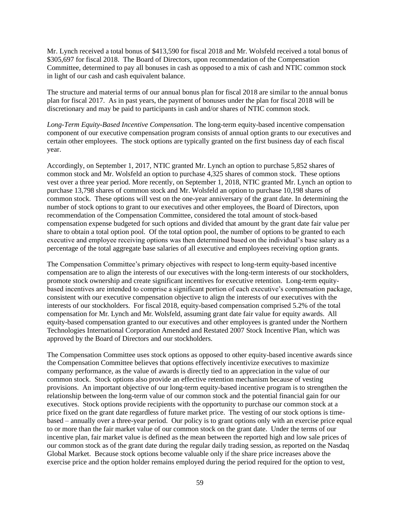Mr. Lynch received a total bonus of \$413,590 for fiscal 2018 and Mr. Wolsfeld received a total bonus of \$305,697 for fiscal 2018. The Board of Directors, upon recommendation of the Compensation Committee, determined to pay all bonuses in cash as opposed to a mix of cash and NTIC common stock in light of our cash and cash equivalent balance.

The structure and material terms of our annual bonus plan for fiscal 2018 are similar to the annual bonus plan for fiscal 2017. As in past years, the payment of bonuses under the plan for fiscal 2018 will be discretionary and may be paid to participants in cash and/or shares of NTIC common stock.

*Long-Term Equity-Based Incentive Compensation*. The long-term equity-based incentive compensation component of our executive compensation program consists of annual option grants to our executives and certain other employees. The stock options are typically granted on the first business day of each fiscal year.

Accordingly, on September 1, 2017, NTIC granted Mr. Lynch an option to purchase 5,852 shares of common stock and Mr. Wolsfeld an option to purchase 4,325 shares of common stock. These options vest over a three year period. More recently, on September 1, 2018, NTIC granted Mr. Lynch an option to purchase 13,798 shares of common stock and Mr. Wolsfeld an option to purchase 10,198 shares of common stock. These options will vest on the one-year anniversary of the grant date. In determining the number of stock options to grant to our executives and other employees, the Board of Directors, upon recommendation of the Compensation Committee, considered the total amount of stock-based compensation expense budgeted for such options and divided that amount by the grant date fair value per share to obtain a total option pool. Of the total option pool, the number of options to be granted to each executive and employee receiving options was then determined based on the individual's base salary as a percentage of the total aggregate base salaries of all executive and employees receiving option grants.

The Compensation Committee's primary objectives with respect to long-term equity-based incentive compensation are to align the interests of our executives with the long-term interests of our stockholders, promote stock ownership and create significant incentives for executive retention. Long-term equitybased incentives are intended to comprise a significant portion of each executive's compensation package, consistent with our executive compensation objective to align the interests of our executives with the interests of our stockholders. For fiscal 2018, equity-based compensation comprised 5.2% of the total compensation for Mr. Lynch and Mr. Wolsfeld, assuming grant date fair value for equity awards. All equity-based compensation granted to our executives and other employees is granted under the Northern Technologies International Corporation Amended and Restated 2007 Stock Incentive Plan, which was approved by the Board of Directors and our stockholders.

The Compensation Committee uses stock options as opposed to other equity-based incentive awards since the Compensation Committee believes that options effectively incentivize executives to maximize company performance, as the value of awards is directly tied to an appreciation in the value of our common stock. Stock options also provide an effective retention mechanism because of vesting provisions. An important objective of our long-term equity-based incentive program is to strengthen the relationship between the long-term value of our common stock and the potential financial gain for our executives. Stock options provide recipients with the opportunity to purchase our common stock at a price fixed on the grant date regardless of future market price. The vesting of our stock options is timebased – annually over a three-year period. Our policy is to grant options only with an exercise price equal to or more than the fair market value of our common stock on the grant date. Under the terms of our incentive plan, fair market value is defined as the mean between the reported high and low sale prices of our common stock as of the grant date during the regular daily trading session, as reported on the Nasdaq Global Market. Because stock options become valuable only if the share price increases above the exercise price and the option holder remains employed during the period required for the option to vest,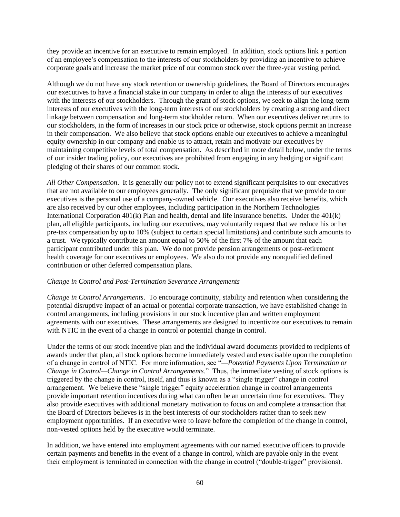they provide an incentive for an executive to remain employed. In addition, stock options link a portion of an employee's compensation to the interests of our stockholders by providing an incentive to achieve corporate goals and increase the market price of our common stock over the three-year vesting period.

Although we do not have any stock retention or ownership guidelines, the Board of Directors encourages our executives to have a financial stake in our company in order to align the interests of our executives with the interests of our stockholders. Through the grant of stock options, we seek to align the long-term interests of our executives with the long-term interests of our stockholders by creating a strong and direct linkage between compensation and long-term stockholder return. When our executives deliver returns to our stockholders, in the form of increases in our stock price or otherwise, stock options permit an increase in their compensation. We also believe that stock options enable our executives to achieve a meaningful equity ownership in our company and enable us to attract, retain and motivate our executives by maintaining competitive levels of total compensation. As described in more detail below, under the terms of our insider trading policy, our executives are prohibited from engaging in any hedging or significant pledging of their shares of our common stock.

*All Other Compensation*. It is generally our policy not to extend significant perquisites to our executives that are not available to our employees generally. The only significant perquisite that we provide to our executives is the personal use of a company-owned vehicle. Our executives also receive benefits, which are also received by our other employees, including participation in the Northern Technologies International Corporation 401(k) Plan and health, dental and life insurance benefits. Under the 401(k) plan, all eligible participants, including our executives, may voluntarily request that we reduce his or her pre-tax compensation by up to 10% (subject to certain special limitations) and contribute such amounts to a trust. We typically contribute an amount equal to 50% of the first 7% of the amount that each participant contributed under this plan. We do not provide pension arrangements or post-retirement health coverage for our executives or employees. We also do not provide any nonqualified defined contribution or other deferred compensation plans.

### *Change in Control and Post-Termination Severance Arrangements*

*Change in Control Arrangements*. To encourage continuity, stability and retention when considering the potential disruptive impact of an actual or potential corporate transaction, we have established change in control arrangements, including provisions in our stock incentive plan and written employment agreements with our executives. These arrangements are designed to incentivize our executives to remain with NTIC in the event of a change in control or potential change in control.

Under the terms of our stock incentive plan and the individual award documents provided to recipients of awards under that plan, all stock options become immediately vested and exercisable upon the completion of a change in control of NTIC. For more information, see "*—Potential Payments Upon Termination or Change in Control—Change in Control Arrangements*." Thus, the immediate vesting of stock options is triggered by the change in control, itself, and thus is known as a "single trigger" change in control arrangement. We believe these "single trigger" equity acceleration change in control arrangements provide important retention incentives during what can often be an uncertain time for executives. They also provide executives with additional monetary motivation to focus on and complete a transaction that the Board of Directors believes is in the best interests of our stockholders rather than to seek new employment opportunities. If an executive were to leave before the completion of the change in control, non-vested options held by the executive would terminate.

In addition, we have entered into employment agreements with our named executive officers to provide certain payments and benefits in the event of a change in control, which are payable only in the event their employment is terminated in connection with the change in control ("double-trigger" provisions).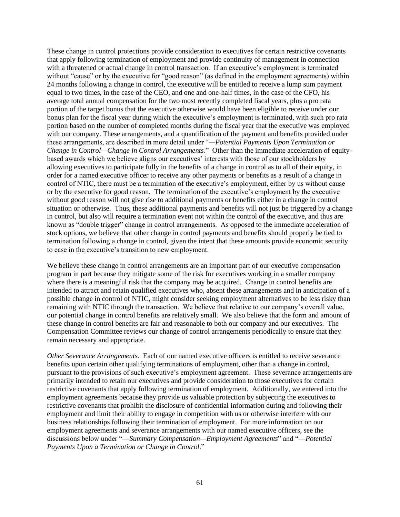These change in control protections provide consideration to executives for certain restrictive covenants that apply following termination of employment and provide continuity of management in connection with a threatened or actual change in control transaction. If an executive's employment is terminated without "cause" or by the executive for "good reason" (as defined in the employment agreements) within 24 months following a change in control, the executive will be entitled to receive a lump sum payment equal to two times, in the case of the CEO, and one and one-half times, in the case of the CFO, his average total annual compensation for the two most recently completed fiscal years, plus a pro rata portion of the target bonus that the executive otherwise would have been eligible to receive under our bonus plan for the fiscal year during which the executive's employment is terminated, with such pro rata portion based on the number of completed months during the fiscal year that the executive was employed with our company. These arrangements, and a quantification of the payment and benefits provided under these arrangements, are described in more detail under "*—Potential Payments Upon Termination or Change in Control—Change in Control Arrangements*." Other than the immediate acceleration of equitybased awards which we believe aligns our executives' interests with those of our stockholders by allowing executives to participate fully in the benefits of a change in control as to all of their equity, in order for a named executive officer to receive any other payments or benefits as a result of a change in control of NTIC, there must be a termination of the executive's employment, either by us without cause or by the executive for good reason. The termination of the executive's employment by the executive without good reason will not give rise to additional payments or benefits either in a change in control situation or otherwise. Thus, these additional payments and benefits will not just be triggered by a change in control, but also will require a termination event not within the control of the executive, and thus are known as "double trigger" change in control arrangements. As opposed to the immediate acceleration of stock options, we believe that other change in control payments and benefits should properly be tied to termination following a change in control, given the intent that these amounts provide economic security to ease in the executive's transition to new employment.

We believe these change in control arrangements are an important part of our executive compensation program in part because they mitigate some of the risk for executives working in a smaller company where there is a meaningful risk that the company may be acquired. Change in control benefits are intended to attract and retain qualified executives who, absent these arrangements and in anticipation of a possible change in control of NTIC, might consider seeking employment alternatives to be less risky than remaining with NTIC through the transaction. We believe that relative to our company's overall value, our potential change in control benefits are relatively small. We also believe that the form and amount of these change in control benefits are fair and reasonable to both our company and our executives. The Compensation Committee reviews our change of control arrangements periodically to ensure that they remain necessary and appropriate.

*Other Severance Arrangements*. Each of our named executive officers is entitled to receive severance benefits upon certain other qualifying terminations of employment, other than a change in control, pursuant to the provisions of such executive's employment agreement. These severance arrangements are primarily intended to retain our executives and provide consideration to those executives for certain restrictive covenants that apply following termination of employment. Additionally, we entered into the employment agreements because they provide us valuable protection by subjecting the executives to restrictive covenants that prohibit the disclosure of confidential information during and following their employment and limit their ability to engage in competition with us or otherwise interfere with our business relationships following their termination of employment. For more information on our employment agreements and severance arrangements with our named executive officers, see the discussions below under "—*Summary Compensation—Employment Agreements*" and "—*Potential Payments Upon a Termination or Change in Control*."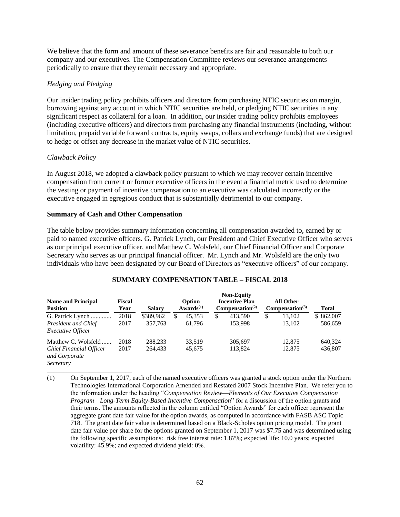We believe that the form and amount of these severance benefits are fair and reasonable to both our company and our executives. The Compensation Committee reviews our severance arrangements periodically to ensure that they remain necessary and appropriate.

# *Hedging and Pledging*

Our insider trading policy prohibits officers and directors from purchasing NTIC securities on margin, borrowing against any account in which NTIC securities are held, or pledging NTIC securities in any significant respect as collateral for a loan. In addition, our insider trading policy prohibits employees (including executive officers) and directors from purchasing any financial instruments (including, without limitation, prepaid variable forward contracts, equity swaps, collars and exchange funds) that are designed to hedge or offset any decrease in the market value of NTIC securities.

### *Clawback Policy*

In August 2018, we adopted a clawback policy pursuant to which we may recover certain incentive compensation from current or former executive officers in the event a financial metric used to determine the vesting or payment of incentive compensation to an executive was calculated incorrectly or the executive engaged in egregious conduct that is substantially detrimental to our company.

# **Summary of Cash and Other Compensation**

\_\_\_\_\_\_\_\_\_\_\_\_\_\_\_\_\_\_\_\_\_\_\_\_\_\_

The table below provides summary information concerning all compensation awarded to, earned by or paid to named executive officers. G. Patrick Lynch, our President and Chief Executive Officer who serves as our principal executive officer, and Matthew C. Wolsfeld, our Chief Financial Officer and Corporate Secretary who serves as our principal financial officer. Mr. Lynch and Mr. Wolsfeld are the only two individuals who have been designated by our Board of Directors as "executive officers" of our company.

| <b>Name and Principal</b><br><b>Position</b>          | Fiscal<br>Year | <b>Salary</b> |   | Option<br>Awards <sup>(1)</sup> | <b>Non-Equity</b><br><b>Incentive Plan</b><br>Compensation <sup>(2)</sup> |   | <b>All Other</b><br>Compensation <sup>(3)</sup> | <b>Total</b> |
|-------------------------------------------------------|----------------|---------------|---|---------------------------------|---------------------------------------------------------------------------|---|-------------------------------------------------|--------------|
| G. Patrick Lynch                                      | 2018           | \$389,962     | S | 45.353                          | \$<br>413.590                                                             | S | 13,102                                          | \$862,007    |
| President and Chief<br><i>Executive Officer</i>       | 2017           | 357,763       |   | 61.796                          | 153.998                                                                   |   | 13.102                                          | 586,659      |
| Matthew C. Wolsfeld                                   | 2018           | 288.233       |   | 33.519                          | 305,697                                                                   |   | 12.875                                          | 640,324      |
| Chief Financial Officer<br>and Corporate<br>Secretary | 2017           | 264.433       |   | 45.675                          | 113,824                                                                   |   | 12.875                                          | 436,807      |

# **SUMMARY COMPENSATION TABLE – FISCAL 2018**

(1) On September 1, 2017, each of the named executive officers was granted a stock option under the Northern Technologies International Corporation Amended and Restated 2007 Stock Incentive Plan. We refer you to the information under the heading "*Compensation Review*—*Elements of Our Executive Compensation Program—Long-Term Equity-Based Incentive Compensation*" for a discussion of the option grants and their terms. The amounts reflected in the column entitled "Option Awards" for each officer represent the aggregate grant date fair value for the option awards, as computed in accordance with FASB ASC Topic 718. The grant date fair value is determined based on a Black-Scholes option pricing model. The grant date fair value per share for the options granted on September 1, 2017 was \$7.75 and was determined using the following specific assumptions: risk free interest rate: 1.87%; expected life: 10.0 years; expected volatility: 45.9%; and expected dividend yield: 0%.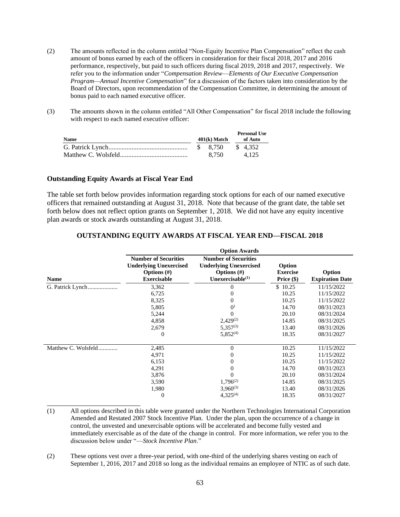- (2) The amounts reflected in the column entitled "Non-Equity Incentive Plan Compensation" reflect the cash amount of bonus earned by each of the officers in consideration for their fiscal 2018, 2017 and 2016 performance, respectively, but paid to such officers during fiscal 2019, 2018 and 2017, respectively. We refer you to the information under "*Compensation Review*—*Elements of Our Executive Compensation Program—Annual Incentive Compensation*" for a discussion of the factors taken into consideration by the Board of Directors, upon recommendation of the Compensation Committee, in determining the amount of bonus paid to each named executive officer.
- (3) The amounts shown in the column entitled "All Other Compensation" for fiscal 2018 include the following with respect to each named executive officer:

| <b>Name</b> | 401(k) Match | <b>Personal Use</b><br>of Auto |  |  |
|-------------|--------------|--------------------------------|--|--|
|             | \$ 8.750     | \$4.352                        |  |  |
|             | 8.750        | 4.125                          |  |  |

#### **Outstanding Equity Awards at Fiscal Year End**

The table set forth below provides information regarding stock options for each of our named executive officers that remained outstanding at August 31, 2018. Note that because of the grant date, the table set forth below does not reflect option grants on September 1, 2018. We did not have any equity incentive plan awards or stock awards outstanding at August 31, 2018.

|                     | <b>Option Awards</b>                                                                                 |                                                                                                       |                                           |                                  |  |  |  |
|---------------------|------------------------------------------------------------------------------------------------------|-------------------------------------------------------------------------------------------------------|-------------------------------------------|----------------------------------|--|--|--|
| <b>Name</b>         | <b>Number of Securities</b><br><b>Underlying Unexercised</b><br>Options $(\#)$<br><b>Exercisable</b> | <b>Number of Securities</b><br><b>Underlying Unexercised</b><br>Options $(\#)$<br>Unexercisable $(1)$ | Option<br><b>Exercise</b><br>Price $(\$)$ | Option<br><b>Expiration Date</b> |  |  |  |
| G. Patrick Lynch    | 3,362                                                                                                | 0                                                                                                     | \$10.25                                   | 11/15/2022                       |  |  |  |
|                     | 6,725                                                                                                | 0                                                                                                     | 10.25                                     | 11/15/2022                       |  |  |  |
|                     | 8,325                                                                                                | $_{0}$                                                                                                | 10.25                                     | 11/15/2022                       |  |  |  |
|                     | 5,805                                                                                                | $\Omega$                                                                                              | 14.70                                     | 08/31/2023                       |  |  |  |
|                     | 5,244                                                                                                | $_{0}$                                                                                                | 20.10                                     | 08/31/2024                       |  |  |  |
|                     | 4,858                                                                                                | $2,429^{(2)}$                                                                                         | 14.85                                     | 08/31/2025                       |  |  |  |
|                     | 2,679                                                                                                | $5,357^{(3)}$                                                                                         | 13.40                                     | 08/31/2026                       |  |  |  |
|                     | $\theta$                                                                                             | $5,852^{(4)}$                                                                                         | 18.35                                     | 08/31/2027                       |  |  |  |
| Matthew C. Wolsfeld | 2,485                                                                                                | $\mathbf{0}$                                                                                          | 10.25                                     | 11/15/2022                       |  |  |  |
|                     | 4,971                                                                                                | $_{0}$                                                                                                | 10.25                                     | 11/15/2022                       |  |  |  |
|                     | 6,153                                                                                                | $_{0}$                                                                                                | 10.25                                     | 11/15/2022                       |  |  |  |
|                     | 4,291                                                                                                | 0                                                                                                     | 14.70                                     | 08/31/2023                       |  |  |  |
|                     | 3,876                                                                                                | 0                                                                                                     | 20.10                                     | 08/31/2024                       |  |  |  |
|                     | 3,590                                                                                                | $1,796^{(2)}$                                                                                         | 14.85                                     | 08/31/2025                       |  |  |  |
|                     | 1,980                                                                                                | $3,960^{(3)}$                                                                                         | 13.40                                     | 08/31/2026                       |  |  |  |
|                     | $\theta$                                                                                             | $4,325^{(4)}$                                                                                         | 18.35                                     | 08/31/2027                       |  |  |  |

#### **OUTSTANDING EQUITY AWARDS AT FISCAL YEAR END—FISCAL 2018**

- (1) All options described in this table were granted under the Northern Technologies International Corporation Amended and Restated 2007 Stock Incentive Plan. Under the plan, upon the occurrence of a change in control, the unvested and unexercisable options will be accelerated and become fully vested and immediately exercisable as of the date of the change in control. For more information, we refer you to the discussion below under "—*Stock Incentive Plan*."
- (2) These options vest over a three-year period, with one-third of the underlying shares vesting on each of September 1, 2016, 2017 and 2018 so long as the individual remains an employee of NTIC as of such date.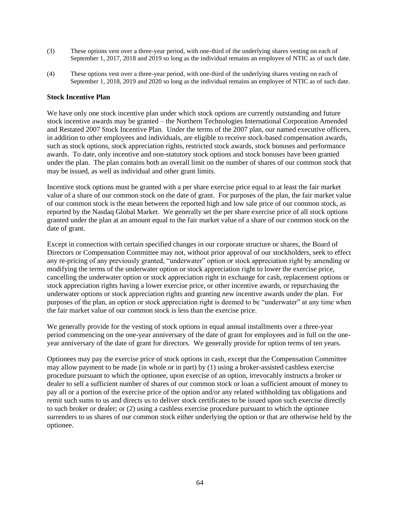- (3) These options vest over a three-year period, with one-third of the underlying shares vesting on each of September 1, 2017, 2018 and 2019 so long as the individual remains an employee of NTIC as of such date.
- (4) These options vest over a three-year period, with one-third of the underlying shares vesting on each of September 1, 2018, 2019 and 2020 so long as the individual remains an employee of NTIC as of such date.

### **Stock Incentive Plan**

We have only one stock incentive plan under which stock options are currently outstanding and future stock incentive awards may be granted – the Northern Technologies International Corporation Amended and Restated 2007 Stock Incentive Plan. Under the terms of the 2007 plan, our named executive officers, in addition to other employees and individuals, are eligible to receive stock-based compensation awards, such as stock options, stock appreciation rights, restricted stock awards, stock bonuses and performance awards. To date, only incentive and non-statutory stock options and stock bonuses have been granted under the plan. The plan contains both an overall limit on the number of shares of our common stock that may be issued, as well as individual and other grant limits.

Incentive stock options must be granted with a per share exercise price equal to at least the fair market value of a share of our common stock on the date of grant. For purposes of the plan, the fair market value of our common stock is the mean between the reported high and low sale price of our common stock, as reported by the Nasdaq Global Market. We generally set the per share exercise price of all stock options granted under the plan at an amount equal to the fair market value of a share of our common stock on the date of grant.

Except in connection with certain specified changes in our corporate structure or shares, the Board of Directors or Compensation Committee may not, without prior approval of our stockholders, seek to effect any re-pricing of any previously granted, "underwater" option or stock appreciation right by amending or modifying the terms of the underwater option or stock appreciation right to lower the exercise price, cancelling the underwater option or stock appreciation right in exchange for cash, replacement options or stock appreciation rights having a lower exercise price, or other incentive awards, or repurchasing the underwater options or stock appreciation rights and granting new incentive awards under the plan. For purposes of the plan, an option or stock appreciation right is deemed to be "underwater" at any time when the fair market value of our common stock is less than the exercise price.

We generally provide for the vesting of stock options in equal annual installments over a three-year period commencing on the one-year anniversary of the date of grant for employees and in full on the oneyear anniversary of the date of grant for directors. We generally provide for option terms of ten years.

Optionees may pay the exercise price of stock options in cash, except that the Compensation Committee may allow payment to be made (in whole or in part) by (1) using a broker-assisted cashless exercise procedure pursuant to which the optionee, upon exercise of an option, irrevocably instructs a broker or dealer to sell a sufficient number of shares of our common stock or loan a sufficient amount of money to pay all or a portion of the exercise price of the option and/or any related withholding tax obligations and remit such sums to us and directs us to deliver stock certificates to be issued upon such exercise directly to such broker or dealer; or (2) using a cashless exercise procedure pursuant to which the optionee surrenders to us shares of our common stock either underlying the option or that are otherwise held by the optionee.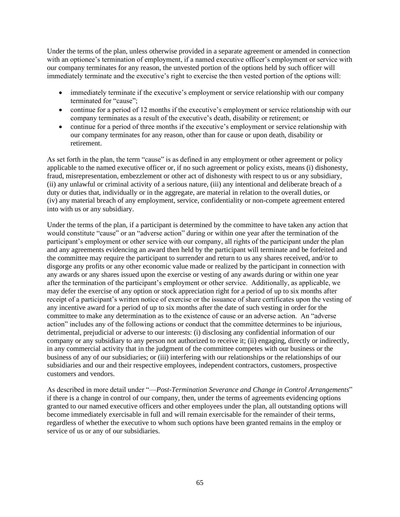Under the terms of the plan, unless otherwise provided in a separate agreement or amended in connection with an optionee's termination of employment, if a named executive officer's employment or service with our company terminates for any reason, the unvested portion of the options held by such officer will immediately terminate and the executive's right to exercise the then vested portion of the options will:

- immediately terminate if the executive's employment or service relationship with our company terminated for "cause";
- continue for a period of 12 months if the executive's employment or service relationship with our company terminates as a result of the executive's death, disability or retirement; or
- continue for a period of three months if the executive's employment or service relationship with our company terminates for any reason, other than for cause or upon death, disability or retirement.

As set forth in the plan, the term "cause" is as defined in any employment or other agreement or policy applicable to the named executive officer or, if no such agreement or policy exists, means (i) dishonesty, fraud, misrepresentation, embezzlement or other act of dishonesty with respect to us or any subsidiary, (ii) any unlawful or criminal activity of a serious nature, (iii) any intentional and deliberate breach of a duty or duties that, individually or in the aggregate, are material in relation to the overall duties, or (iv) any material breach of any employment, service, confidentiality or non-compete agreement entered into with us or any subsidiary.

Under the terms of the plan, if a participant is determined by the committee to have taken any action that would constitute "cause" or an "adverse action" during or within one year after the termination of the participant's employment or other service with our company, all rights of the participant under the plan and any agreements evidencing an award then held by the participant will terminate and be forfeited and the committee may require the participant to surrender and return to us any shares received, and/or to disgorge any profits or any other economic value made or realized by the participant in connection with any awards or any shares issued upon the exercise or vesting of any awards during or within one year after the termination of the participant's employment or other service. Additionally, as applicable, we may defer the exercise of any option or stock appreciation right for a period of up to six months after receipt of a participant's written notice of exercise or the issuance of share certificates upon the vesting of any incentive award for a period of up to six months after the date of such vesting in order for the committee to make any determination as to the existence of cause or an adverse action. An "adverse action" includes any of the following actions or conduct that the committee determines to be injurious, detrimental, prejudicial or adverse to our interests: (i) disclosing any confidential information of our company or any subsidiary to any person not authorized to receive it; (ii) engaging, directly or indirectly, in any commercial activity that in the judgment of the committee competes with our business or the business of any of our subsidiaries; or (iii) interfering with our relationships or the relationships of our subsidiaries and our and their respective employees, independent contractors, customers, prospective customers and vendors.

As described in more detail under "—*Post-Termination Severance and Change in Control Arrangements*" if there is a change in control of our company, then, under the terms of agreements evidencing options granted to our named executive officers and other employees under the plan, all outstanding options will become immediately exercisable in full and will remain exercisable for the remainder of their terms, regardless of whether the executive to whom such options have been granted remains in the employ or service of us or any of our subsidiaries.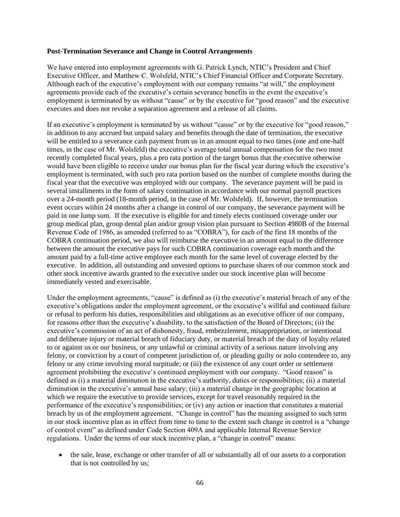#### **Post-Termination Severance and Change in Control Arrangements**

We have entered into employment agreements with G. Patrick Lynch, NTIC's President and Chief Executive Officer, and Matthew C. Wolsfeld, NTIC's Chief Financial Officer and Corporate Secretary. Although each of the executive's employment with our company remains "at will," the employment agreements provide each of the executive's certain severance benefits in the event the executive's employment is terminated by us without "cause" or by the executive for "good reason" and the executive executes and does not revoke a separation agreement and a release of all claims.

If an executive's employment is terminated by us without "cause" or by the executive for "good reason," in addition to any accrued but unpaid salary and benefits through the date of termination, the executive will be entitled to a severance cash payment from us in an amount equal to two times (one and one-half times, in the case of Mr. Wolsfeld) the executive's average total annual compensation for the two most recently completed fiscal years, plus a pro rata portion of the target bonus that the executive otherwise would have been eligible to receive under our bonus plan for the fiscal year during which the executive's employment is terminated, with such pro rata portion based on the number of complete months during the fiscal year that the executive was employed with our company. The severance payment will be paid in several installments in the form of salary continuation in accordance with our normal payroll practices over a 24-month period (18-month period, in the case of Mr. Wolsfeld). If, however, the termination event occurs within 24 months after a change in control of our company, the severance payment will be paid in one lump sum. If the executive is eligible for and timely elects continued coverage under our group medical plan, group dental plan and/or group vision plan pursuant to Section 4980B of the Internal Revenue Code of 1986, as amended (referred to as "COBRA"), for each of the first 18 months of the COBRA continuation period, we also will reimburse the executive in an amount equal to the difference between the amount the executive pays for such COBRA continuation coverage each month and the amount paid by a full-time active employee each month for the same level of coverage elected by the executive. In addition, all outstanding and unvested options to purchase shares of our common stock and other stock incentive awards granted to the executive under our stock incentive plan will become immediately vested and exercisable.

Under the employment agreements, "cause" is defined as (i) the executive's material breach of any of the executive's obligations under the employment agreement, or the executive's willful and continued failure or refusal to perform his duties, responsibilities and obligations as an executive officer of our company, for reasons other than the executive's disability, to the satisfaction of the Board of Directors; (ii) the executive's commission of an act of dishonesty, fraud, embezzlement, misappropriation, or intentional and deliberate injury or material breach of fiduciary duty, or material breach of the duty of loyalty related to or against us or our business, or any unlawful or criminal activity of a serious nature involving any felony, or conviction by a court of competent jurisdiction of, or pleading guilty or nolo contendere to, any felony or any crime involving moral turpitude; or (iii) the existence of any court order or settlement agreement prohibiting the executive's continued employment with our company. "Good reason" is defined as (i) a material diminution in the executive's authority, duties or responsibilities; (ii) a material diminution in the executive's annual base salary; (iii) a material change in the geographic location at which we require the executive to provide services, except for travel reasonably required in the performance of the executive's responsibilities; or (iv) any action or inaction that constitutes a material breach by us of the employment agreement. "Change in control" has the meaning assigned to such term in our stock incentive plan as in effect from time to time to the extent such change in control is a "change of control event" as defined under Code Section 409A and applicable Internal Revenue Service regulations. Under the terms of our stock incentive plan, a "change in control" means:

• the sale, lease, exchange or other transfer of all or substantially all of our assets to a corporation that is not controlled by us;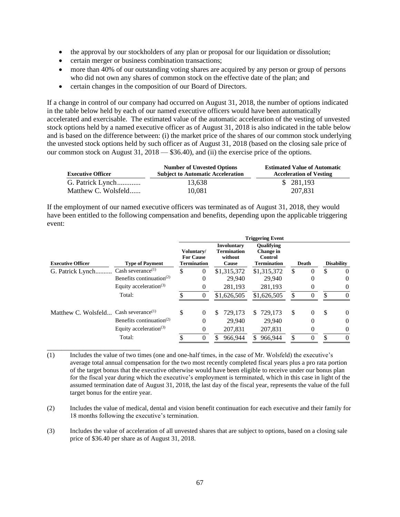- the approval by our stockholders of any plan or proposal for our liquidation or dissolution;
- certain merger or business combination transactions;

\_\_\_\_\_\_\_\_\_\_\_\_\_\_\_\_\_\_\_\_\_\_\_\_\_\_

- more than 40% of our outstanding voting shares are acquired by any person or group of persons who did not own any shares of common stock on the effective date of the plan; and
- certain changes in the composition of our Board of Directors.

If a change in control of our company had occurred on August 31, 2018, the number of options indicated in the table below held by each of our named executive officers would have been automatically accelerated and exercisable. The estimated value of the automatic acceleration of the vesting of unvested stock options held by a named executive officer as of August 31, 2018 is also indicated in the table below and is based on the difference between: (i) the market price of the shares of our common stock underlying the unvested stock options held by such officer as of August 31, 2018 (based on the closing sale price of our common stock on August 31, 2018 — \$36.40), and (ii) the exercise price of the options.

| <b>Executive Officer</b> | <b>Number of Unvested Options</b><br><b>Subject to Automatic Acceleration</b> | <b>Estimated Value of Automatic</b><br><b>Acceleration of Vesting</b> |
|--------------------------|-------------------------------------------------------------------------------|-----------------------------------------------------------------------|
| G. Patrick Lynch         | 13.638                                                                        | \$ 281,193                                                            |
| Matthew C. Wolsfeld      | 10.081                                                                        | 207.831                                                               |

If the employment of our named executive officers was terminated as of August 31, 2018, they would have been entitled to the following compensation and benefits, depending upon the applicable triggering event:

|                                                    |                                                   | <b>Triggering Event</b>                              |                |                                                                     |                                                                        |       |          |                   |          |
|----------------------------------------------------|---------------------------------------------------|------------------------------------------------------|----------------|---------------------------------------------------------------------|------------------------------------------------------------------------|-------|----------|-------------------|----------|
| <b>Executive Officer</b><br><b>Type of Payment</b> |                                                   | Voluntary/<br><b>For Cause</b><br><b>Termination</b> |                | <b>Involuntary</b><br><b>Termination</b><br>without<br><b>Cause</b> | <b>Oualifying</b><br><b>Change</b> in<br>Control<br><b>Termination</b> | Death |          | <b>Disability</b> |          |
| G. Patrick Lynch                                   | Cash severance <sup>(1)</sup>                     | \$                                                   | $\theta$       | \$1,315,372                                                         | \$1,315,372                                                            | \$    |          | \$                | $\Omega$ |
|                                                    | Benefits continuation <sup><math>(2)</math></sup> |                                                      | 0              | 29,940                                                              | 29.940                                                                 |       | $\theta$ |                   | $\theta$ |
|                                                    | Equity acceleration <sup>(3)</sup>                |                                                      | 0              | 281,193                                                             | 281,193                                                                |       | $\theta$ |                   | 0        |
| Total:                                             |                                                   |                                                      | 0              | \$1,626,505                                                         | \$1,626,505                                                            | \$    |          | S                 | $\Omega$ |
| Matthew C. Wolsfeld Cash severance <sup>(1)</sup>  |                                                   | \$                                                   | $\overline{0}$ | 729.173<br>S                                                        | 729.173<br>S.                                                          | S     | $\theta$ | \$                | $\Omega$ |
|                                                    | Benefits continuation <sup><math>(2)</math></sup> |                                                      | $\overline{0}$ | 29,940                                                              | 29.940                                                                 |       | 0        |                   | 0        |
|                                                    | Equity acceleration <sup>(3)</sup>                |                                                      | 0              | 207,831                                                             | 207,831                                                                |       | $\theta$ |                   | $\theta$ |
|                                                    | Total:                                            | Φ                                                    | $\Omega$       | 966,944                                                             | 966,944                                                                | \$    |          | ¢                 | $\Omega$ |

(1) Includes the value of two times (one and one-half times, in the case of Mr. Wolsfeld) the executive's average total annual compensation for the two most recently completed fiscal years plus a pro rata portion of the target bonus that the executive otherwise would have been eligible to receive under our bonus plan for the fiscal year during which the executive's employment is terminated, which in this case in light of the assumed termination date of August 31, 2018, the last day of the fiscal year, represents the value of the full target bonus for the entire year.

(2) Includes the value of medical, dental and vision benefit continuation for each executive and their family for 18 months following the executive's termination.

(3) Includes the value of acceleration of all unvested shares that are subject to options, based on a closing sale price of \$36.40 per share as of August 31, 2018.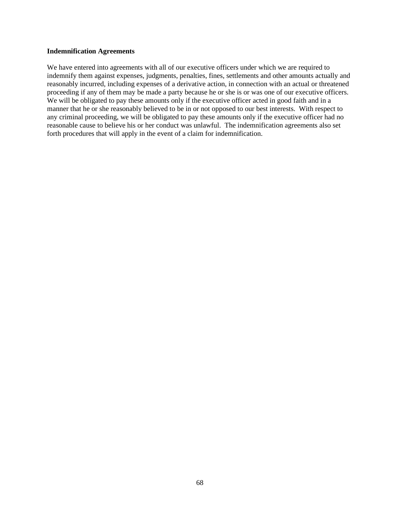### **Indemnification Agreements**

We have entered into agreements with all of our executive officers under which we are required to indemnify them against expenses, judgments, penalties, fines, settlements and other amounts actually and reasonably incurred, including expenses of a derivative action, in connection with an actual or threatened proceeding if any of them may be made a party because he or she is or was one of our executive officers. We will be obligated to pay these amounts only if the executive officer acted in good faith and in a manner that he or she reasonably believed to be in or not opposed to our best interests. With respect to any criminal proceeding, we will be obligated to pay these amounts only if the executive officer had no reasonable cause to believe his or her conduct was unlawful. The indemnification agreements also set forth procedures that will apply in the event of a claim for indemnification.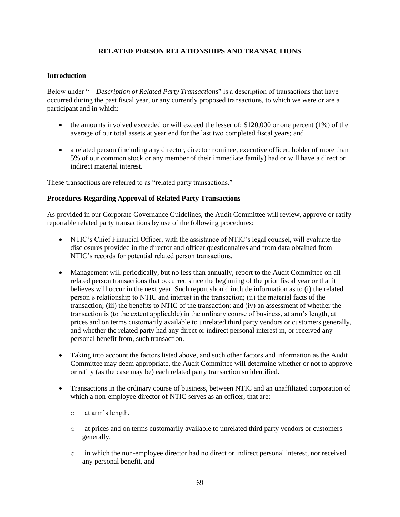# **RELATED PERSON RELATIONSHIPS AND TRANSACTIONS**

# **Introduction**

Below under "—*Description of Related Party Transactions*" is a description of transactions that have occurred during the past fiscal year, or any currently proposed transactions, to which we were or are a participant and in which:

- the amounts involved exceeded or will exceed the lesser of: \$120,000 or one percent (1%) of the average of our total assets at year end for the last two completed fiscal years; and
- a related person (including any director, director nominee, executive officer, holder of more than 5% of our common stock or any member of their immediate family) had or will have a direct or indirect material interest.

These transactions are referred to as "related party transactions."

## **Procedures Regarding Approval of Related Party Transactions**

As provided in our Corporate Governance Guidelines, the Audit Committee will review, approve or ratify reportable related party transactions by use of the following procedures:

- NTIC's Chief Financial Officer, with the assistance of NTIC's legal counsel, will evaluate the disclosures provided in the director and officer questionnaires and from data obtained from NTIC's records for potential related person transactions.
- Management will periodically, but no less than annually, report to the Audit Committee on all related person transactions that occurred since the beginning of the prior fiscal year or that it believes will occur in the next year. Such report should include information as to (i) the related person's relationship to NTIC and interest in the transaction; (ii) the material facts of the transaction; (iii) the benefits to NTIC of the transaction; and (iv) an assessment of whether the transaction is (to the extent applicable) in the ordinary course of business, at arm's length, at prices and on terms customarily available to unrelated third party vendors or customers generally, and whether the related party had any direct or indirect personal interest in, or received any personal benefit from, such transaction.
- Taking into account the factors listed above, and such other factors and information as the Audit Committee may deem appropriate, the Audit Committee will determine whether or not to approve or ratify (as the case may be) each related party transaction so identified.
- Transactions in the ordinary course of business, between NTIC and an unaffiliated corporation of which a non-employee director of NTIC serves as an officer, that are:
	- o at arm's length,
	- o at prices and on terms customarily available to unrelated third party vendors or customers generally,
	- o in which the non-employee director had no direct or indirect personal interest, nor received any personal benefit, and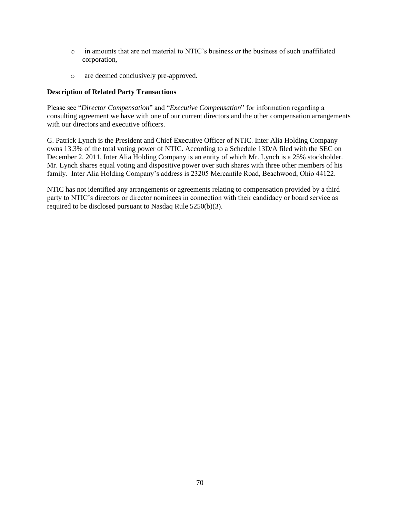- o in amounts that are not material to NTIC's business or the business of such unaffiliated corporation,
- o are deemed conclusively pre-approved.

# **Description of Related Party Transactions**

Please see "*Director Compensation*" and "*Executive Compensation*" for information regarding a consulting agreement we have with one of our current directors and the other compensation arrangements with our directors and executive officers.

G. Patrick Lynch is the President and Chief Executive Officer of NTIC. Inter Alia Holding Company owns 13.3% of the total voting power of NTIC. According to a Schedule 13D/A filed with the SEC on December 2, 2011, Inter Alia Holding Company is an entity of which Mr. Lynch is a 25% stockholder. Mr. Lynch shares equal voting and dispositive power over such shares with three other members of his family. Inter Alia Holding Company's address is 23205 Mercantile Road, Beachwood, Ohio 44122.

NTIC has not identified any arrangements or agreements relating to compensation provided by a third party to NTIC's directors or director nominees in connection with their candidacy or board service as required to be disclosed pursuant to Nasdaq Rule 5250(b)(3).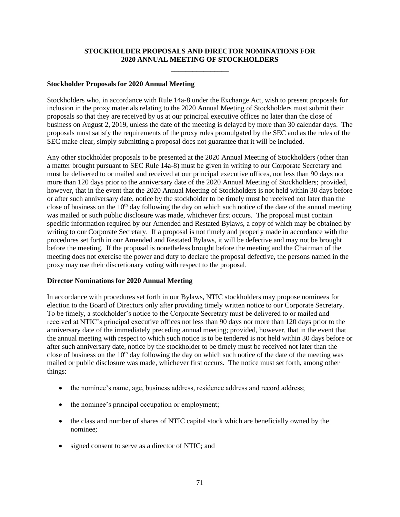# **STOCKHOLDER PROPOSALS AND DIRECTOR NOMINATIONS FOR 2020 ANNUAL MEETING OF STOCKHOLDERS**

## **Stockholder Proposals for 2020 Annual Meeting**

Stockholders who, in accordance with Rule 14a-8 under the Exchange Act, wish to present proposals for inclusion in the proxy materials relating to the 2020 Annual Meeting of Stockholders must submit their proposals so that they are received by us at our principal executive offices no later than the close of business on August 2, 2019, unless the date of the meeting is delayed by more than 30 calendar days. The proposals must satisfy the requirements of the proxy rules promulgated by the SEC and as the rules of the SEC make clear, simply submitting a proposal does not guarantee that it will be included.

Any other stockholder proposals to be presented at the 2020 Annual Meeting of Stockholders (other than a matter brought pursuant to SEC Rule 14a-8) must be given in writing to our Corporate Secretary and must be delivered to or mailed and received at our principal executive offices, not less than 90 days nor more than 120 days prior to the anniversary date of the 2020 Annual Meeting of Stockholders; provided, however, that in the event that the 2020 Annual Meeting of Stockholders is not held within 30 days before or after such anniversary date, notice by the stockholder to be timely must be received not later than the close of business on the 10<sup>th</sup> day following the day on which such notice of the date of the annual meeting was mailed or such public disclosure was made, whichever first occurs. The proposal must contain specific information required by our Amended and Restated Bylaws, a copy of which may be obtained by writing to our Corporate Secretary. If a proposal is not timely and properly made in accordance with the procedures set forth in our Amended and Restated Bylaws, it will be defective and may not be brought before the meeting. If the proposal is nonetheless brought before the meeting and the Chairman of the meeting does not exercise the power and duty to declare the proposal defective, the persons named in the proxy may use their discretionary voting with respect to the proposal.

# **Director Nominations for 2020 Annual Meeting**

In accordance with procedures set forth in our Bylaws, NTIC stockholders may propose nominees for election to the Board of Directors only after providing timely written notice to our Corporate Secretary. To be timely, a stockholder's notice to the Corporate Secretary must be delivered to or mailed and received at NTIC's principal executive offices not less than 90 days nor more than 120 days prior to the anniversary date of the immediately preceding annual meeting; provided, however, that in the event that the annual meeting with respect to which such notice is to be tendered is not held within 30 days before or after such anniversary date, notice by the stockholder to be timely must be received not later than the close of business on the 10<sup>th</sup> day following the day on which such notice of the date of the meeting was mailed or public disclosure was made, whichever first occurs. The notice must set forth, among other things:

- the nominee's name, age, business address, residence address and record address;
- the nominee's principal occupation or employment;
- the class and number of shares of NTIC capital stock which are beneficially owned by the nominee;
- signed consent to serve as a director of NTIC; and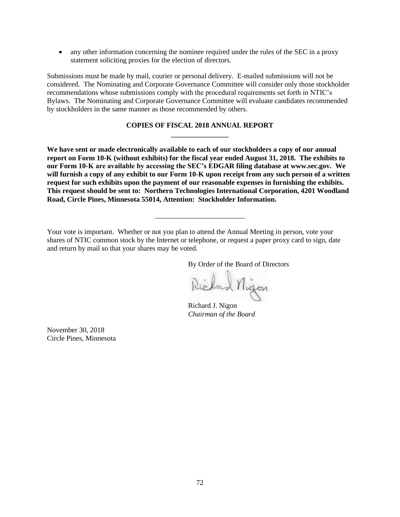• any other information concerning the nominee required under the rules of the SEC in a proxy statement soliciting proxies for the election of directors.

Submissions must be made by mail, courier or personal delivery. E-mailed submissions will not be considered. The Nominating and Corporate Governance Committee will consider only those stockholder recommendations whose submissions comply with the procedural requirements set forth in NTIC's Bylaws. The Nominating and Corporate Governance Committee will evaluate candidates recommended by stockholders in the same manner as those recommended by others.

## **COPIES OF FISCAL 2018 ANNUAL REPORT \_\_\_\_\_\_\_\_\_\_\_\_\_\_\_\_**

**We have sent or made electronically available to each of our stockholders a copy of our annual report on Form 10-K (without exhibits) for the fiscal year ended August 31, 2018. The exhibits to our Form 10-K are available by accessing the SEC's EDGAR filing database at www.sec.gov. We will furnish a copy of any exhibit to our Form 10-K upon receipt from any such person of a written request for such exhibits upon the payment of our reasonable expenses in furnishing the exhibits. This request should be sent to: Northern Technologies International Corporation, 4201 Woodland Road, Circle Pines, Minnesota 55014, Attention: Stockholder Information.**

\_\_\_\_\_\_\_\_\_\_\_\_\_\_\_\_\_\_\_\_\_\_\_\_\_

Your vote is important. Whether or not you plan to attend the Annual Meeting in person, vote your shares of NTIC common stock by the Internet or telephone, or request a paper proxy card to sign, date and return by mail so that your shares may be voted.

By Order of the Board of Directors

Richard Nigon

Richard J. Nigon *Chairman of the Board*

November 30, 2018 Circle Pines, Minnesota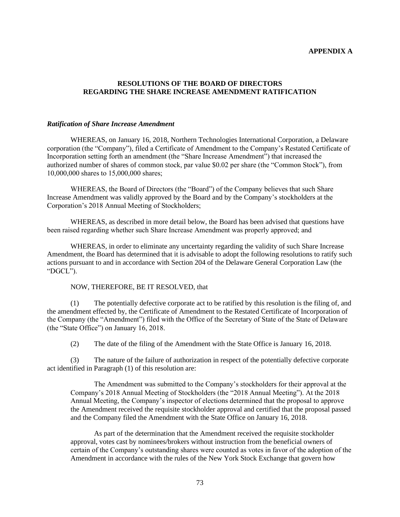## **APPENDIX A**

# **RESOLUTIONS OF THE BOARD OF DIRECTORS REGARDING THE SHARE INCREASE AMENDMENT RATIFICATION**

#### *Ratification of Share Increase Amendment*

WHEREAS, on January 16, 2018, Northern Technologies International Corporation, a Delaware corporation (the "Company"), filed a Certificate of Amendment to the Company's Restated Certificate of Incorporation setting forth an amendment (the "Share Increase Amendment") that increased the authorized number of shares of common stock, par value \$0.02 per share (the "Common Stock"), from 10,000,000 shares to 15,000,000 shares;

WHEREAS, the Board of Directors (the "Board") of the Company believes that such Share Increase Amendment was validly approved by the Board and by the Company's stockholders at the Corporation's 2018 Annual Meeting of Stockholders;

WHEREAS, as described in more detail below, the Board has been advised that questions have been raised regarding whether such Share Increase Amendment was properly approved; and

WHEREAS, in order to eliminate any uncertainty regarding the validity of such Share Increase Amendment, the Board has determined that it is advisable to adopt the following resolutions to ratify such actions pursuant to and in accordance with Section 204 of the Delaware General Corporation Law (the "DGCL").

### NOW, THEREFORE, BE IT RESOLVED, that

(1) The potentially defective corporate act to be ratified by this resolution is the filing of, and the amendment effected by, the Certificate of Amendment to the Restated Certificate of Incorporation of the Company (the "Amendment") filed with the Office of the Secretary of State of the State of Delaware (the "State Office") on January 16, 2018.

(2) The date of the filing of the Amendment with the State Office is January 16, 2018.

(3) The nature of the failure of authorization in respect of the potentially defective corporate act identified in Paragraph (1) of this resolution are:

The Amendment was submitted to the Company's stockholders for their approval at the Company's 2018 Annual Meeting of Stockholders (the "2018 Annual Meeting"). At the 2018 Annual Meeting, the Company's inspector of elections determined that the proposal to approve the Amendment received the requisite stockholder approval and certified that the proposal passed and the Company filed the Amendment with the State Office on January 16, 2018.

As part of the determination that the Amendment received the requisite stockholder approval, votes cast by nominees/brokers without instruction from the beneficial owners of certain of the Company's outstanding shares were counted as votes in favor of the adoption of the Amendment in accordance with the rules of the New York Stock Exchange that govern how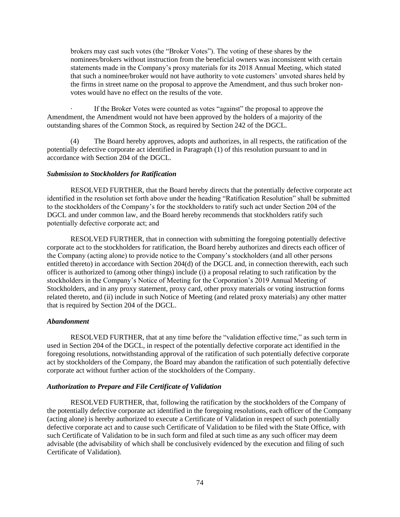brokers may cast such votes (the "Broker Votes"). The voting of these shares by the nominees/brokers without instruction from the beneficial owners was inconsistent with certain statements made in the Company's proxy materials for its 2018 Annual Meeting, which stated that such a nominee/broker would not have authority to vote customers' unvoted shares held by the firms in street name on the proposal to approve the Amendment, and thus such broker nonvotes would have no effect on the results of the vote.

If the Broker Votes were counted as votes "against" the proposal to approve the Amendment, the Amendment would not have been approved by the holders of a majority of the outstanding shares of the Common Stock, as required by Section 242 of the DGCL.

(4) The Board hereby approves, adopts and authorizes, in all respects, the ratification of the potentially defective corporate act identified in Paragraph (1) of this resolution pursuant to and in accordance with Section 204 of the DGCL.

### *Submission to Stockholders for Ratification*

RESOLVED FURTHER, that the Board hereby directs that the potentially defective corporate act identified in the resolution set forth above under the heading "Ratification Resolution" shall be submitted to the stockholders of the Company's for the stockholders to ratify such act under Section 204 of the DGCL and under common law, and the Board hereby recommends that stockholders ratify such potentially defective corporate act; and

RESOLVED FURTHER, that in connection with submitting the foregoing potentially defective corporate act to the stockholders for ratification, the Board hereby authorizes and directs each officer of the Company (acting alone) to provide notice to the Company's stockholders (and all other persons entitled thereto) in accordance with Section 204(d) of the DGCL and, in connection therewith, each such officer is authorized to (among other things) include (i) a proposal relating to such ratification by the stockholders in the Company's Notice of Meeting for the Corporation's 2019 Annual Meeting of Stockholders, and in any proxy statement, proxy card, other proxy materials or voting instruction forms related thereto, and (ii) include in such Notice of Meeting (and related proxy materials) any other matter that is required by Section 204 of the DGCL.

# *Abandonment*

RESOLVED FURTHER, that at any time before the "validation effective time," as such term in used in Section 204 of the DGCL, in respect of the potentially defective corporate act identified in the foregoing resolutions, notwithstanding approval of the ratification of such potentially defective corporate act by stockholders of the Company, the Board may abandon the ratification of such potentially defective corporate act without further action of the stockholders of the Company.

# *Authorization to Prepare and File Certificate of Validation*

RESOLVED FURTHER, that, following the ratification by the stockholders of the Company of the potentially defective corporate act identified in the foregoing resolutions, each officer of the Company (acting alone) is hereby authorized to execute a Certificate of Validation in respect of such potentially defective corporate act and to cause such Certificate of Validation to be filed with the State Office, with such Certificate of Validation to be in such form and filed at such time as any such officer may deem advisable (the advisability of which shall be conclusively evidenced by the execution and filing of such Certificate of Validation).